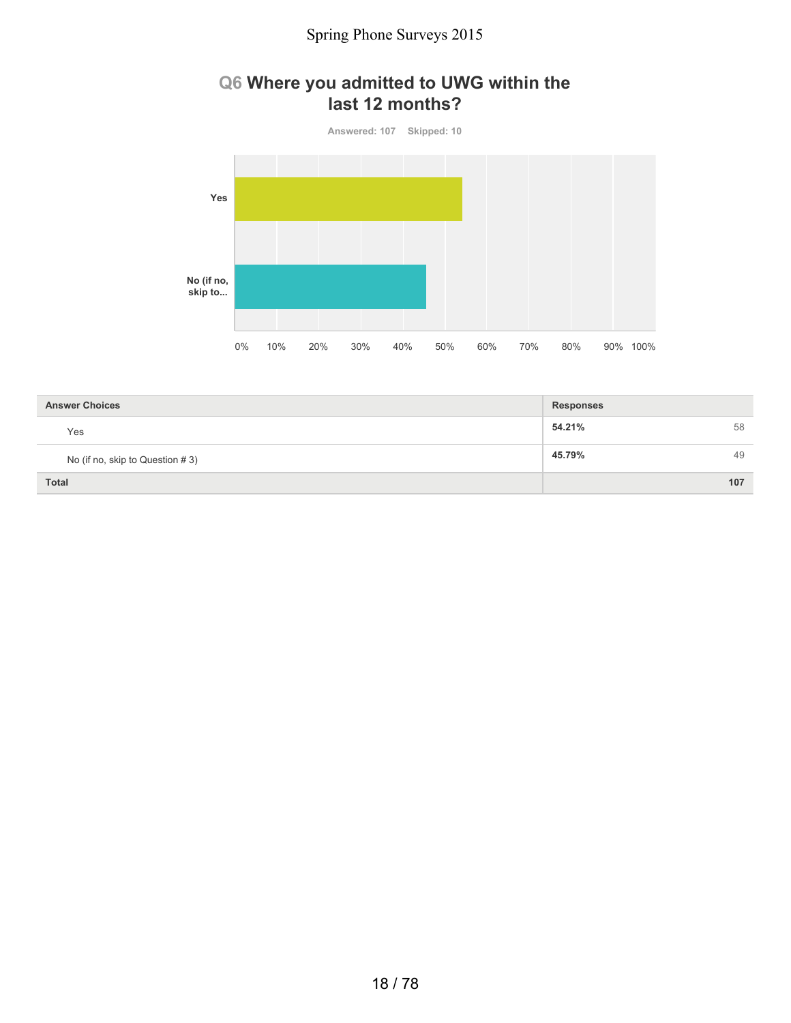### **Q6 Where you admitted to UWG within the last 12 months?**



| <b>Answer Choices</b>           | <b>Responses</b> |  |
|---------------------------------|------------------|--|
| Yes                             | 54.21%<br>58     |  |
| No (if no, skip to Question #3) | 45.79%<br>49     |  |
| <b>Total</b>                    | 107              |  |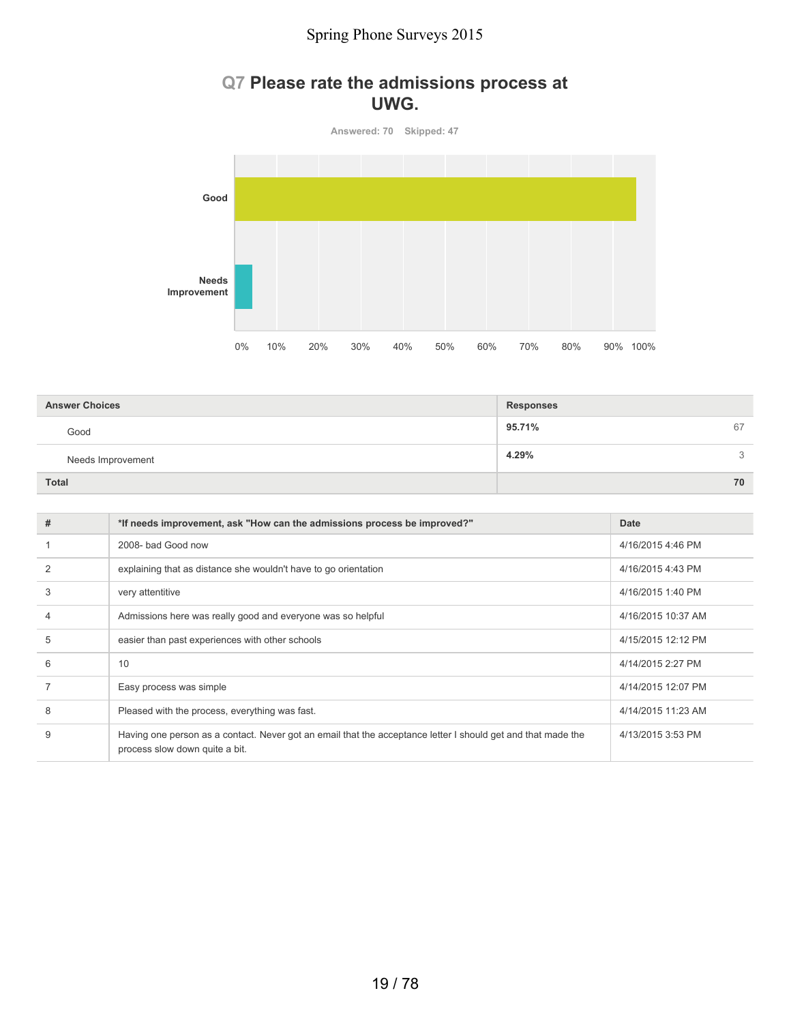### **Q7 Please rate the admissions process at UWG.**

**Answered: 70 Skipped: 47**



| <b>Answer Choices</b> | <b>Responses</b> |
|-----------------------|------------------|
| Good                  | 95.71%<br>67     |
| Needs Improvement     | 4.29%<br>3       |
| <b>Total</b>          | 70               |

| # | *If needs improvement, ask "How can the admissions process be improved?"                                                                       | Date               |
|---|------------------------------------------------------------------------------------------------------------------------------------------------|--------------------|
|   | 2008- bad Good now                                                                                                                             | 4/16/2015 4:46 PM  |
|   | explaining that as distance she wouldn't have to go orientation                                                                                | 4/16/2015 4:43 PM  |
| 3 | very attentitive                                                                                                                               | 4/16/2015 1:40 PM  |
| 4 | Admissions here was really good and everyone was so helpful                                                                                    | 4/16/2015 10:37 AM |
| 5 | easier than past experiences with other schools                                                                                                | 4/15/2015 12:12 PM |
| 6 | 10                                                                                                                                             | 4/14/2015 2:27 PM  |
|   | Easy process was simple                                                                                                                        | 4/14/2015 12:07 PM |
| 8 | Pleased with the process, everything was fast.                                                                                                 | 4/14/2015 11:23 AM |
| 9 | Having one person as a contact. Never got an email that the acceptance letter I should get and that made the<br>process slow down quite a bit. | 4/13/2015 3:53 PM  |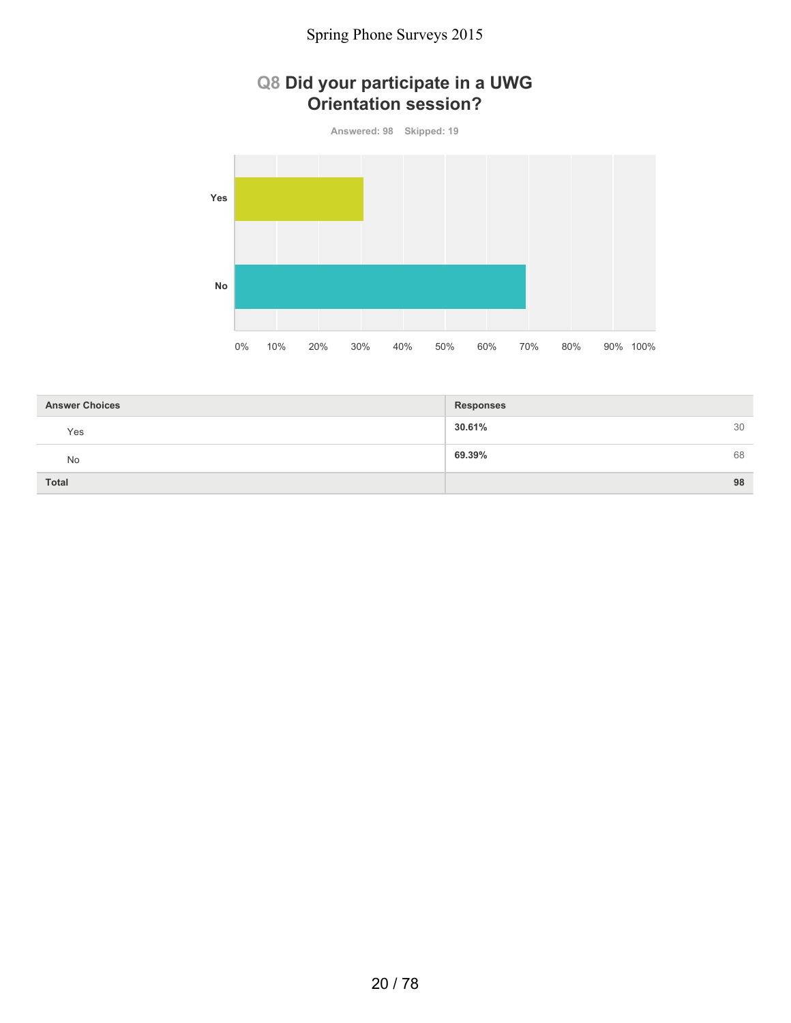### **Q8 Did your participate in a UWG Orientation session?**

**Answered: 98 Skipped: 19 Yes No** 0% 10% 20% 30% 40% 50% 60% 70% 80% 90% 100%

| <b>Answer Choices</b> | <b>Responses</b> |    |
|-----------------------|------------------|----|
| Yes                   | 30.61%           | 30 |
| No                    | 69.39%           | 68 |
| <b>Total</b>          |                  | 98 |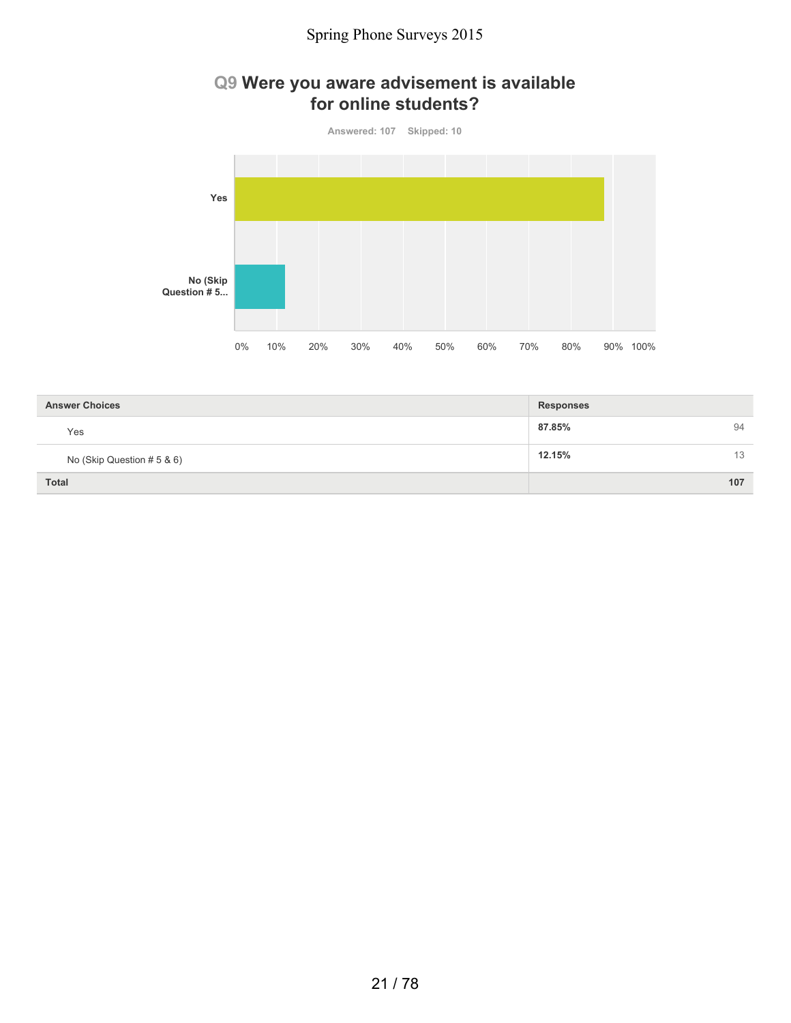### **Q9 Were you aware advisement is available for online students?**



| <b>Answer Choices</b>      | <b>Responses</b> |    |
|----------------------------|------------------|----|
| Yes                        | 87.85%<br>94     |    |
| No (Skip Question # 5 & 6) | 12.15%           | 13 |
| <b>Total</b>               | 107              |    |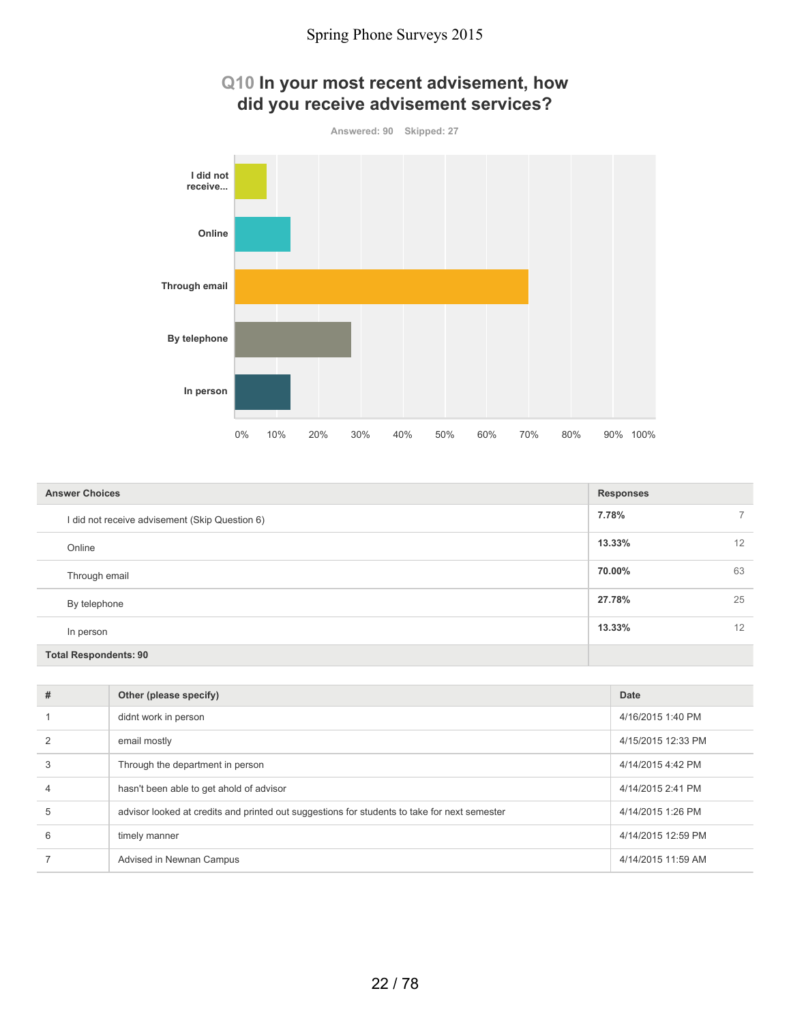

| <b>Answer Choices</b>                          | <b>Responses</b> |    |
|------------------------------------------------|------------------|----|
| I did not receive advisement (Skip Question 6) | 7.78%            |    |
| Online                                         | 13.33%           | 12 |
| Through email                                  | 70.00%           | 63 |
| By telephone                                   | 27.78%           | 25 |
| In person                                      | 13.33%           | 12 |
| <b>Total Respondents: 90</b>                   |                  |    |

| # | Other (please specify)                                                                       | Date               |
|---|----------------------------------------------------------------------------------------------|--------------------|
|   | didnt work in person                                                                         | 4/16/2015 1:40 PM  |
|   | email mostly                                                                                 | 4/15/2015 12:33 PM |
| 3 | Through the department in person                                                             | 4/14/2015 4:42 PM  |
| 4 | hasn't been able to get ahold of advisor                                                     | 4/14/2015 2:41 PM  |
| 5 | advisor looked at credits and printed out suggestions for students to take for next semester | 4/14/2015 1:26 PM  |
| 6 | timely manner                                                                                | 4/14/2015 12:59 PM |
|   | Advised in Newnan Campus                                                                     | 4/14/2015 11:59 AM |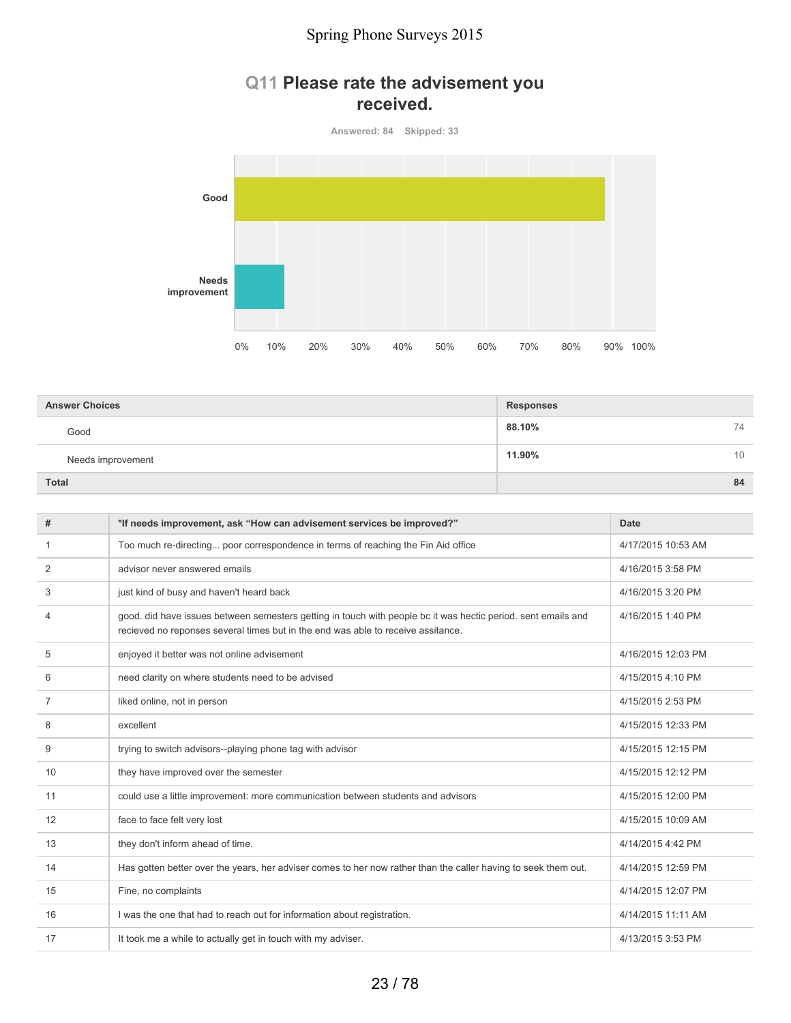### **Q11 Please rate the advisement you received.**

**Answered: 84 Skipped: 33**



| <b>Answer Choices</b> | <b>Responses</b> |    |
|-----------------------|------------------|----|
| Good                  | 88.10%           | 74 |
| Needs improvement     | 11.90%           | 10 |
| <b>Total</b>          |                  | 84 |

| #  | *If needs improvement, ask "How can advisement services be improved?"                                                                                                                             | Date               |
|----|---------------------------------------------------------------------------------------------------------------------------------------------------------------------------------------------------|--------------------|
| -1 | Too much re-directing poor correspondence in terms of reaching the Fin Aid office                                                                                                                 | 4/17/2015 10:53 AM |
| 2  | advisor never answered emails                                                                                                                                                                     | 4/16/2015 3:58 PM  |
| 3  | just kind of busy and haven't heard back                                                                                                                                                          | 4/16/2015 3:20 PM  |
| 4  | good. did have issues between semesters getting in touch with people bc it was hectic period. sent emails and<br>recieved no reponses several times but in the end was able to receive assitance. | 4/16/2015 1:40 PM  |
| 5  | enjoyed it better was not online advisement                                                                                                                                                       | 4/16/2015 12:03 PM |
| 6  | need clarity on where students need to be advised                                                                                                                                                 | 4/15/2015 4:10 PM  |
| 7  | liked online, not in person                                                                                                                                                                       | 4/15/2015 2:53 PM  |
| 8  | excellent                                                                                                                                                                                         | 4/15/2015 12:33 PM |
| 9  | trying to switch advisors--playing phone tag with advisor                                                                                                                                         | 4/15/2015 12:15 PM |
| 10 | they have improved over the semester                                                                                                                                                              | 4/15/2015 12:12 PM |
| 11 | could use a little improvement: more communication between students and advisors                                                                                                                  | 4/15/2015 12:00 PM |
| 12 | face to face felt very lost                                                                                                                                                                       | 4/15/2015 10:09 AM |
| 13 | they don't inform ahead of time.                                                                                                                                                                  | 4/14/2015 4:42 PM  |
| 14 | Has gotten better over the years, her adviser comes to her now rather than the caller having to seek them out.                                                                                    | 4/14/2015 12:59 PM |
| 15 | Fine, no complaints                                                                                                                                                                               | 4/14/2015 12:07 PM |
| 16 | I was the one that had to reach out for information about registration.                                                                                                                           | 4/14/2015 11:11 AM |
| 17 | It took me a while to actually get in touch with my adviser.                                                                                                                                      | 4/13/2015 3:53 PM  |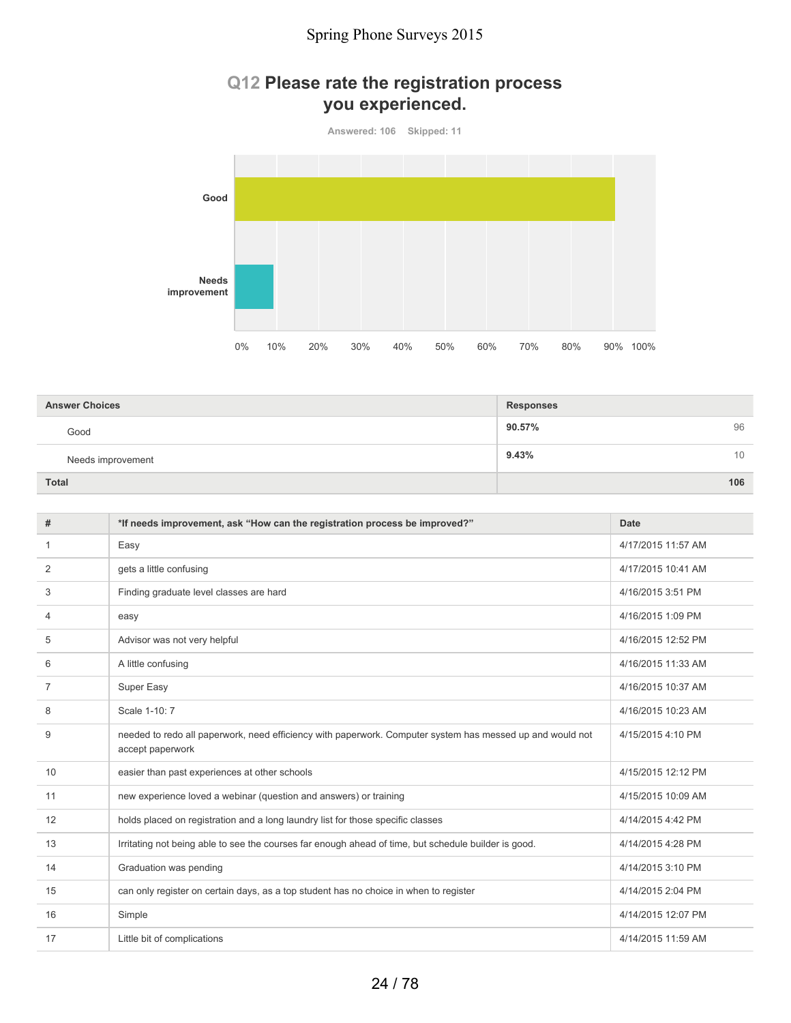### **Q12 Please rate the registration process you experienced.**



| <b>Answer Choices</b> | <b>Responses</b> |
|-----------------------|------------------|
| Good                  | 96<br>90.57%     |
| Needs improvement     | 9.43%<br>10      |
| <b>Total</b>          | 106              |

| #  | *If needs improvement, ask "How can the registration process be improved?"                                                    | Date               |
|----|-------------------------------------------------------------------------------------------------------------------------------|--------------------|
| 1  | Easy                                                                                                                          | 4/17/2015 11:57 AM |
| 2  | gets a little confusing                                                                                                       | 4/17/2015 10:41 AM |
| 3  | Finding graduate level classes are hard                                                                                       | 4/16/2015 3:51 PM  |
| 4  | easy                                                                                                                          | 4/16/2015 1:09 PM  |
| 5  | Advisor was not very helpful                                                                                                  | 4/16/2015 12:52 PM |
| 6  | A little confusing                                                                                                            | 4/16/2015 11:33 AM |
| 7  | Super Easy                                                                                                                    | 4/16/2015 10:37 AM |
| 8  | Scale 1-10: 7                                                                                                                 | 4/16/2015 10:23 AM |
| 9  | needed to redo all paperwork, need efficiency with paperwork. Computer system has messed up and would not<br>accept paperwork | 4/15/2015 4:10 PM  |
| 10 | easier than past experiences at other schools                                                                                 | 4/15/2015 12:12 PM |
| 11 | new experience loved a webinar (question and answers) or training                                                             | 4/15/2015 10:09 AM |
| 12 | holds placed on registration and a long laundry list for those specific classes                                               | 4/14/2015 4:42 PM  |
| 13 | Irritating not being able to see the courses far enough ahead of time, but schedule builder is good.                          | 4/14/2015 4:28 PM  |
| 14 | Graduation was pending                                                                                                        | 4/14/2015 3:10 PM  |
| 15 | can only register on certain days, as a top student has no choice in when to register                                         | 4/14/2015 2:04 PM  |
| 16 | Simple                                                                                                                        | 4/14/2015 12:07 PM |
| 17 | Little bit of complications                                                                                                   | 4/14/2015 11:59 AM |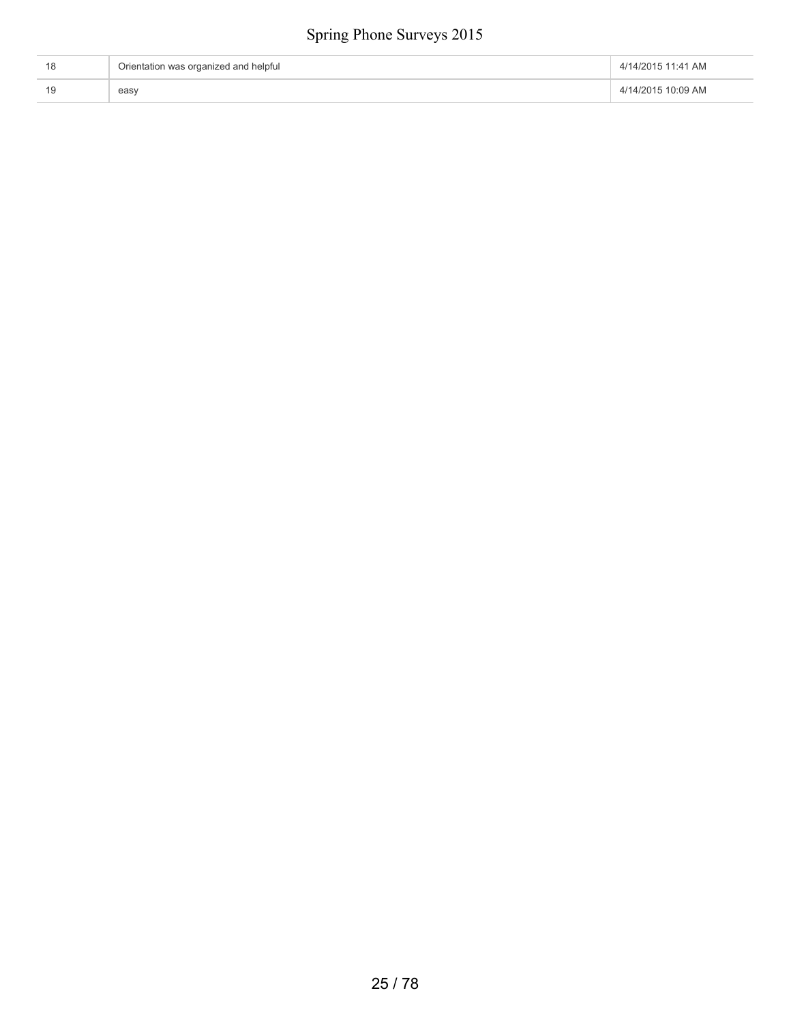| Orientation was organized and helpful | 4/14/2015 11:41 AM |
|---------------------------------------|--------------------|
| easy                                  | 4/14/2015 10:09 AM |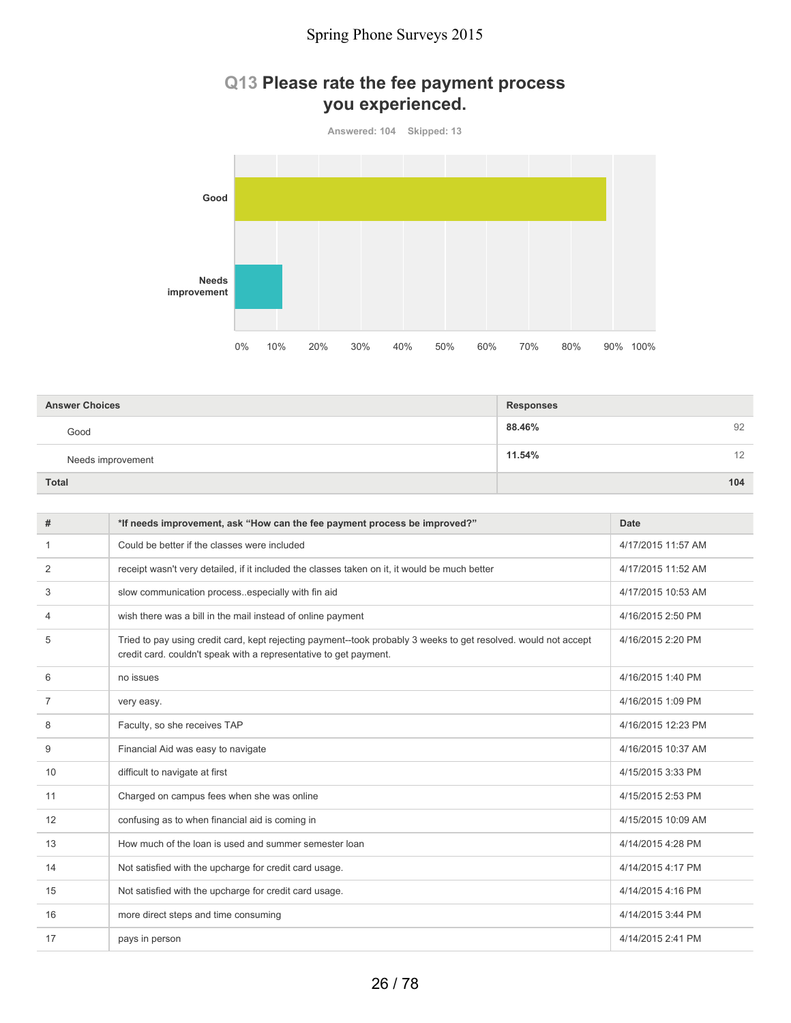### **Q13 Please rate the fee payment process you experienced.**

**Answered: 104 Skipped: 13 Good Needs improvement** 0% 10% 20% 30% 40% 50% 60% 70% 80% 90% 100%

| <b>Answer Choices</b> | <b>Responses</b> |
|-----------------------|------------------|
| Good                  | 92<br>88.46%     |
| Needs improvement     | 11.54%<br>12     |
| <b>Total</b>          | 104              |

| #            | *If needs improvement, ask "How can the fee payment process be improved?"                                                                                                            | Date               |
|--------------|--------------------------------------------------------------------------------------------------------------------------------------------------------------------------------------|--------------------|
| $\mathbf{1}$ | Could be better if the classes were included                                                                                                                                         | 4/17/2015 11:57 AM |
| 2            | receipt wasn't very detailed, if it included the classes taken on it, it would be much better                                                                                        | 4/17/2015 11:52 AM |
| 3            | slow communication processespecially with fin aid                                                                                                                                    | 4/17/2015 10:53 AM |
| 4            | wish there was a bill in the mail instead of online payment                                                                                                                          | 4/16/2015 2:50 PM  |
| 5            | Tried to pay using credit card, kept rejecting payment--took probably 3 weeks to get resolved. would not accept<br>credit card, couldn't speak with a representative to get payment. | 4/16/2015 2:20 PM  |
| 6            | no issues                                                                                                                                                                            | 4/16/2015 1:40 PM  |
| 7            | very easy.                                                                                                                                                                           | 4/16/2015 1:09 PM  |
| 8            | Faculty, so she receives TAP                                                                                                                                                         | 4/16/2015 12:23 PM |
| 9            | Financial Aid was easy to navigate                                                                                                                                                   | 4/16/2015 10:37 AM |
| 10           | difficult to navigate at first                                                                                                                                                       | 4/15/2015 3:33 PM  |
| 11           | Charged on campus fees when she was online                                                                                                                                           | 4/15/2015 2:53 PM  |
| 12           | confusing as to when financial aid is coming in                                                                                                                                      | 4/15/2015 10:09 AM |
| 13           | How much of the loan is used and summer semester loan                                                                                                                                | 4/14/2015 4:28 PM  |
| 14           | Not satisfied with the upcharge for credit card usage.                                                                                                                               | 4/14/2015 4:17 PM  |
| 15           | Not satisfied with the upcharge for credit card usage.                                                                                                                               | 4/14/2015 4:16 PM  |
| 16           | more direct steps and time consuming                                                                                                                                                 | 4/14/2015 3:44 PM  |
| 17           | pays in person                                                                                                                                                                       | 4/14/2015 2:41 PM  |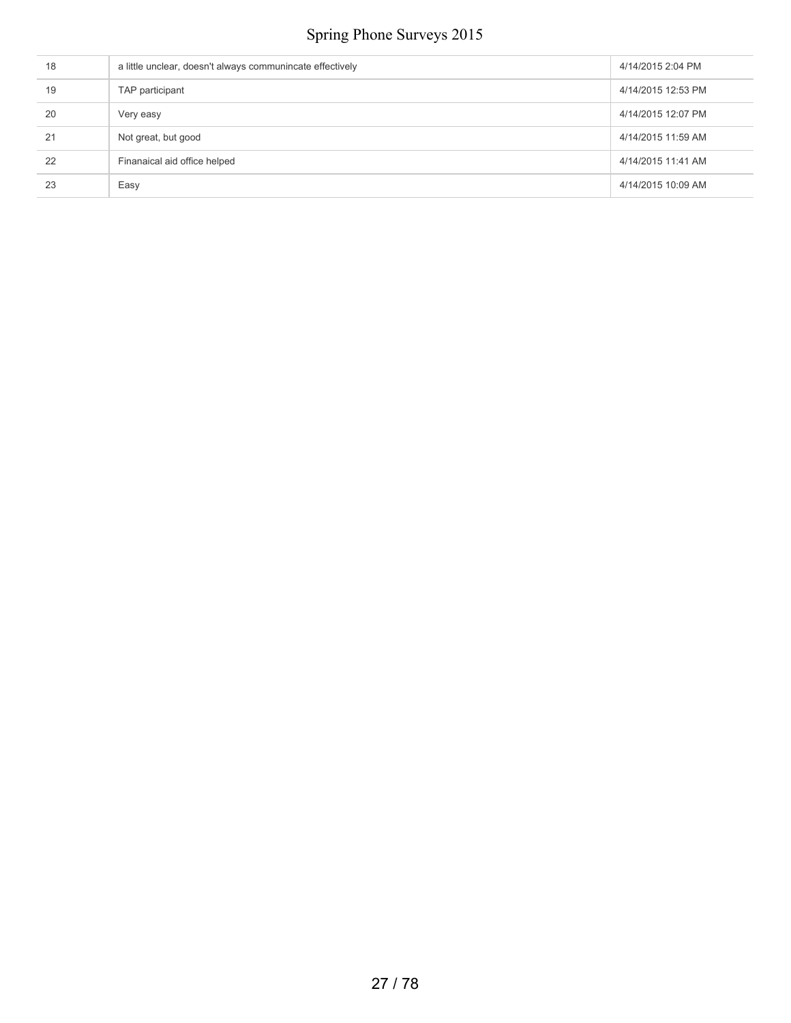| 18 | a little unclear, doesn't always communincate effectively | 4/14/2015 2:04 PM  |
|----|-----------------------------------------------------------|--------------------|
| 19 | TAP participant                                           | 4/14/2015 12:53 PM |
| 20 | Very easy                                                 | 4/14/2015 12:07 PM |
| 21 | Not great, but good                                       | 4/14/2015 11:59 AM |
| 22 | Finanaical aid office helped                              | 4/14/2015 11:41 AM |
| 23 | Easy                                                      | 4/14/2015 10:09 AM |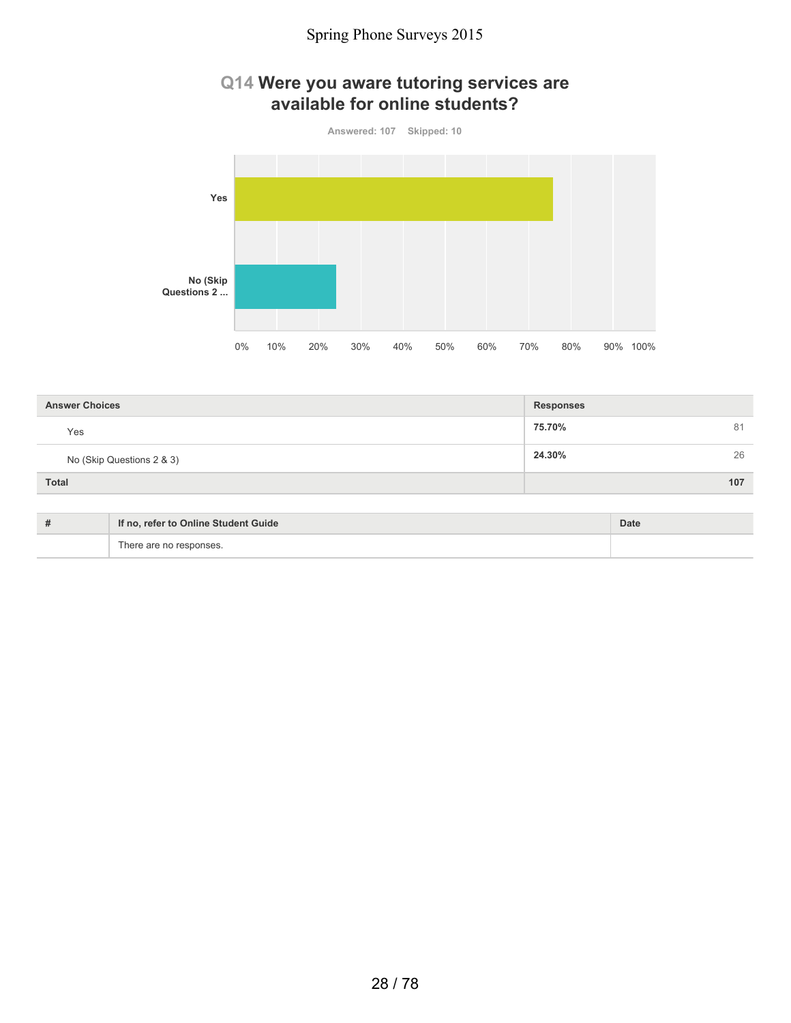### **Q14 Were you aware tutoring services are available for online students?**



| <b>Answer Choices</b>     | <b>Responses</b> |
|---------------------------|------------------|
| Yes                       | 75.70%<br>81     |
| No (Skip Questions 2 & 3) | 26<br>24.30%     |
| <b>Total</b>              | 107              |

| $+$<br># | If no, refer to Online Student Guide | Date |
|----------|--------------------------------------|------|
|          | There are no responses.              |      |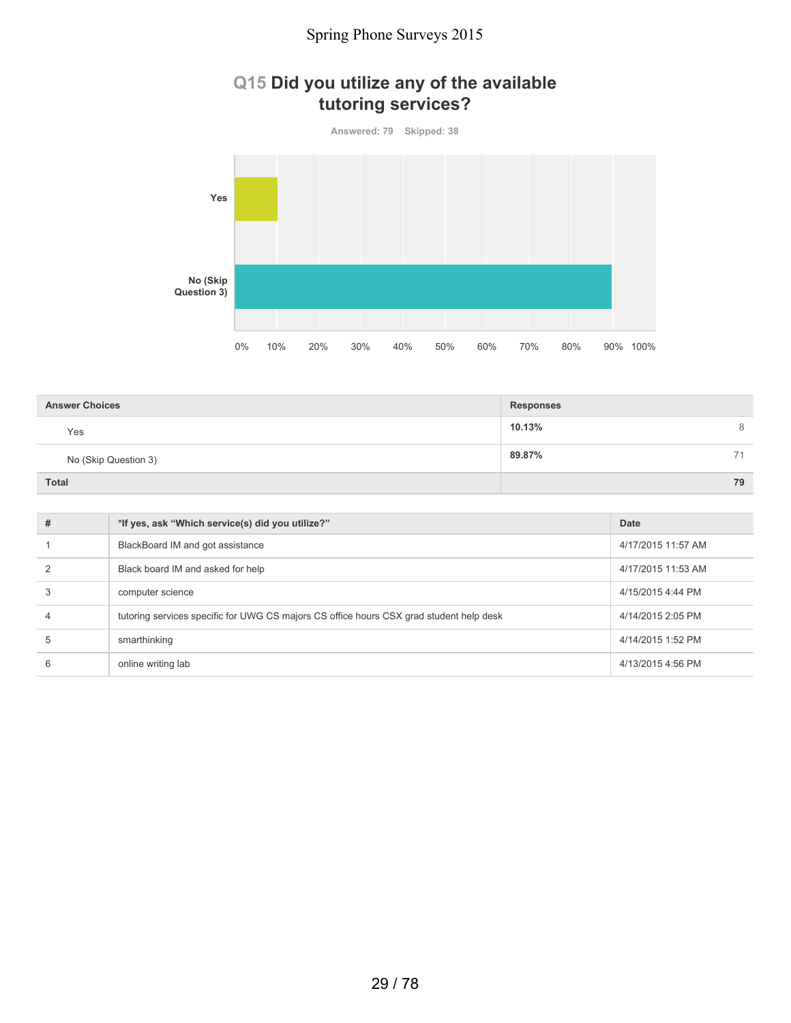### **Q15 Did you utilize any of the available tutoring services?**



| <b>Answer Choices</b> | <b>Responses</b> |
|-----------------------|------------------|
| Yes                   | 10.13%<br>8      |
| No (Skip Question 3)  | 89.87%<br>71     |
| <b>Total</b>          | 79               |

| #             | *If yes, ask "Which service(s) did you utilize?"                                        | Date               |
|---------------|-----------------------------------------------------------------------------------------|--------------------|
|               | BlackBoard IM and got assistance                                                        | 4/17/2015 11:57 AM |
| $\mathcal{P}$ | Black board IM and asked for help                                                       | 4/17/2015 11:53 AM |
| 3             | computer science                                                                        | 4/15/2015 4:44 PM  |
| 4             | tutoring services specific for UWG CS majors CS office hours CSX grad student help desk | 4/14/2015 2:05 PM  |
| 5             | smarthinking                                                                            | 4/14/2015 1:52 PM  |
| 6             | online writing lab                                                                      | 4/13/2015 4:56 PM  |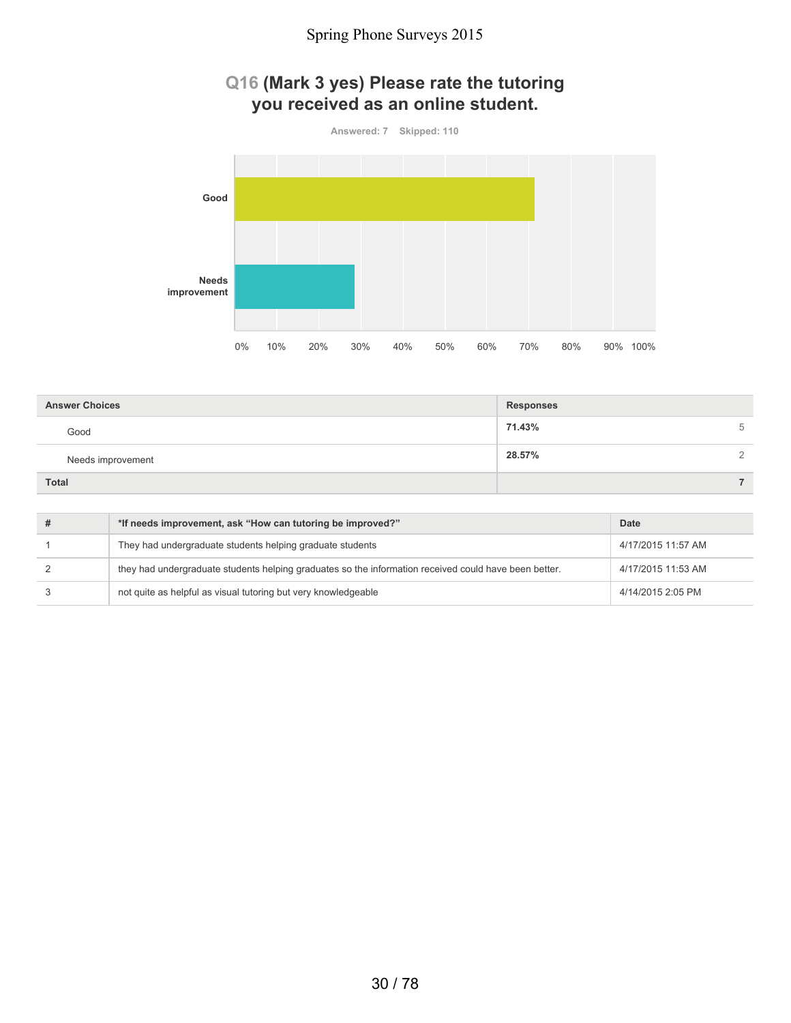### **Q16 (Mark 3 yes) Please rate the tutoring you received as an online student.**



| <b>Answer Choices</b> | <b>Responses</b> |               |
|-----------------------|------------------|---------------|
| Good                  | 71.43%           | 5             |
| Needs improvement     | 28.57%           | $\mathcal{D}$ |
| <b>Total</b>          |                  |               |

| *If needs improvement, ask "How can tutoring be improved?"                                            | Date               |
|-------------------------------------------------------------------------------------------------------|--------------------|
| They had undergraduate students helping graduate students                                             | 4/17/2015 11:57 AM |
| they had undergraduate students helping graduates so the information received could have been better. | 4/17/2015 11:53 AM |
| not quite as helpful as visual tutoring but very knowledgeable                                        | 4/14/2015 2:05 PM  |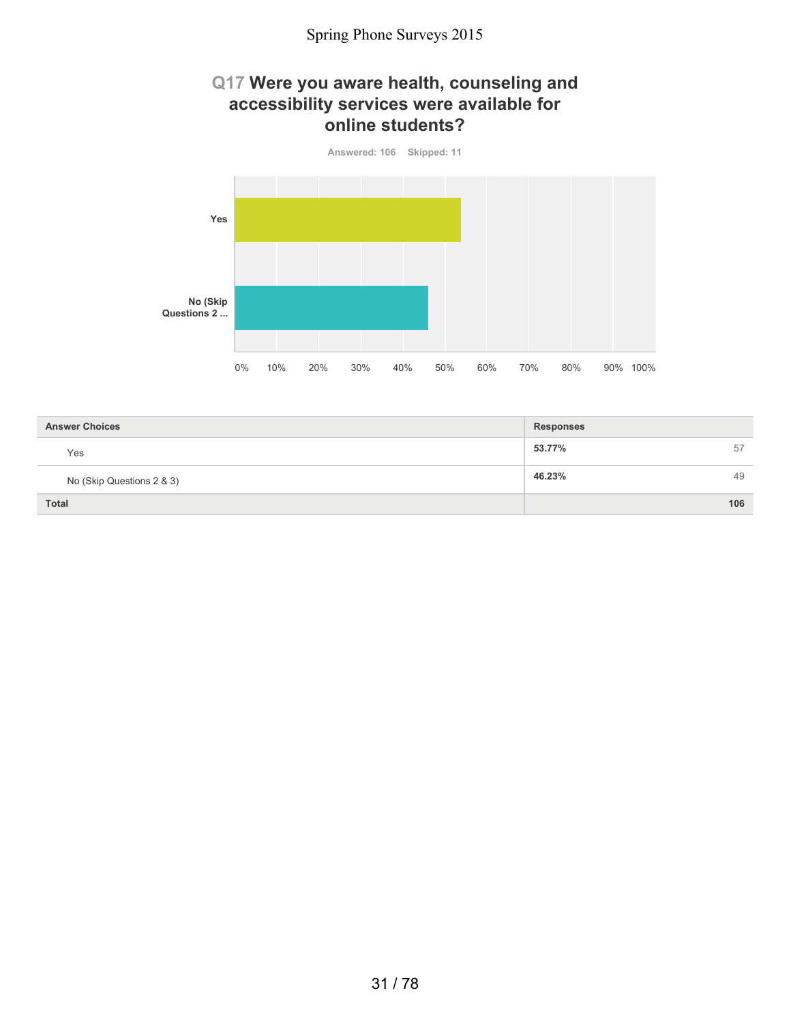### **Q17 Were you aware health, counseling and accessibility services were available for online students?**



| <b>Answer Choices</b>     | <b>Responses</b> |
|---------------------------|------------------|
| Yes                       | 53.77%<br>57     |
| No (Skip Questions 2 & 3) | 46.23%<br>49     |
| <b>Total</b>              | 106              |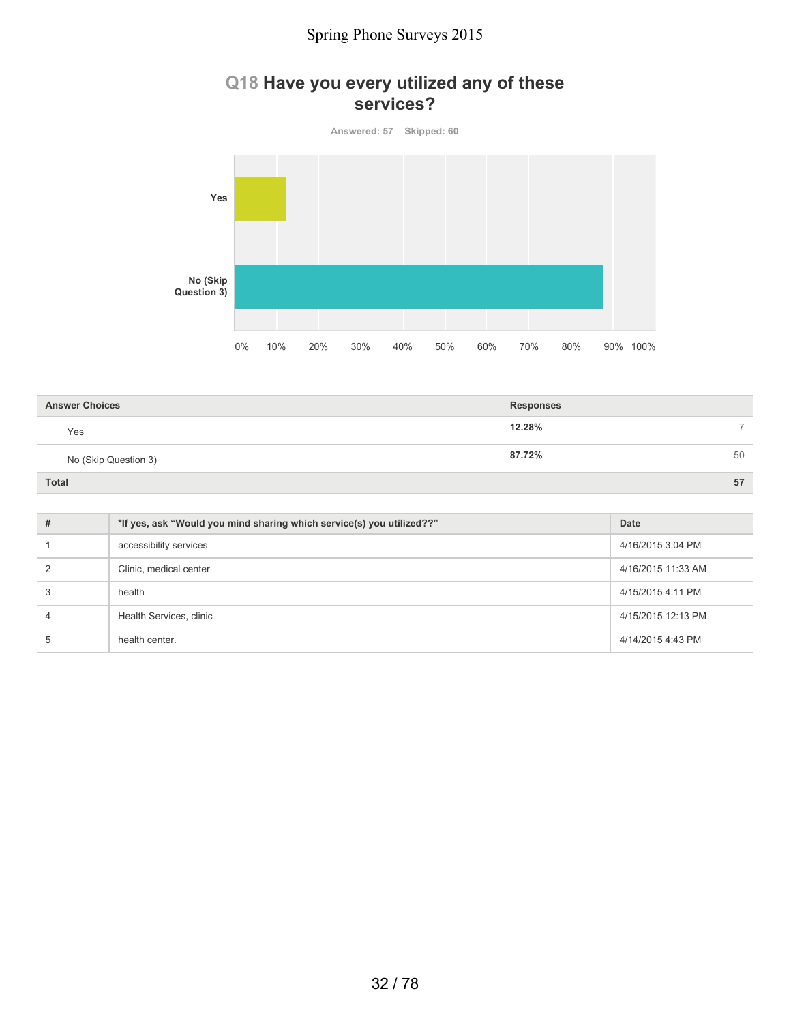### **Q18 Have you every utilized any of these services?**

**Answered: 57 Skipped: 60 Yes No (Skip Question 3)** 0% 10% 20% 30% 40% 50% 60% 70% 80% 90% 100%

| <b>Answer Choices</b> | <b>Responses</b> |
|-----------------------|------------------|
| Yes                   | 12.28%<br>-      |
| No (Skip Question 3)  | 87.72%<br>50     |
| <b>Total</b>          | 57               |

| #             | *If yes, ask "Would you mind sharing which service(s) you utilized??" | <b>Date</b>        |
|---------------|-----------------------------------------------------------------------|--------------------|
|               | accessibility services                                                | 4/16/2015 3:04 PM  |
| $\mathcal{P}$ | Clinic, medical center                                                | 4/16/2015 11:33 AM |
| 3             | health                                                                | 4/15/2015 4:11 PM  |
| 4             | Health Services, clinic                                               | 4/15/2015 12:13 PM |
| 5             | health center.                                                        | 4/14/2015 4:43 PM  |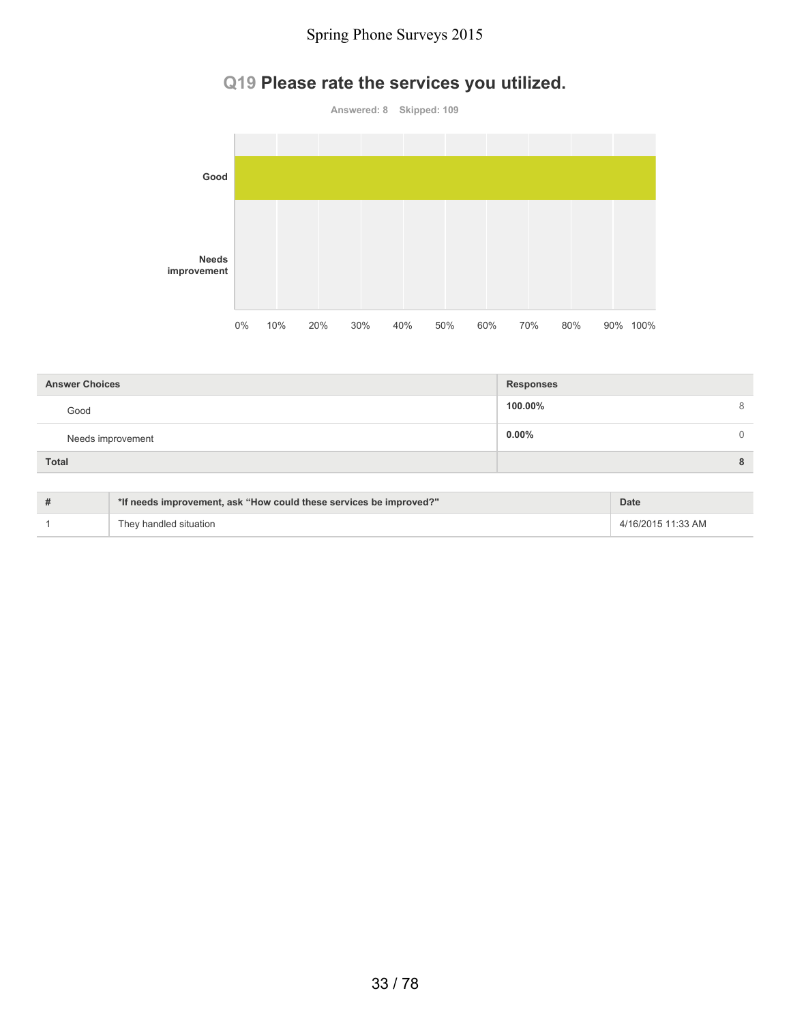## **Q19 Please rate the services you utilized.**



| <b>Answer Choices</b> | <b>Responses</b> |          |
|-----------------------|------------------|----------|
| Good                  | 100.00%          | 8        |
| Needs improvement     | $0.00\%$         | $\Omega$ |
| <b>Total</b>          |                  | 8        |

| # | *If needs improvement, ask "How could these services be improved?" | <b>Date</b>        |
|---|--------------------------------------------------------------------|--------------------|
|   | They handled situation                                             | 4/16/2015 11:33 AM |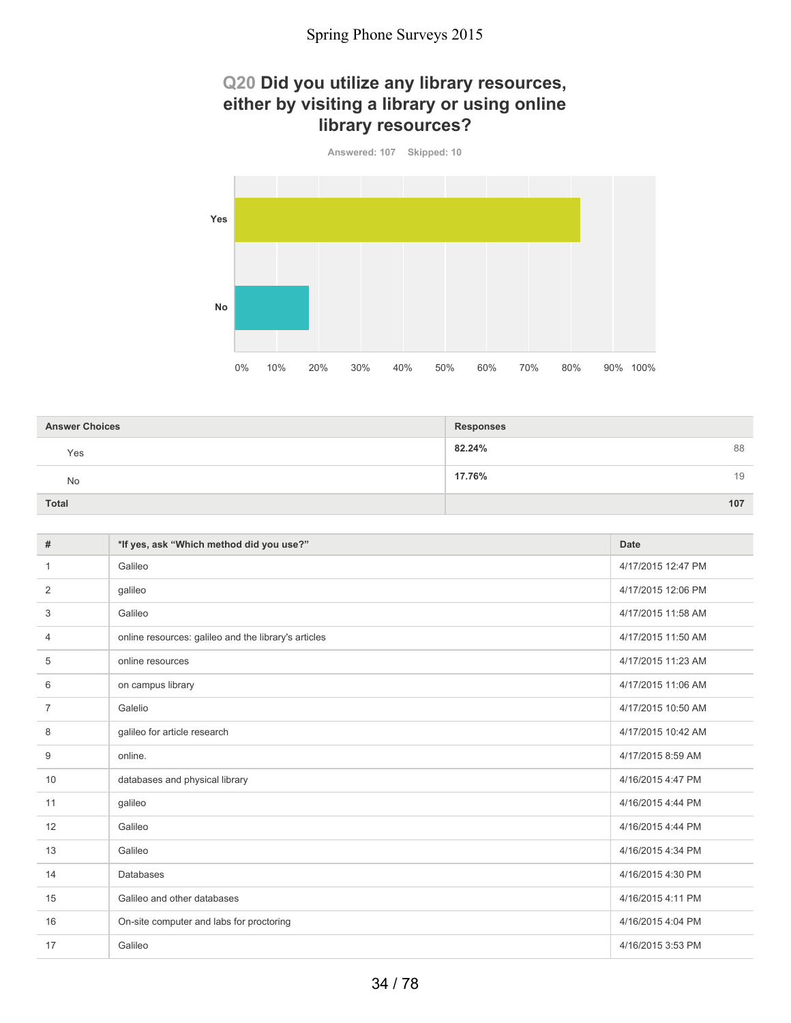### **Q20 Did you utilize any library resources, either by visiting a library or using online library resources?**



| <b>Answer Choices</b> | <b>Responses</b> |
|-----------------------|------------------|
| Yes                   | 82.24%<br>88     |
| No                    | 17.76%<br>19     |
| <b>Total</b>          | 107              |

| #  | *If yes, ask "Which method did you use?"             | <b>Date</b>        |
|----|------------------------------------------------------|--------------------|
| 1  | Galileo                                              | 4/17/2015 12:47 PM |
| 2  | galileo                                              | 4/17/2015 12:06 PM |
| 3  | Galileo                                              | 4/17/2015 11:58 AM |
| 4  | online resources: galileo and the library's articles | 4/17/2015 11:50 AM |
| 5  | online resources                                     | 4/17/2015 11:23 AM |
| 6  | on campus library                                    | 4/17/2015 11:06 AM |
| 7  | Galelio                                              | 4/17/2015 10:50 AM |
| 8  | galileo for article research                         | 4/17/2015 10:42 AM |
| 9  | online.                                              | 4/17/2015 8:59 AM  |
| 10 | databases and physical library                       | 4/16/2015 4:47 PM  |
| 11 | galileo                                              | 4/16/2015 4:44 PM  |
| 12 | Galileo                                              | 4/16/2015 4:44 PM  |
| 13 | Galileo                                              | 4/16/2015 4:34 PM  |
| 14 | <b>Databases</b>                                     | 4/16/2015 4:30 PM  |
| 15 | Galileo and other databases                          | 4/16/2015 4:11 PM  |
| 16 | On-site computer and labs for proctoring             | 4/16/2015 4:04 PM  |
| 17 | Galileo                                              | 4/16/2015 3:53 PM  |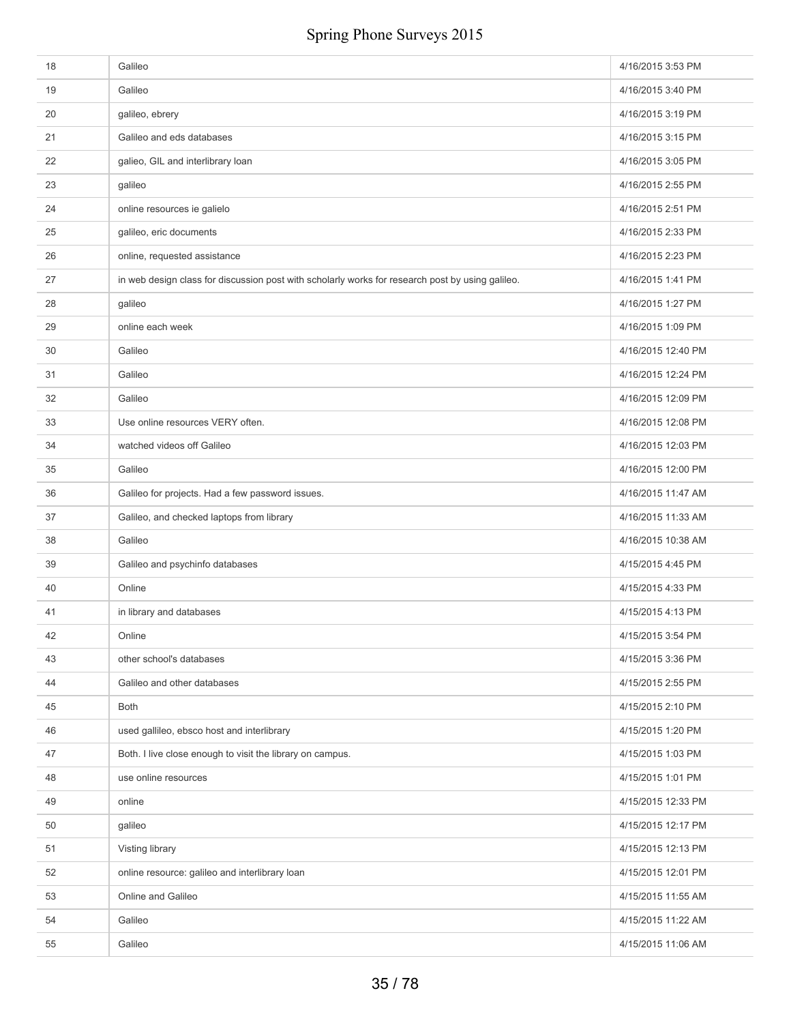| 18 | Galileo                                                                                          | 4/16/2015 3:53 PM  |
|----|--------------------------------------------------------------------------------------------------|--------------------|
| 19 | Galileo                                                                                          | 4/16/2015 3:40 PM  |
| 20 | galileo, ebrery                                                                                  | 4/16/2015 3:19 PM  |
| 21 | Galileo and eds databases                                                                        | 4/16/2015 3:15 PM  |
| 22 | galieo, GIL and interlibrary loan                                                                | 4/16/2015 3:05 PM  |
| 23 | galileo                                                                                          | 4/16/2015 2:55 PM  |
| 24 | online resources ie galielo                                                                      | 4/16/2015 2:51 PM  |
| 25 | galileo, eric documents                                                                          | 4/16/2015 2:33 PM  |
| 26 | online, requested assistance                                                                     | 4/16/2015 2:23 PM  |
| 27 | in web design class for discussion post with scholarly works for research post by using galileo. | 4/16/2015 1:41 PM  |
| 28 | galileo                                                                                          | 4/16/2015 1:27 PM  |
| 29 | online each week                                                                                 | 4/16/2015 1:09 PM  |
| 30 | Galileo                                                                                          | 4/16/2015 12:40 PM |
| 31 | Galileo                                                                                          | 4/16/2015 12:24 PM |
| 32 | Galileo                                                                                          | 4/16/2015 12:09 PM |
| 33 | Use online resources VERY often.                                                                 | 4/16/2015 12:08 PM |
| 34 | watched videos off Galileo                                                                       | 4/16/2015 12:03 PM |
| 35 | Galileo                                                                                          | 4/16/2015 12:00 PM |
| 36 | Galileo for projects. Had a few password issues.                                                 | 4/16/2015 11:47 AM |
| 37 | Galileo, and checked laptops from library                                                        | 4/16/2015 11:33 AM |
| 38 | Galileo                                                                                          | 4/16/2015 10:38 AM |
| 39 | Galileo and psychinfo databases                                                                  | 4/15/2015 4:45 PM  |
| 40 | Online                                                                                           | 4/15/2015 4:33 PM  |
| 41 | in library and databases                                                                         | 4/15/2015 4:13 PM  |
| 42 | Online                                                                                           | 4/15/2015 3:54 PM  |
| 43 | other school's databases                                                                         | 4/15/2015 3:36 PM  |
| 44 | Galileo and other databases                                                                      | 4/15/2015 2:55 PM  |
| 45 | <b>Both</b>                                                                                      | 4/15/2015 2:10 PM  |
| 46 | used gallileo, ebsco host and interlibrary                                                       | 4/15/2015 1:20 PM  |
| 47 | Both. I live close enough to visit the library on campus.                                        | 4/15/2015 1:03 PM  |
| 48 | use online resources                                                                             | 4/15/2015 1:01 PM  |
| 49 | online                                                                                           | 4/15/2015 12:33 PM |
| 50 | galileo                                                                                          | 4/15/2015 12:17 PM |
| 51 | Visting library                                                                                  | 4/15/2015 12:13 PM |
| 52 | online resource: galileo and interlibrary loan                                                   | 4/15/2015 12:01 PM |
| 53 | Online and Galileo                                                                               | 4/15/2015 11:55 AM |
| 54 | Galileo                                                                                          | 4/15/2015 11:22 AM |
| 55 | Galileo                                                                                          | 4/15/2015 11:06 AM |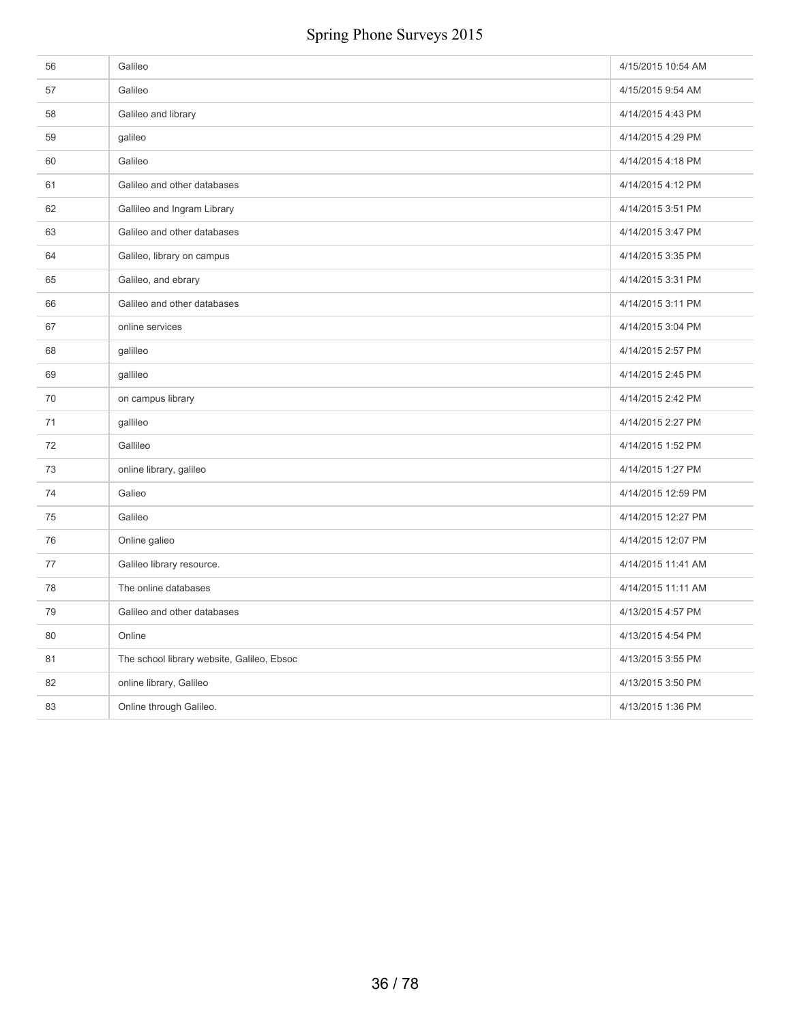| 56 | Galileo                                    | 4/15/2015 10:54 AM |
|----|--------------------------------------------|--------------------|
| 57 | Galileo                                    | 4/15/2015 9:54 AM  |
| 58 | Galileo and library                        | 4/14/2015 4:43 PM  |
| 59 | galileo                                    | 4/14/2015 4:29 PM  |
| 60 | Galileo                                    | 4/14/2015 4:18 PM  |
| 61 | Galileo and other databases                | 4/14/2015 4:12 PM  |
| 62 | Gallileo and Ingram Library                | 4/14/2015 3:51 PM  |
| 63 | Galileo and other databases                | 4/14/2015 3:47 PM  |
| 64 | Galileo, library on campus                 | 4/14/2015 3:35 PM  |
| 65 | Galileo, and ebrary                        | 4/14/2015 3:31 PM  |
| 66 | Galileo and other databases                | 4/14/2015 3:11 PM  |
| 67 | online services                            | 4/14/2015 3:04 PM  |
| 68 | galilleo                                   | 4/14/2015 2:57 PM  |
| 69 | gallileo                                   | 4/14/2015 2:45 PM  |
| 70 | on campus library                          | 4/14/2015 2:42 PM  |
| 71 | gallileo                                   | 4/14/2015 2:27 PM  |
| 72 | Gallileo                                   | 4/14/2015 1:52 PM  |
| 73 | online library, galileo                    | 4/14/2015 1:27 PM  |
| 74 | Galieo                                     | 4/14/2015 12:59 PM |
| 75 | Galileo                                    | 4/14/2015 12:27 PM |
| 76 | Online galieo                              | 4/14/2015 12:07 PM |
| 77 | Galileo library resource.                  | 4/14/2015 11:41 AM |
| 78 | The online databases                       | 4/14/2015 11:11 AM |
| 79 | Galileo and other databases                | 4/13/2015 4:57 PM  |
| 80 | Online                                     | 4/13/2015 4:54 PM  |
| 81 | The school library website, Galileo, Ebsoc | 4/13/2015 3:55 PM  |
| 82 | online library, Galileo                    | 4/13/2015 3:50 PM  |
| 83 | Online through Galileo.                    | 4/13/2015 1:36 PM  |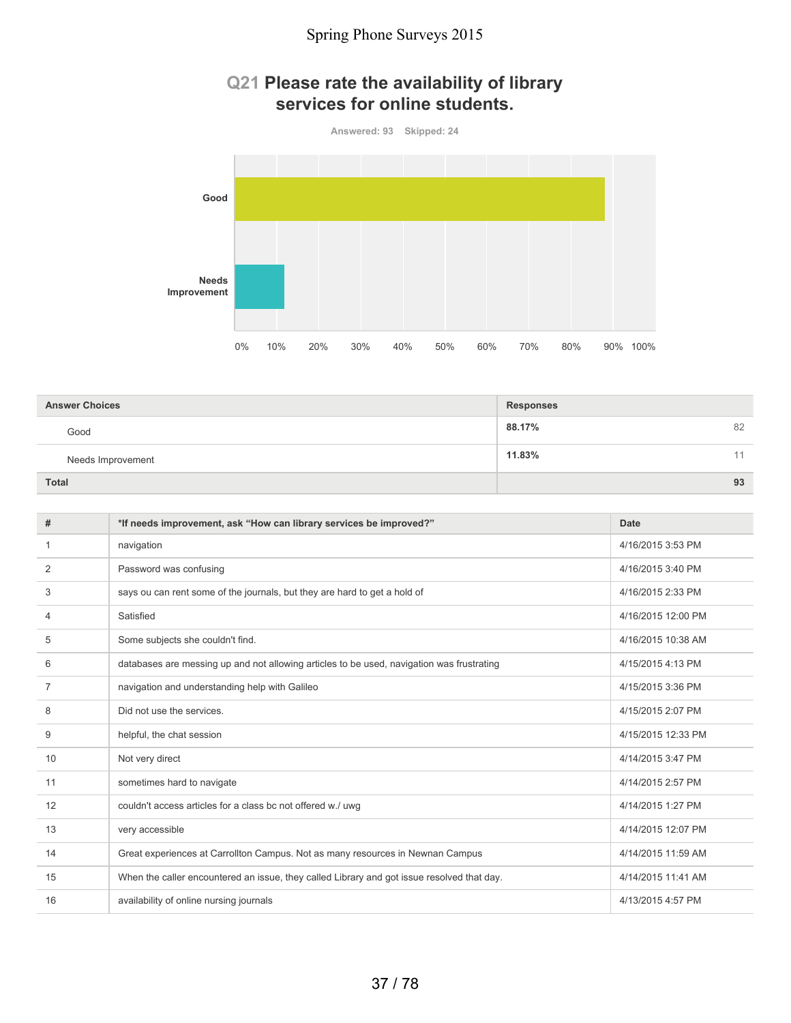### **Q21 Please rate the availability of library services for online students.**



| <b>Answer Choices</b> | <b>Responses</b> |    |
|-----------------------|------------------|----|
| Good                  | 88.17%           | 82 |
| Needs Improvement     | 11.83%           | 11 |
| <b>Total</b>          |                  | 93 |

| #  | *If needs improvement, ask "How can library services be improved?"                         | Date               |
|----|--------------------------------------------------------------------------------------------|--------------------|
| 1  | navigation                                                                                 | 4/16/2015 3:53 PM  |
| 2  | Password was confusing                                                                     | 4/16/2015 3:40 PM  |
| 3  | says ou can rent some of the journals, but they are hard to get a hold of                  | 4/16/2015 2:33 PM  |
| 4  | Satisfied                                                                                  | 4/16/2015 12:00 PM |
| 5  | Some subjects she couldn't find.                                                           | 4/16/2015 10:38 AM |
| 6  | databases are messing up and not allowing articles to be used, navigation was frustrating  | 4/15/2015 4:13 PM  |
| 7  | navigation and understanding help with Galileo                                             | 4/15/2015 3:36 PM  |
| 8  | Did not use the services.                                                                  | 4/15/2015 2:07 PM  |
| 9  | helpful, the chat session                                                                  | 4/15/2015 12:33 PM |
| 10 | Not very direct                                                                            | 4/14/2015 3:47 PM  |
| 11 | sometimes hard to navigate                                                                 | 4/14/2015 2:57 PM  |
| 12 | couldn't access articles for a class bc not offered w./ uwg                                | 4/14/2015 1:27 PM  |
| 13 | very accessible                                                                            | 4/14/2015 12:07 PM |
| 14 | Great experiences at Carrollton Campus. Not as many resources in Newnan Campus             | 4/14/2015 11:59 AM |
| 15 | When the caller encountered an issue, they called Library and got issue resolved that day. | 4/14/2015 11:41 AM |
| 16 | availability of online nursing journals                                                    | 4/13/2015 4:57 PM  |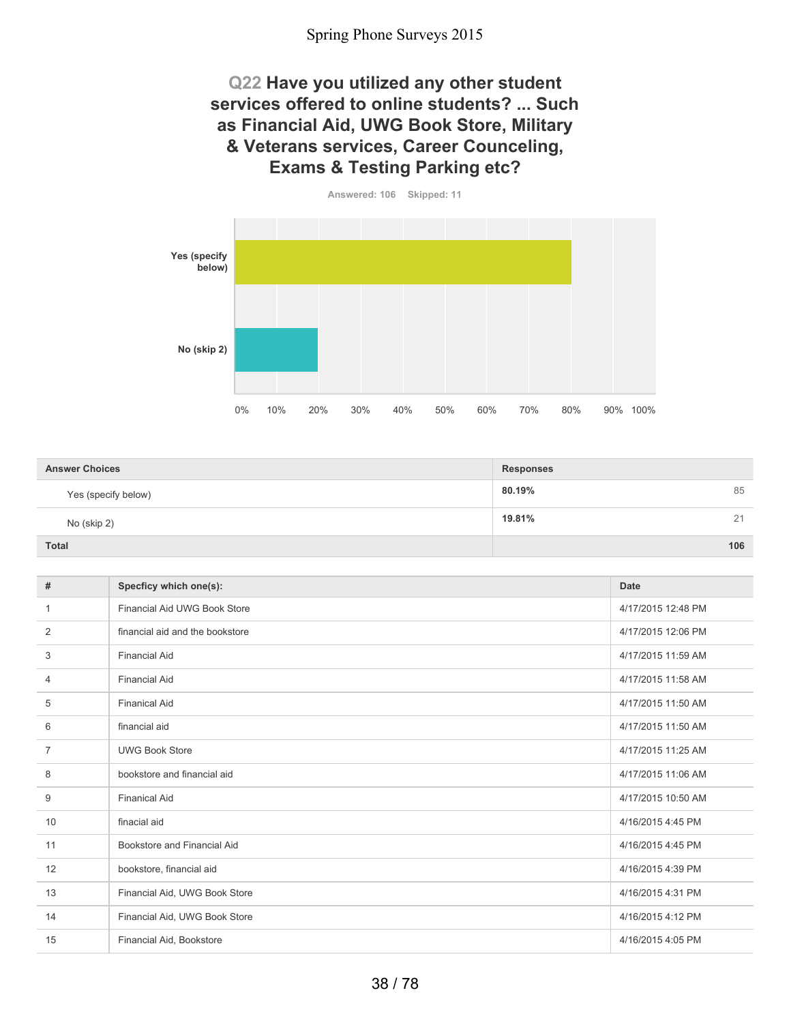### **Q22 Have you utilized any other student services offered to online students? ... Such as Financial Aid, UWG Book Store, Military & Veterans services, Career Counceling, Exams & Testing Parking etc?**



| <b>Answer Choices</b> | <b>Responses</b> |  |
|-----------------------|------------------|--|
| Yes (specify below)   | 85<br>80.19%     |  |
| No (skip 2)           | 19.81%<br>21     |  |
| <b>Total</b>          | 106              |  |

| #  | Specficy which one(s):              | <b>Date</b>        |
|----|-------------------------------------|--------------------|
| 1  | <b>Financial Aid UWG Book Store</b> | 4/17/2015 12:48 PM |
| 2  | financial aid and the bookstore     | 4/17/2015 12:06 PM |
| 3  | <b>Financial Aid</b>                | 4/17/2015 11:59 AM |
| 4  | <b>Financial Aid</b>                | 4/17/2015 11:58 AM |
| 5  | <b>Finanical Aid</b>                | 4/17/2015 11:50 AM |
| 6  | financial aid                       | 4/17/2015 11:50 AM |
| 7  | <b>UWG Book Store</b>               | 4/17/2015 11:25 AM |
| 8  | bookstore and financial aid         | 4/17/2015 11:06 AM |
| 9  | <b>Finanical Aid</b>                | 4/17/2015 10:50 AM |
| 10 | finacial aid                        | 4/16/2015 4:45 PM  |
| 11 | Bookstore and Financial Aid         | 4/16/2015 4:45 PM  |
| 12 | bookstore, financial aid            | 4/16/2015 4:39 PM  |
| 13 | Financial Aid, UWG Book Store       | 4/16/2015 4:31 PM  |
| 14 | Financial Aid, UWG Book Store       | 4/16/2015 4:12 PM  |
| 15 | Financial Aid, Bookstore            | 4/16/2015 4:05 PM  |
|    |                                     |                    |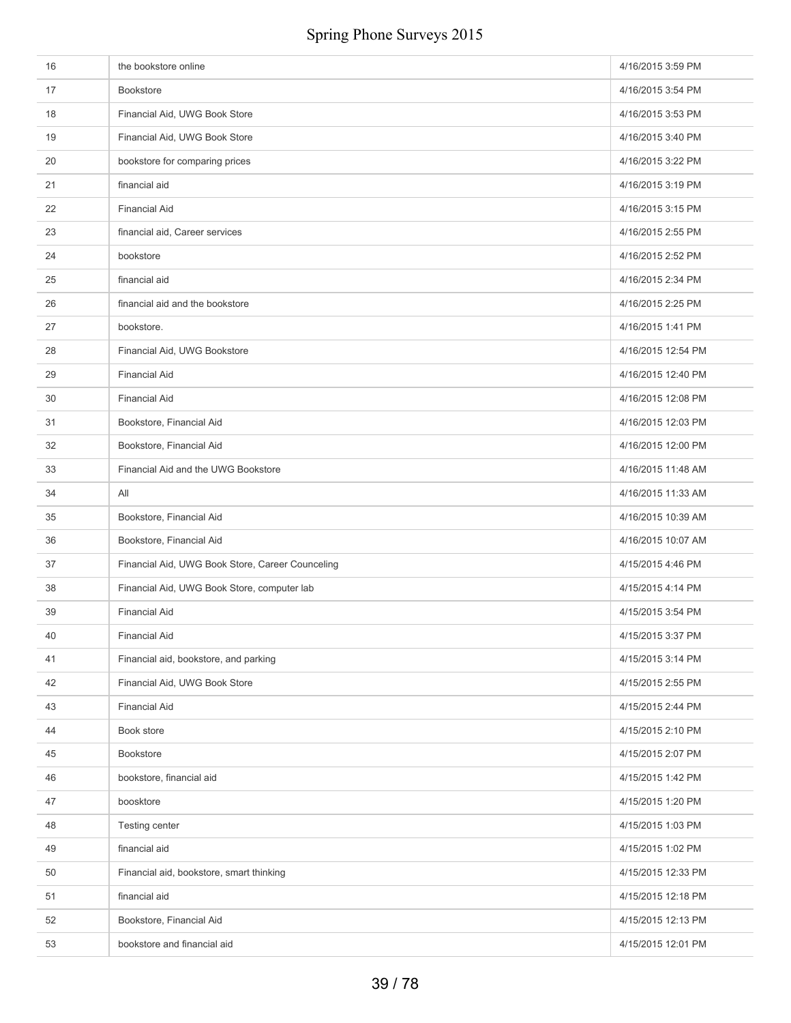| 16 | the bookstore online                             | 4/16/2015 3:59 PM  |
|----|--------------------------------------------------|--------------------|
| 17 | <b>Bookstore</b>                                 | 4/16/2015 3:54 PM  |
| 18 | Financial Aid, UWG Book Store                    | 4/16/2015 3:53 PM  |
| 19 | Financial Aid, UWG Book Store                    | 4/16/2015 3:40 PM  |
| 20 | bookstore for comparing prices                   | 4/16/2015 3:22 PM  |
| 21 | financial aid                                    | 4/16/2015 3:19 PM  |
| 22 | <b>Financial Aid</b>                             | 4/16/2015 3:15 PM  |
| 23 | financial aid, Career services                   | 4/16/2015 2:55 PM  |
| 24 | bookstore                                        | 4/16/2015 2:52 PM  |
| 25 | financial aid                                    | 4/16/2015 2:34 PM  |
| 26 | financial aid and the bookstore                  | 4/16/2015 2:25 PM  |
| 27 | bookstore.                                       | 4/16/2015 1:41 PM  |
| 28 | Financial Aid, UWG Bookstore                     | 4/16/2015 12:54 PM |
| 29 | <b>Financial Aid</b>                             | 4/16/2015 12:40 PM |
| 30 | <b>Financial Aid</b>                             | 4/16/2015 12:08 PM |
| 31 | Bookstore, Financial Aid                         | 4/16/2015 12:03 PM |
| 32 | Bookstore, Financial Aid                         | 4/16/2015 12:00 PM |
| 33 | Financial Aid and the UWG Bookstore              | 4/16/2015 11:48 AM |
| 34 | All                                              | 4/16/2015 11:33 AM |
| 35 | Bookstore, Financial Aid                         | 4/16/2015 10:39 AM |
| 36 | Bookstore, Financial Aid                         | 4/16/2015 10:07 AM |
| 37 | Financial Aid, UWG Book Store, Career Counceling | 4/15/2015 4:46 PM  |
| 38 | Financial Aid, UWG Book Store, computer lab      | 4/15/2015 4:14 PM  |
| 39 | <b>Financial Aid</b>                             | 4/15/2015 3:54 PM  |
| 40 | <b>Financial Aid</b>                             | 4/15/2015 3:37 PM  |
| 41 | Financial aid, bookstore, and parking            | 4/15/2015 3:14 PM  |
| 42 | Financial Aid, UWG Book Store                    | 4/15/2015 2:55 PM  |
| 43 | <b>Financial Aid</b>                             | 4/15/2015 2:44 PM  |
| 44 | Book store                                       | 4/15/2015 2:10 PM  |
| 45 | Bookstore                                        | 4/15/2015 2:07 PM  |
| 46 | bookstore, financial aid                         | 4/15/2015 1:42 PM  |
| 47 | boosktore                                        | 4/15/2015 1:20 PM  |
| 48 | Testing center                                   | 4/15/2015 1:03 PM  |
| 49 | financial aid                                    | 4/15/2015 1:02 PM  |
| 50 | Financial aid, bookstore, smart thinking         | 4/15/2015 12:33 PM |
| 51 | financial aid                                    | 4/15/2015 12:18 PM |
| 52 | Bookstore, Financial Aid                         | 4/15/2015 12:13 PM |
| 53 | bookstore and financial aid                      | 4/15/2015 12:01 PM |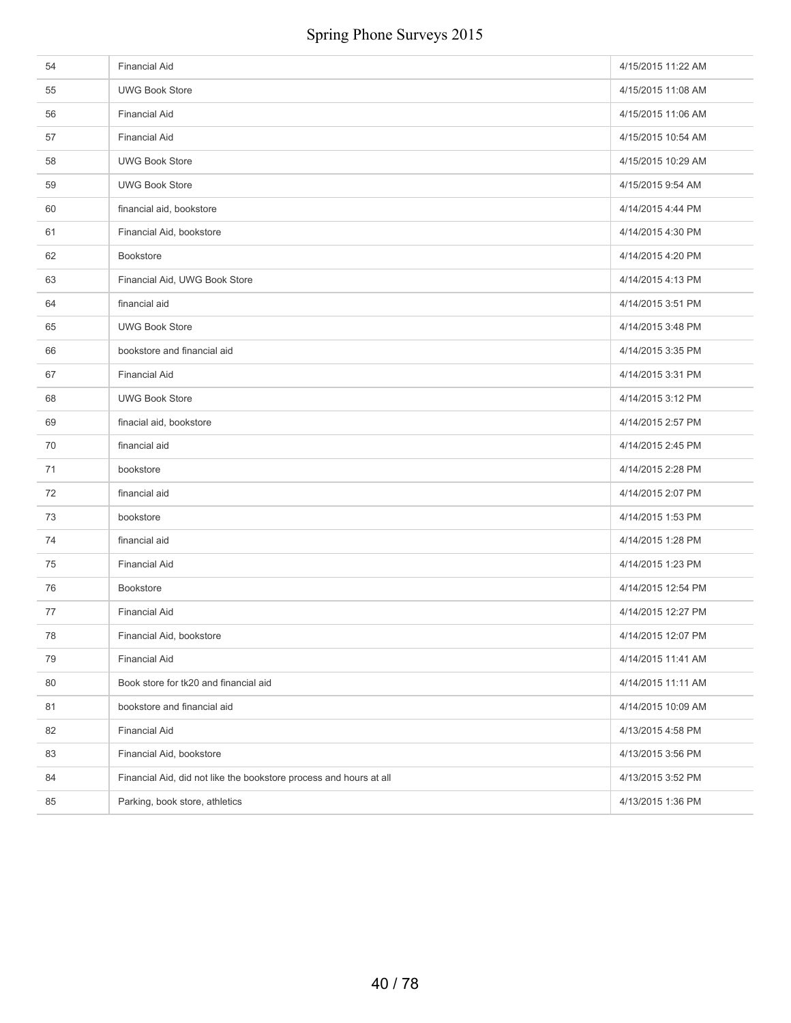| 54 | <b>Financial Aid</b>                                               | 4/15/2015 11:22 AM |
|----|--------------------------------------------------------------------|--------------------|
| 55 | <b>UWG Book Store</b>                                              | 4/15/2015 11:08 AM |
| 56 | <b>Financial Aid</b>                                               | 4/15/2015 11:06 AM |
| 57 | <b>Financial Aid</b>                                               | 4/15/2015 10:54 AM |
| 58 | <b>UWG Book Store</b>                                              | 4/15/2015 10:29 AM |
| 59 | <b>UWG Book Store</b>                                              | 4/15/2015 9:54 AM  |
| 60 | financial aid, bookstore                                           | 4/14/2015 4:44 PM  |
| 61 | Financial Aid, bookstore                                           | 4/14/2015 4:30 PM  |
| 62 | <b>Bookstore</b>                                                   | 4/14/2015 4:20 PM  |
| 63 | Financial Aid, UWG Book Store                                      | 4/14/2015 4:13 PM  |
| 64 | financial aid                                                      | 4/14/2015 3:51 PM  |
| 65 | <b>UWG Book Store</b>                                              | 4/14/2015 3:48 PM  |
| 66 | bookstore and financial aid                                        | 4/14/2015 3:35 PM  |
| 67 | <b>Financial Aid</b>                                               | 4/14/2015 3:31 PM  |
| 68 | <b>UWG Book Store</b>                                              | 4/14/2015 3:12 PM  |
| 69 | finacial aid, bookstore                                            | 4/14/2015 2:57 PM  |
| 70 | financial aid                                                      | 4/14/2015 2:45 PM  |
| 71 | bookstore                                                          | 4/14/2015 2:28 PM  |
| 72 | financial aid                                                      | 4/14/2015 2:07 PM  |
| 73 | bookstore                                                          | 4/14/2015 1:53 PM  |
| 74 | financial aid                                                      | 4/14/2015 1:28 PM  |
| 75 | <b>Financial Aid</b>                                               | 4/14/2015 1:23 PM  |
| 76 | <b>Bookstore</b>                                                   | 4/14/2015 12:54 PM |
| 77 | <b>Financial Aid</b>                                               | 4/14/2015 12:27 PM |
| 78 | Financial Aid, bookstore                                           | 4/14/2015 12:07 PM |
| 79 | <b>Financial Aid</b>                                               | 4/14/2015 11:41 AM |
| 80 | Book store for tk20 and financial aid                              | 4/14/2015 11:11 AM |
| 81 | bookstore and financial aid                                        | 4/14/2015 10:09 AM |
| 82 | <b>Financial Aid</b>                                               | 4/13/2015 4:58 PM  |
| 83 | Financial Aid, bookstore                                           | 4/13/2015 3:56 PM  |
| 84 | Financial Aid, did not like the bookstore process and hours at all | 4/13/2015 3:52 PM  |
| 85 | Parking, book store, athletics                                     | 4/13/2015 1:36 PM  |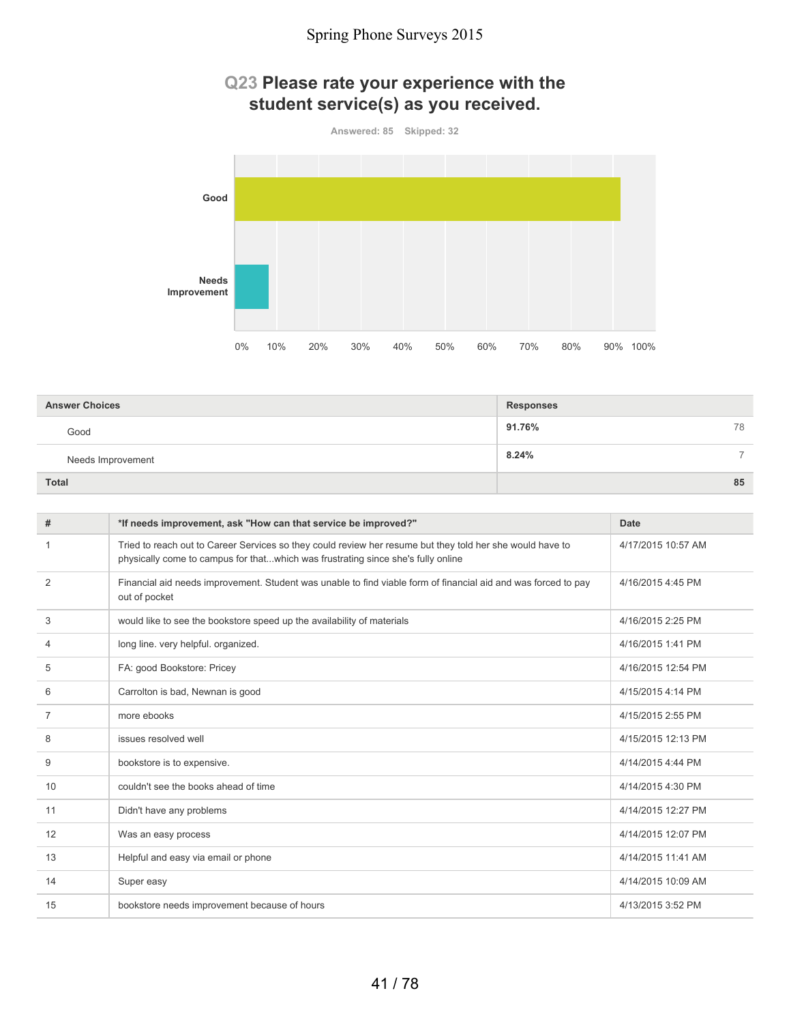### **Q23 Please rate your experience with the student service(s) as you received.**



| <b>Answer Choices</b> | <b>Responses</b>       |  |
|-----------------------|------------------------|--|
| Good                  | 91.76%<br>78           |  |
| Needs Improvement     | 8.24%<br>$\rightarrow$ |  |
| <b>Total</b>          | 85                     |  |

| #              | *If needs improvement, ask "How can that service be improved?"                                                                                                                                | Date               |
|----------------|-----------------------------------------------------------------------------------------------------------------------------------------------------------------------------------------------|--------------------|
| 1              | Tried to reach out to Career Services so they could review her resume but they told her she would have to<br>physically come to campus for thatwhich was frustrating since she's fully online | 4/17/2015 10:57 AM |
| $\overline{2}$ | Financial aid needs improvement. Student was unable to find viable form of financial aid and was forced to pay<br>out of pocket                                                               | 4/16/2015 4:45 PM  |
| 3              | would like to see the bookstore speed up the availability of materials                                                                                                                        | 4/16/2015 2:25 PM  |
| 4              | long line. very helpful. organized.                                                                                                                                                           | 4/16/2015 1:41 PM  |
| 5              | FA: good Bookstore: Pricey                                                                                                                                                                    | 4/16/2015 12:54 PM |
| 6              | Carrolton is bad, Newnan is good                                                                                                                                                              | 4/15/2015 4:14 PM  |
| 7              | more ebooks                                                                                                                                                                                   | 4/15/2015 2:55 PM  |
| 8              | issues resolved well                                                                                                                                                                          | 4/15/2015 12:13 PM |
| 9              | bookstore is to expensive.                                                                                                                                                                    | 4/14/2015 4:44 PM  |
| 10             | couldn't see the books ahead of time                                                                                                                                                          | 4/14/2015 4:30 PM  |
| 11             | Didn't have any problems                                                                                                                                                                      | 4/14/2015 12:27 PM |
| 12             | Was an easy process                                                                                                                                                                           | 4/14/2015 12:07 PM |
| 13             | Helpful and easy via email or phone                                                                                                                                                           | 4/14/2015 11:41 AM |
| 14             | Super easy                                                                                                                                                                                    | 4/14/2015 10:09 AM |
| 15             | bookstore needs improvement because of hours                                                                                                                                                  | 4/13/2015 3:52 PM  |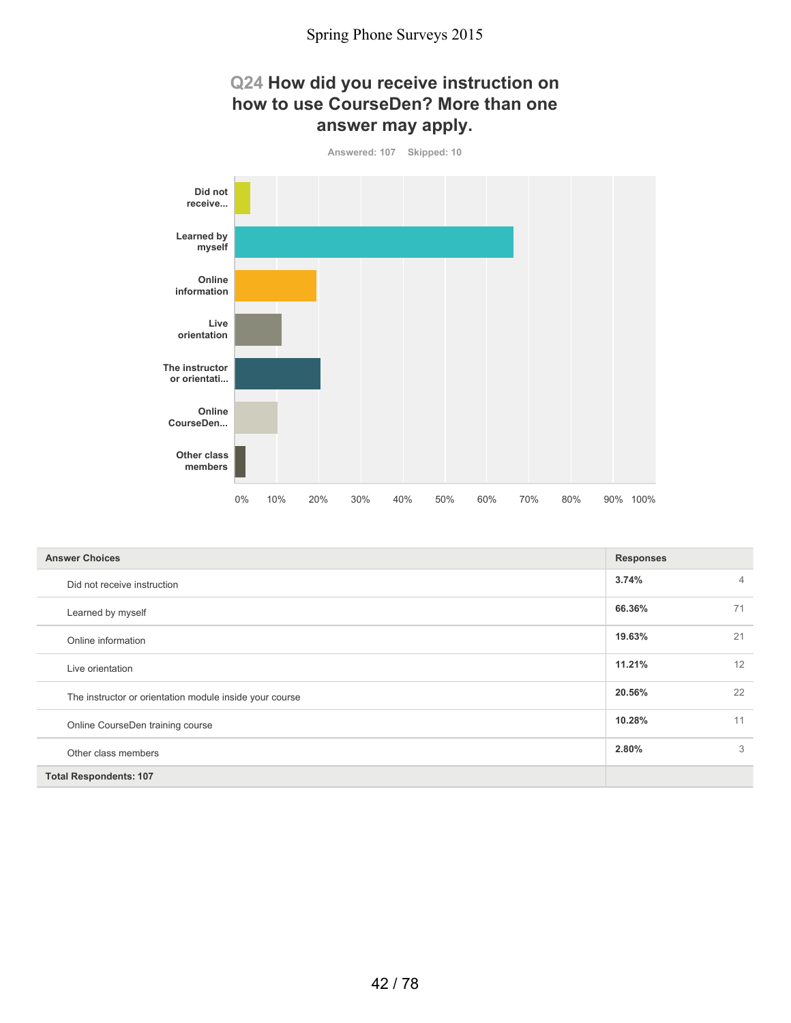### **Q24 How did you receive instruction on how to use CourseDen? More than one answer may apply.**



| <b>Answer Choices</b>                                   | <b>Responses</b> |    |
|---------------------------------------------------------|------------------|----|
| Did not receive instruction                             | 3.74%            | 4  |
| Learned by myself                                       | 66.36%           | 71 |
| Online information                                      | 19.63%           | 21 |
| Live orientation                                        | 11.21%           | 12 |
| The instructor or orientation module inside your course | 20.56%           | 22 |
| Online CourseDen training course                        | 10.28%           | 11 |
| Other class members                                     | 2.80%            | 3  |
| <b>Total Respondents: 107</b>                           |                  |    |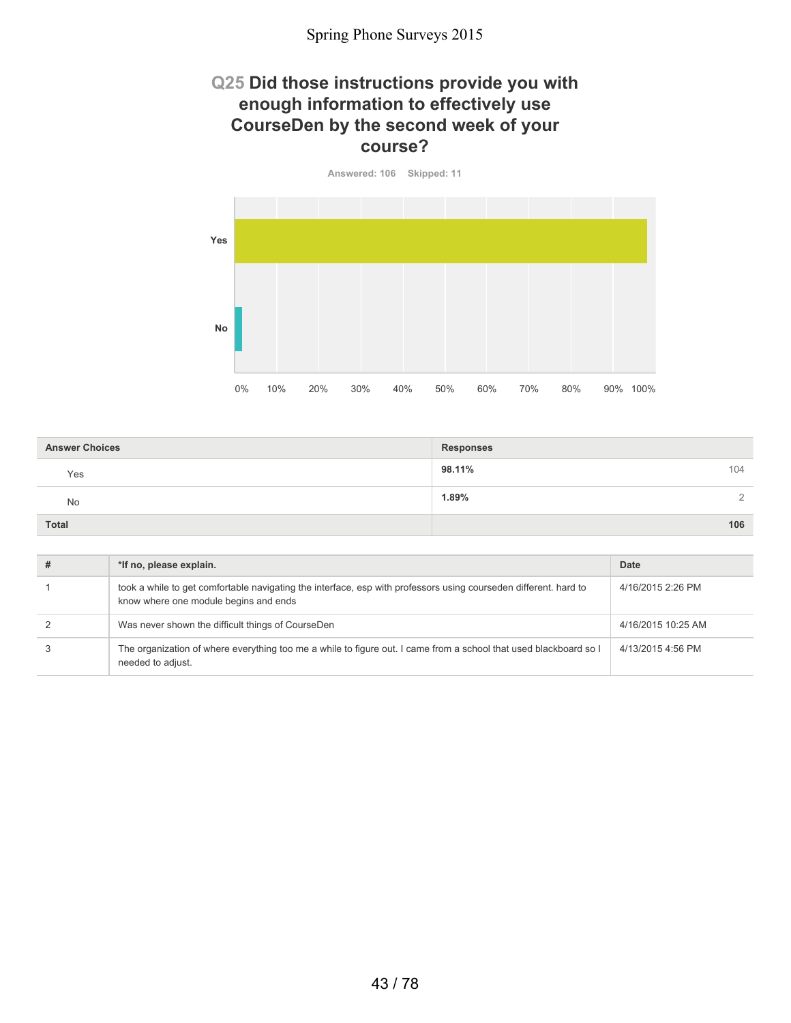### **Q25 Did those instructions provide you with enough information to effectively use CourseDen by the second week of your course?**



| <b>Answer Choices</b> | <b>Responses</b> |
|-----------------------|------------------|
| Yes                   | 98.11%<br>104    |
| No                    | 1.89%<br>$\cap$  |
| <b>Total</b>          | 106              |

| # | *If no, please explain.                                                                                                                                   | Date               |
|---|-----------------------------------------------------------------------------------------------------------------------------------------------------------|--------------------|
|   | took a while to get comfortable navigating the interface, esp with professors using courseden different. hard to<br>know where one module begins and ends | 4/16/2015 2:26 PM  |
|   | Was never shown the difficult things of CourseDen                                                                                                         | 4/16/2015 10:25 AM |
|   | The organization of where everything too me a while to figure out. I came from a school that used blackboard so I<br>needed to adjust.                    | 4/13/2015 4:56 PM  |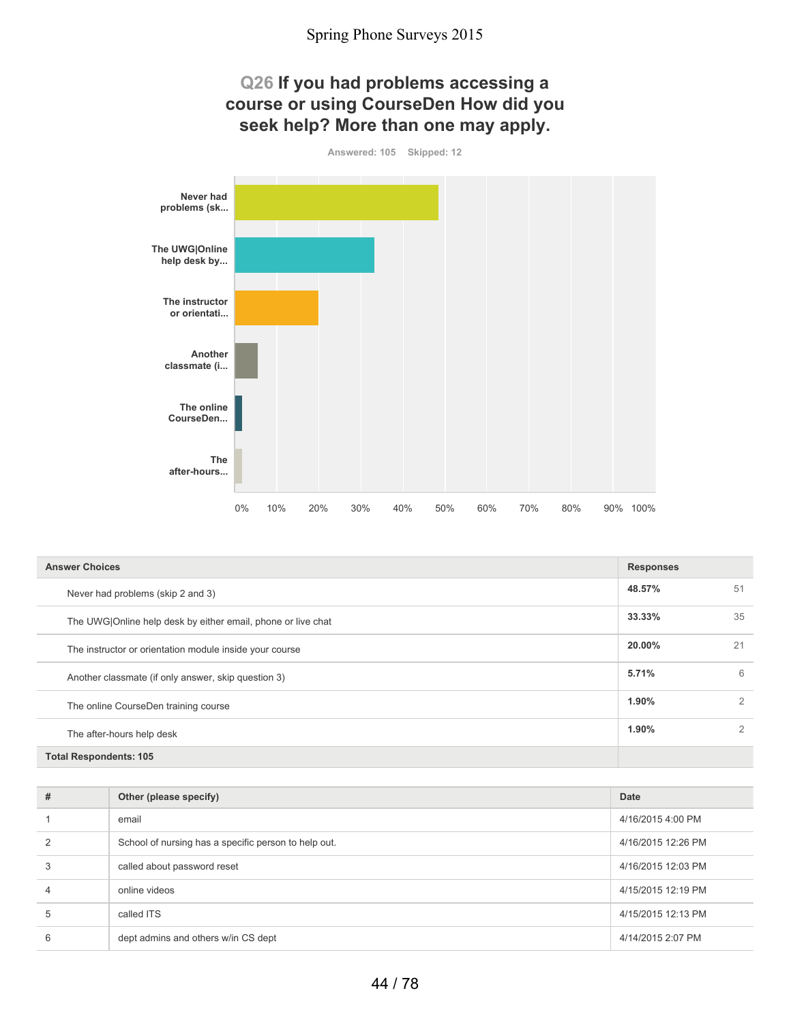

| <b>Answer Choices</b>                                        | <b>Responses</b> |    |
|--------------------------------------------------------------|------------------|----|
| Never had problems (skip 2 and 3)                            | 48.57%           | 51 |
| The UWG Online help desk by either email, phone or live chat | 33.33%           | 35 |
| The instructor or orientation module inside your course      | 20.00%           | 21 |
| Another classmate (if only answer, skip question 3)          | 5.71%            | 6  |
| The online CourseDen training course                         | 1.90%            | 2  |
| The after-hours help desk                                    | 1.90%            | 2  |
| <b>Total Respondents: 105</b>                                |                  |    |

| # | Other (please specify)                               | Date               |
|---|------------------------------------------------------|--------------------|
|   | email                                                | 4/16/2015 4:00 PM  |
| 2 | School of nursing has a specific person to help out. | 4/16/2015 12:26 PM |
| 3 | called about password reset                          | 4/16/2015 12:03 PM |
| 4 | online videos                                        | 4/15/2015 12:19 PM |
| 5 | called ITS                                           | 4/15/2015 12:13 PM |
| 6 | dept admins and others w/in CS dept                  | 4/14/2015 2:07 PM  |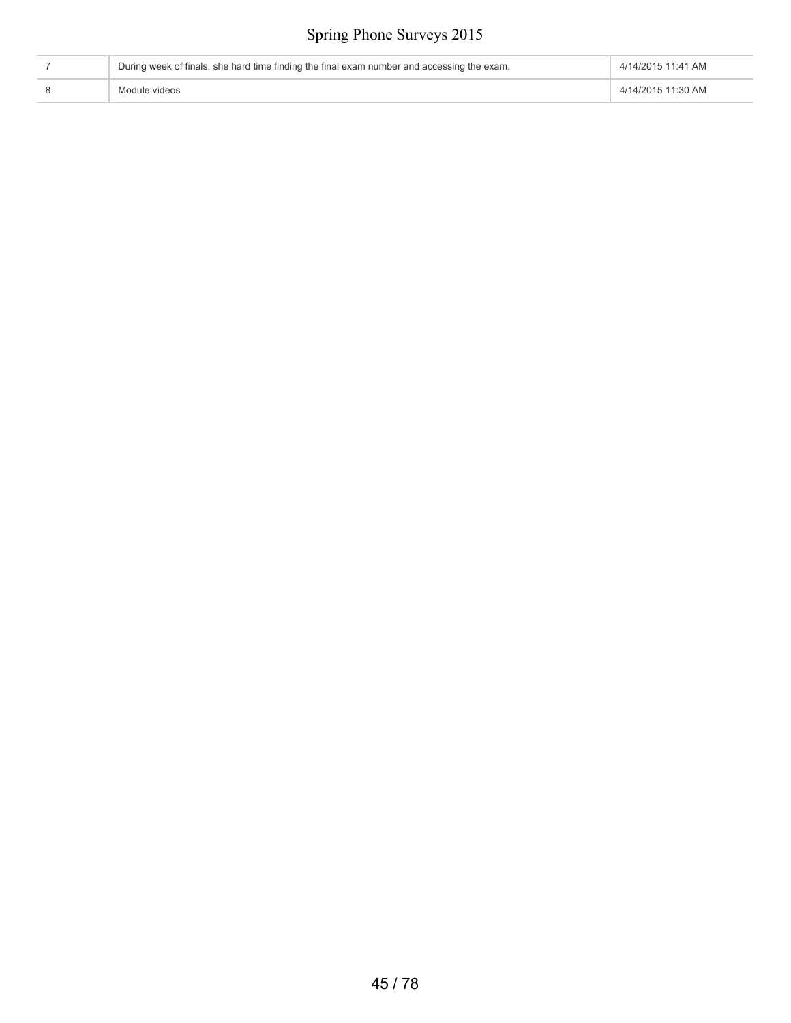| During week of finals, she hard time finding the final exam number and accessing the exam. | 4/14/2015 11:41 AM |
|--------------------------------------------------------------------------------------------|--------------------|
| Module videos                                                                              | 4/14/2015 11:30 AM |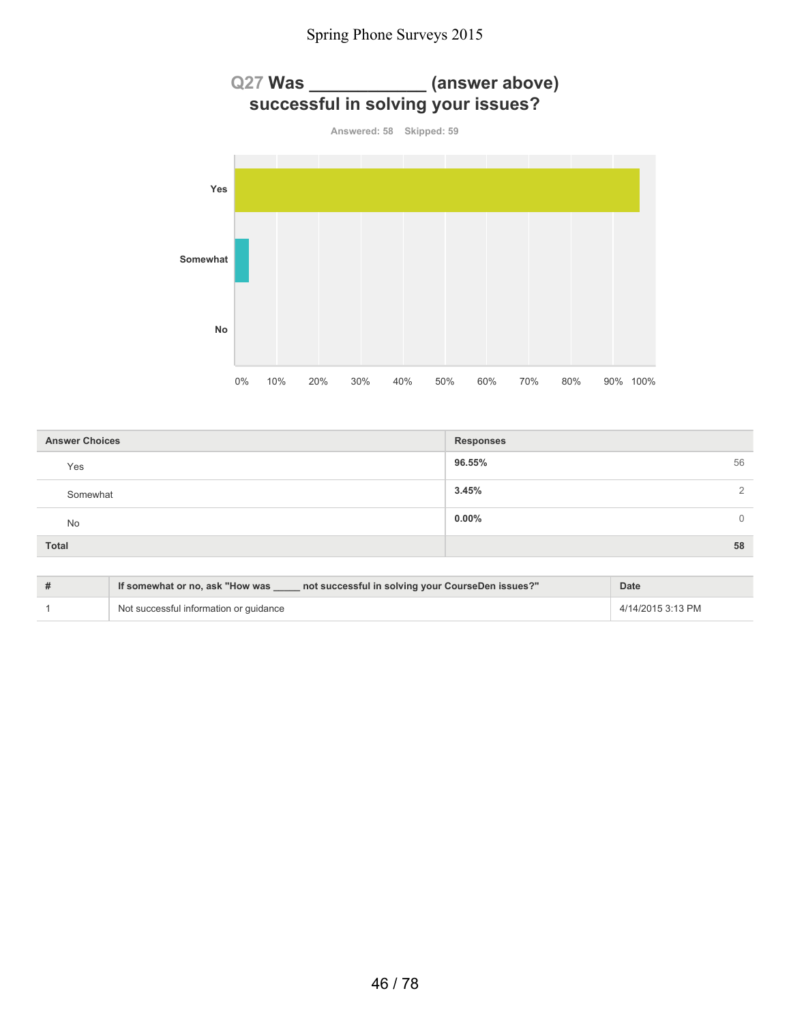

| <b>Answer Choices</b> | <b>Responses</b>     |
|-----------------------|----------------------|
| Yes                   | 96.55%<br>56         |
| Somewhat              | 3.45%<br>$\Omega$    |
| No                    | $0.00\%$<br>$\Omega$ |
| <b>Total</b>          | 58                   |

| If somewhat or no, ask "How was<br>not successful in solving your CourseDen issues?" | <b>Date</b>       |
|--------------------------------------------------------------------------------------|-------------------|
| Not successful information or quidance                                               | 4/14/2015 3:13 PM |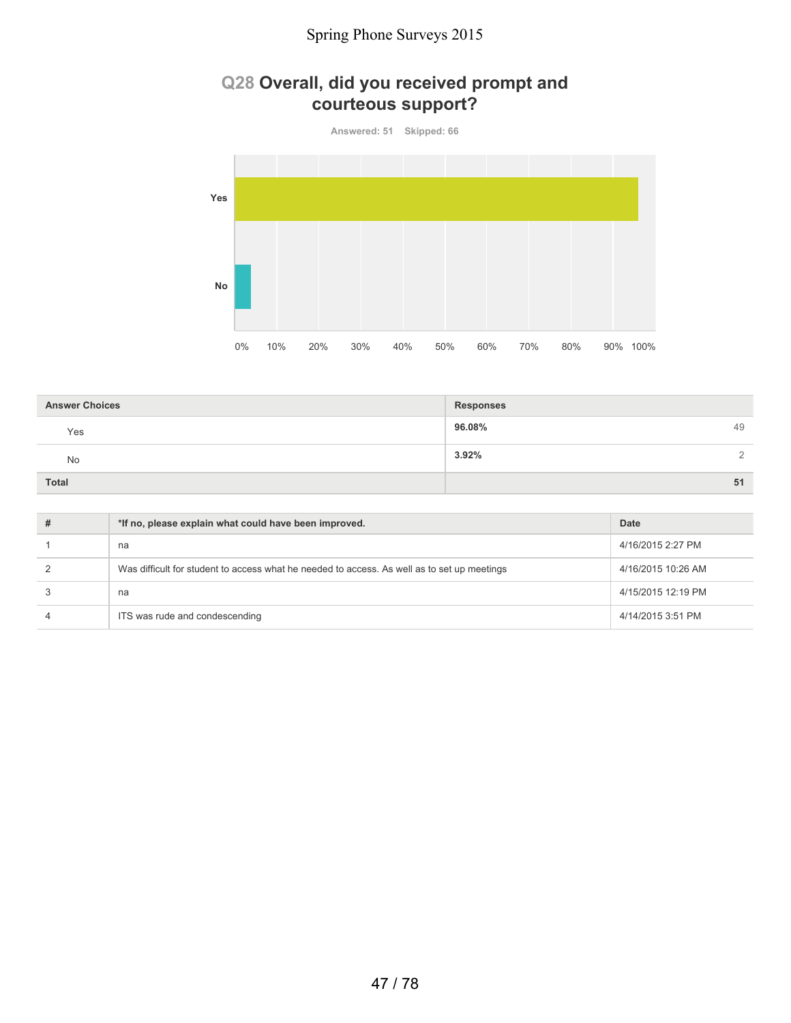### **Q28 Overall, did you received prompt and courteous support?**



| <b>Answer Choices</b> | Responses         |
|-----------------------|-------------------|
| Yes                   | 96.08%<br>49      |
| No                    | 3.92%<br>$\gamma$ |
| <b>Total</b>          | 51                |

| *If no, please explain what could have been improved.                                       | Date               |
|---------------------------------------------------------------------------------------------|--------------------|
| na                                                                                          | 4/16/2015 2:27 PM  |
| Was difficult for student to access what he needed to access. As well as to set up meetings | 4/16/2015 10:26 AM |
| na                                                                                          | 4/15/2015 12:19 PM |
| ITS was rude and condescending                                                              | 4/14/2015 3:51 PM  |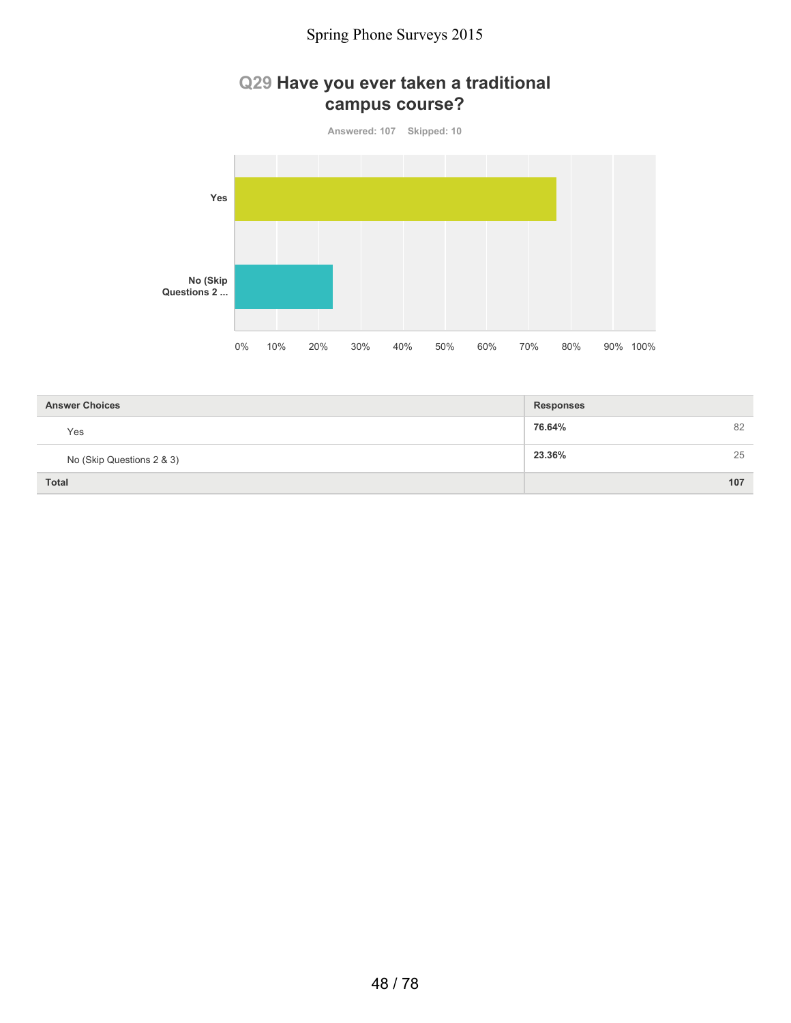### **Q29 Have you ever taken a traditional campus course?**

**Answered: 107 Skipped: 10 Yes No (Skip Questions 2 ...** 0% 10% 20% 30% 40% 50% 60% 70% 80% 90% 100%

| <b>Answer Choices</b>     | Responses    |
|---------------------------|--------------|
| Yes                       | 82<br>76.64% |
| No (Skip Questions 2 & 3) | 25<br>23.36% |
| <b>Total</b>              | 107          |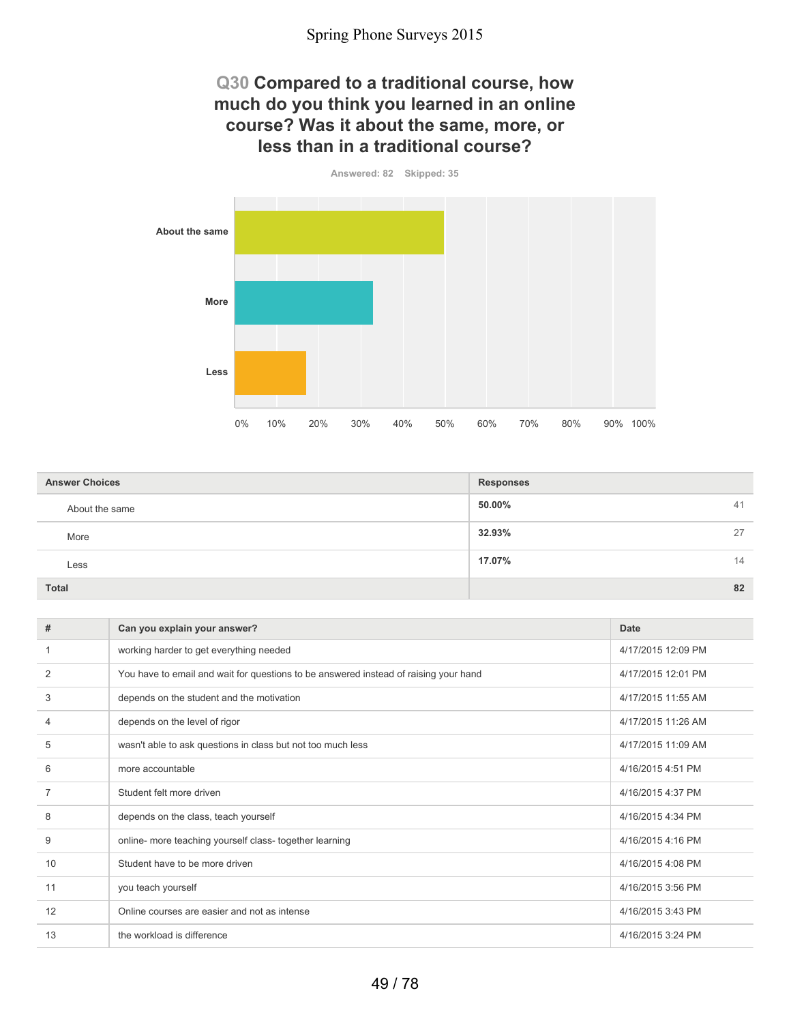### **Q30 Compared to a traditional course, how much do you think you learned in an online course? Was it about the same, more, or less than in a traditional course?**

**Answered: 82 Skipped: 35 About the same More Less** 0% 10% 20% 30% 40% 50% 60% 70% 80% 90% 100%

| <b>Answer Choices</b> | <b>Responses</b> |    |
|-----------------------|------------------|----|
| About the same        | 50.00%           | 41 |
| More                  | 32.93%           | 27 |
| Less                  | 17.07%           | 14 |
| Total                 |                  | 82 |

| #              | Can you explain your answer?                                                         | <b>Date</b>        |
|----------------|--------------------------------------------------------------------------------------|--------------------|
|                | working harder to get everything needed                                              | 4/17/2015 12:09 PM |
| 2              | You have to email and wait for questions to be answered instead of raising your hand | 4/17/2015 12:01 PM |
| 3              | depends on the student and the motivation                                            | 4/17/2015 11:55 AM |
| $\overline{4}$ | depends on the level of rigor                                                        | 4/17/2015 11:26 AM |
| 5              | wasn't able to ask questions in class but not too much less                          | 4/17/2015 11:09 AM |
| 6              | more accountable                                                                     | 4/16/2015 4:51 PM  |
| 7              | Student felt more driven                                                             | 4/16/2015 4:37 PM  |
| 8              | depends on the class, teach yourself                                                 | 4/16/2015 4:34 PM  |
| 9              | online- more teaching yourself class- together learning                              | 4/16/2015 4:16 PM  |
| 10             | Student have to be more driven                                                       | 4/16/2015 4:08 PM  |
| 11             | you teach yourself                                                                   | 4/16/2015 3:56 PM  |
| 12             | Online courses are easier and not as intense                                         | 4/16/2015 3:43 PM  |
| 13             | the workload is difference                                                           | 4/16/2015 3:24 PM  |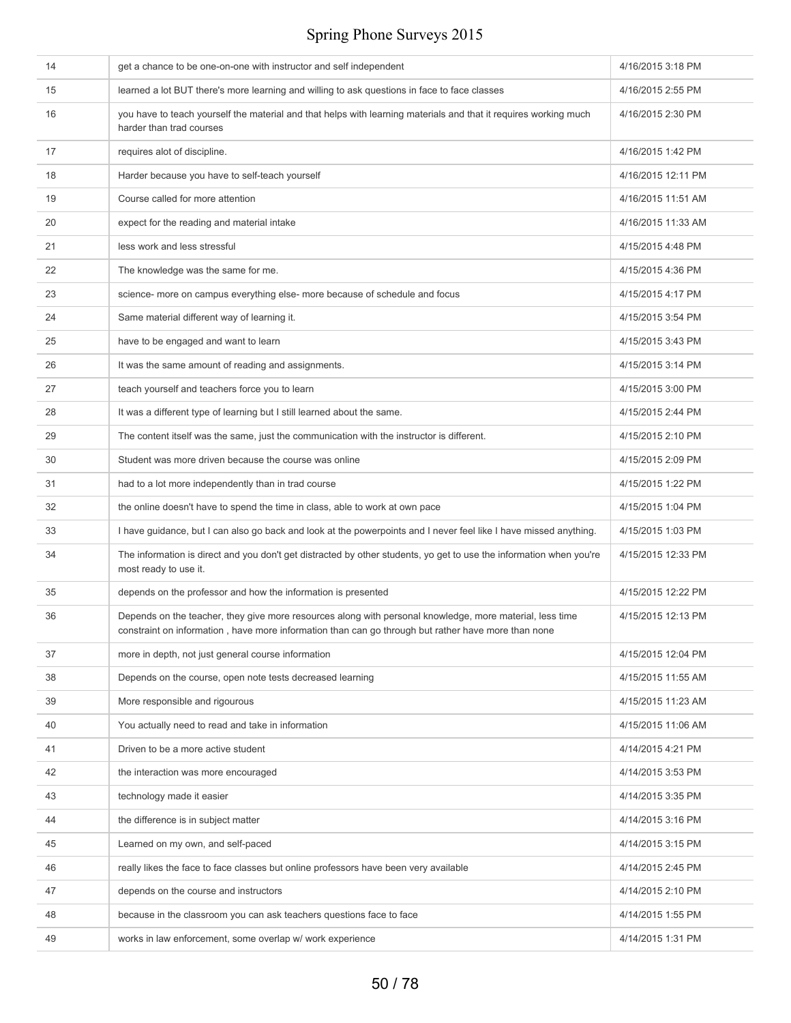| 14 | get a chance to be one-on-one with instructor and self independent                                                                                                                                              | 4/16/2015 3:18 PM  |
|----|-----------------------------------------------------------------------------------------------------------------------------------------------------------------------------------------------------------------|--------------------|
| 15 | learned a lot BUT there's more learning and willing to ask questions in face to face classes                                                                                                                    | 4/16/2015 2:55 PM  |
| 16 | you have to teach yourself the material and that helps with learning materials and that it requires working much<br>harder than trad courses                                                                    | 4/16/2015 2:30 PM  |
| 17 | requires alot of discipline.                                                                                                                                                                                    | 4/16/2015 1:42 PM  |
| 18 | Harder because you have to self-teach yourself                                                                                                                                                                  | 4/16/2015 12:11 PM |
| 19 | Course called for more attention                                                                                                                                                                                | 4/16/2015 11:51 AM |
| 20 | expect for the reading and material intake                                                                                                                                                                      | 4/16/2015 11:33 AM |
| 21 | less work and less stressful                                                                                                                                                                                    | 4/15/2015 4:48 PM  |
| 22 | The knowledge was the same for me.                                                                                                                                                                              | 4/15/2015 4:36 PM  |
| 23 | science- more on campus everything else- more because of schedule and focus                                                                                                                                     | 4/15/2015 4:17 PM  |
| 24 | Same material different way of learning it.                                                                                                                                                                     | 4/15/2015 3:54 PM  |
| 25 | have to be engaged and want to learn                                                                                                                                                                            | 4/15/2015 3:43 PM  |
| 26 | It was the same amount of reading and assignments.                                                                                                                                                              | 4/15/2015 3:14 PM  |
| 27 | teach yourself and teachers force you to learn                                                                                                                                                                  | 4/15/2015 3:00 PM  |
| 28 | It was a different type of learning but I still learned about the same.                                                                                                                                         | 4/15/2015 2:44 PM  |
| 29 | The content itself was the same, just the communication with the instructor is different.                                                                                                                       | 4/15/2015 2:10 PM  |
| 30 | Student was more driven because the course was online                                                                                                                                                           | 4/15/2015 2:09 PM  |
| 31 | had to a lot more independently than in trad course                                                                                                                                                             | 4/15/2015 1:22 PM  |
| 32 | the online doesn't have to spend the time in class, able to work at own pace                                                                                                                                    | 4/15/2015 1:04 PM  |
| 33 | I have guidance, but I can also go back and look at the powerpoints and I never feel like I have missed anything.                                                                                               | 4/15/2015 1:03 PM  |
| 34 | The information is direct and you don't get distracted by other students, yo get to use the information when you're<br>most ready to use it.                                                                    | 4/15/2015 12:33 PM |
| 35 | depends on the professor and how the information is presented                                                                                                                                                   | 4/15/2015 12:22 PM |
| 36 | Depends on the teacher, they give more resources along with personal knowledge, more material, less time<br>constraint on information, have more information than can go through but rather have more than none | 4/15/2015 12:13 PM |
| 37 | more in depth, not just general course information                                                                                                                                                              | 4/15/2015 12:04 PM |
| 38 | Depends on the course, open note tests decreased learning                                                                                                                                                       | 4/15/2015 11:55 AM |
| 39 | More responsible and rigourous                                                                                                                                                                                  | 4/15/2015 11:23 AM |
| 40 | You actually need to read and take in information                                                                                                                                                               | 4/15/2015 11:06 AM |
| 41 | Driven to be a more active student                                                                                                                                                                              | 4/14/2015 4:21 PM  |
| 42 | the interaction was more encouraged                                                                                                                                                                             | 4/14/2015 3:53 PM  |
| 43 | technology made it easier                                                                                                                                                                                       | 4/14/2015 3:35 PM  |
| 44 | the difference is in subject matter                                                                                                                                                                             | 4/14/2015 3:16 PM  |
| 45 | Learned on my own, and self-paced                                                                                                                                                                               | 4/14/2015 3:15 PM  |
| 46 | really likes the face to face classes but online professors have been very available                                                                                                                            | 4/14/2015 2:45 PM  |
| 47 | depends on the course and instructors                                                                                                                                                                           | 4/14/2015 2:10 PM  |
| 48 | because in the classroom you can ask teachers questions face to face                                                                                                                                            | 4/14/2015 1:55 PM  |
| 49 | works in law enforcement, some overlap w/ work experience                                                                                                                                                       | 4/14/2015 1:31 PM  |
|    |                                                                                                                                                                                                                 |                    |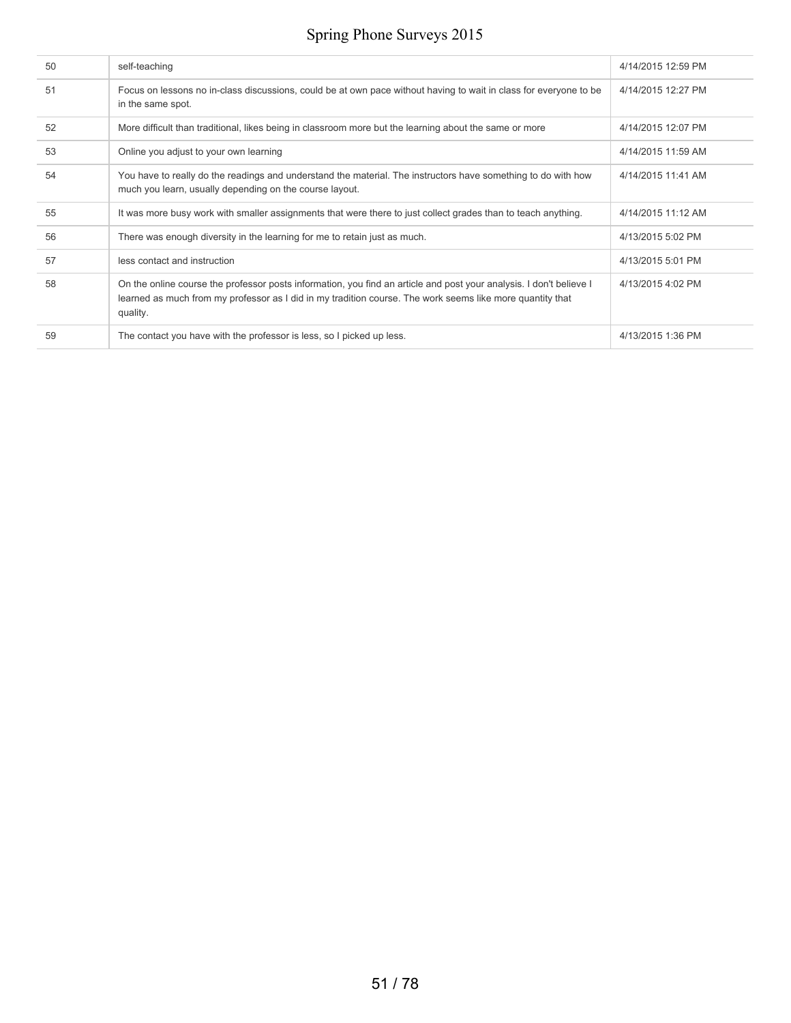| 50 | self-teaching                                                                                                                                                                                                                                | 4/14/2015 12:59 PM |
|----|----------------------------------------------------------------------------------------------------------------------------------------------------------------------------------------------------------------------------------------------|--------------------|
| 51 | Focus on lessons no in-class discussions, could be at own pace without having to wait in class for everyone to be<br>in the same spot.                                                                                                       | 4/14/2015 12:27 PM |
| 52 | More difficult than traditional, likes being in classroom more but the learning about the same or more                                                                                                                                       | 4/14/2015 12:07 PM |
| 53 | Online you adjust to your own learning                                                                                                                                                                                                       | 4/14/2015 11:59 AM |
| 54 | You have to really do the readings and understand the material. The instructors have something to do with how<br>much you learn, usually depending on the course layout.                                                                     | 4/14/2015 11:41 AM |
| 55 | It was more busy work with smaller assignments that were there to just collect grades than to teach anything.                                                                                                                                | 4/14/2015 11:12 AM |
| 56 | There was enough diversity in the learning for me to retain just as much.                                                                                                                                                                    | 4/13/2015 5:02 PM  |
| 57 | less contact and instruction                                                                                                                                                                                                                 | 4/13/2015 5:01 PM  |
| 58 | On the online course the professor posts information, you find an article and post your analysis. I don't believe I<br>learned as much from my professor as I did in my tradition course. The work seems like more quantity that<br>quality. | 4/13/2015 4:02 PM  |
| 59 | The contact you have with the professor is less, so I picked up less.                                                                                                                                                                        | 4/13/2015 1:36 PM  |
|    |                                                                                                                                                                                                                                              |                    |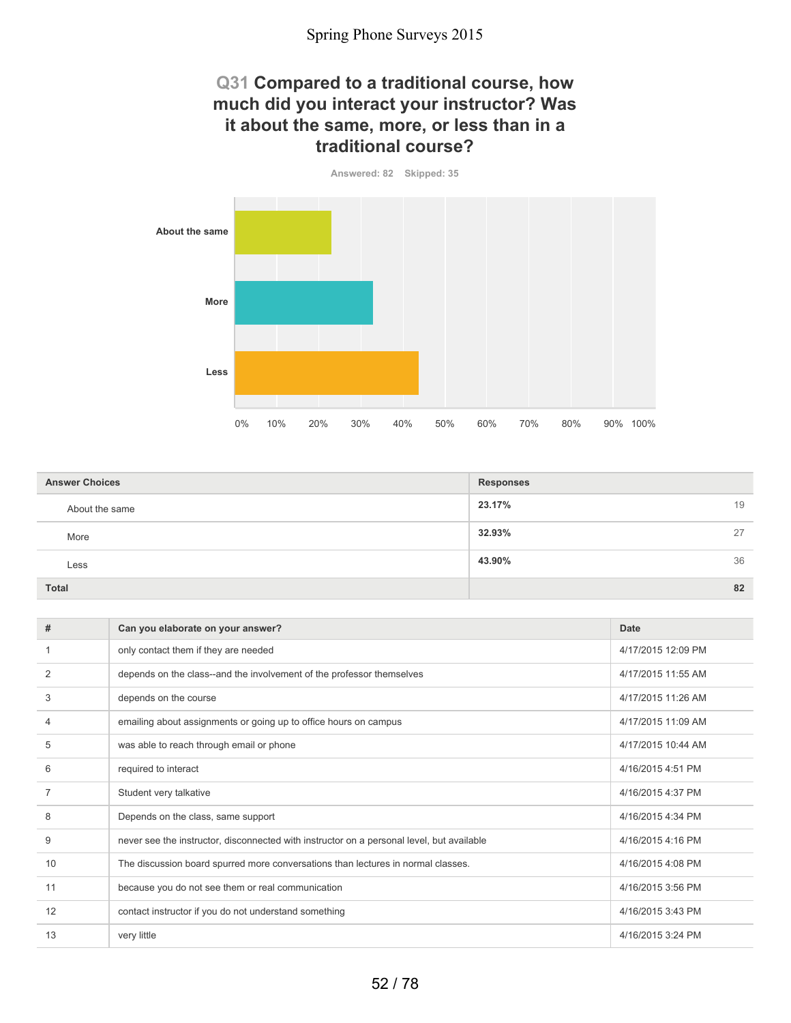### **Q31 Compared to a traditional course, how much did you interact your instructor? Was it about the same, more, or less than in a traditional course?**

**Answered: 82 Skipped: 35**



| <b>Answer Choices</b> | <b>Responses</b> |    |
|-----------------------|------------------|----|
| About the same        | 23.17%           | 19 |
| More                  | 32.93%           | 27 |
| Less                  | 43.90%           | 36 |
| <b>Total</b>          |                  | 82 |

| #              | Can you elaborate on your answer?                                                         | Date               |
|----------------|-------------------------------------------------------------------------------------------|--------------------|
|                | only contact them if they are needed                                                      | 4/17/2015 12:09 PM |
| 2              | depends on the class--and the involvement of the professor themselves                     | 4/17/2015 11:55 AM |
| 3              | depends on the course                                                                     | 4/17/2015 11:26 AM |
| 4              | emailing about assignments or going up to office hours on campus                          | 4/17/2015 11:09 AM |
| 5              | was able to reach through email or phone                                                  | 4/17/2015 10:44 AM |
| 6              | required to interact                                                                      | 4/16/2015 4:51 PM  |
| $\overline{7}$ | Student very talkative                                                                    | 4/16/2015 4:37 PM  |
| 8              | Depends on the class, same support                                                        | 4/16/2015 4:34 PM  |
| 9              | never see the instructor, disconnected with instructor on a personal level, but available | 4/16/2015 4:16 PM  |
| 10             | The discussion board spurred more conversations than lectures in normal classes.          | 4/16/2015 4:08 PM  |
| 11             | because you do not see them or real communication                                         | 4/16/2015 3:56 PM  |
| 12             | contact instructor if you do not understand something                                     | 4/16/2015 3:43 PM  |
| 13             | very little                                                                               | 4/16/2015 3:24 PM  |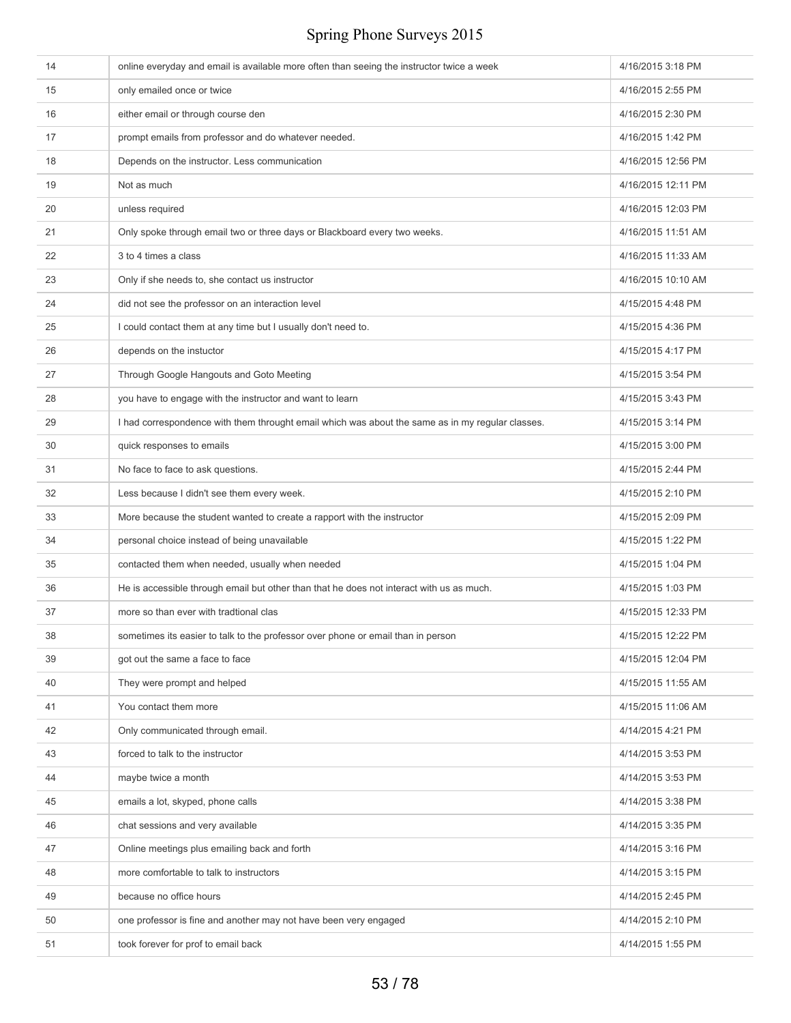| 14 | online everyday and email is available more often than seeing the instructor twice a week        | 4/16/2015 3:18 PM  |
|----|--------------------------------------------------------------------------------------------------|--------------------|
| 15 | only emailed once or twice                                                                       | 4/16/2015 2:55 PM  |
| 16 | either email or through course den                                                               | 4/16/2015 2:30 PM  |
| 17 | prompt emails from professor and do whatever needed.                                             | 4/16/2015 1:42 PM  |
| 18 | Depends on the instructor. Less communication                                                    | 4/16/2015 12:56 PM |
| 19 | Not as much                                                                                      | 4/16/2015 12:11 PM |
| 20 | unless required                                                                                  | 4/16/2015 12:03 PM |
| 21 | Only spoke through email two or three days or Blackboard every two weeks.                        | 4/16/2015 11:51 AM |
| 22 | 3 to 4 times a class                                                                             | 4/16/2015 11:33 AM |
| 23 | Only if she needs to, she contact us instructor                                                  | 4/16/2015 10:10 AM |
| 24 | did not see the professor on an interaction level                                                | 4/15/2015 4:48 PM  |
| 25 | I could contact them at any time but I usually don't need to.                                    | 4/15/2015 4:36 PM  |
| 26 | depends on the instuctor                                                                         | 4/15/2015 4:17 PM  |
| 27 | Through Google Hangouts and Goto Meeting                                                         | 4/15/2015 3:54 PM  |
| 28 | you have to engage with the instructor and want to learn                                         | 4/15/2015 3:43 PM  |
| 29 | I had correspondence with them throught email which was about the same as in my regular classes. | 4/15/2015 3:14 PM  |
| 30 | quick responses to emails                                                                        | 4/15/2015 3:00 PM  |
| 31 | No face to face to ask questions.                                                                | 4/15/2015 2:44 PM  |
| 32 | Less because I didn't see them every week.                                                       | 4/15/2015 2:10 PM  |
| 33 | More because the student wanted to create a rapport with the instructor                          | 4/15/2015 2:09 PM  |
| 34 | personal choice instead of being unavailable                                                     | 4/15/2015 1:22 PM  |
| 35 | contacted them when needed, usually when needed                                                  | 4/15/2015 1:04 PM  |
| 36 | He is accessible through email but other than that he does not interact with us as much.         | 4/15/2015 1:03 PM  |
| 37 | more so than ever with tradtional clas                                                           | 4/15/2015 12:33 PM |
| 38 | sometimes its easier to talk to the professor over phone or email than in person                 | 4/15/2015 12:22 PM |
| 39 | got out the same a face to face                                                                  | 4/15/2015 12:04 PM |
| 40 | They were prompt and helped                                                                      | 4/15/2015 11:55 AM |
| 41 | You contact them more                                                                            | 4/15/2015 11:06 AM |
| 42 | Only communicated through email.                                                                 | 4/14/2015 4:21 PM  |
| 43 | forced to talk to the instructor                                                                 | 4/14/2015 3:53 PM  |
| 44 | maybe twice a month                                                                              | 4/14/2015 3:53 PM  |
| 45 | emails a lot, skyped, phone calls                                                                | 4/14/2015 3:38 PM  |
| 46 | chat sessions and very available                                                                 | 4/14/2015 3:35 PM  |
| 47 | Online meetings plus emailing back and forth                                                     | 4/14/2015 3:16 PM  |
| 48 | more comfortable to talk to instructors                                                          | 4/14/2015 3:15 PM  |
| 49 | because no office hours                                                                          | 4/14/2015 2:45 PM  |
| 50 | one professor is fine and another may not have been very engaged                                 | 4/14/2015 2:10 PM  |
| 51 | took forever for prof to email back                                                              | 4/14/2015 1:55 PM  |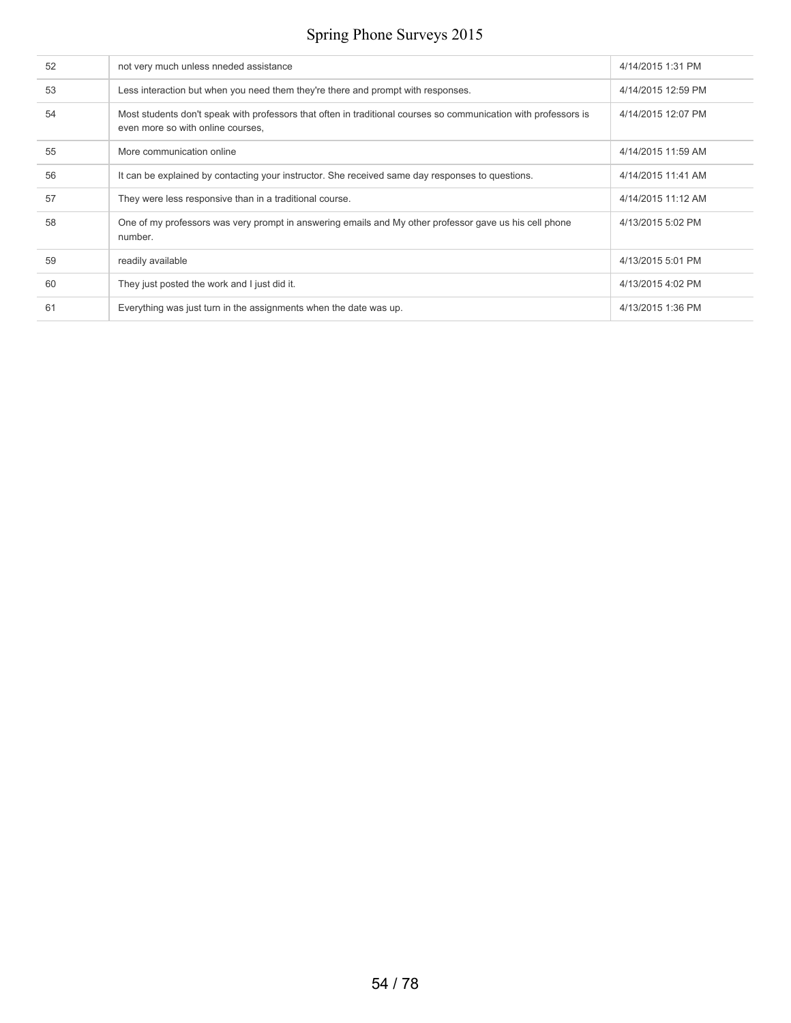| 52 | not very much unless nneded assistance                                                                                                               | 4/14/2015 1:31 PM  |
|----|------------------------------------------------------------------------------------------------------------------------------------------------------|--------------------|
| 53 | Less interaction but when you need them they're there and prompt with responses.                                                                     | 4/14/2015 12:59 PM |
| 54 | Most students don't speak with professors that often in traditional courses so communication with professors is<br>even more so with online courses, | 4/14/2015 12:07 PM |
| 55 | More communication online                                                                                                                            | 4/14/2015 11:59 AM |
| 56 | It can be explained by contacting your instructor. She received same day responses to questions.                                                     | 4/14/2015 11:41 AM |
| 57 | They were less responsive than in a traditional course.                                                                                              | 4/14/2015 11:12 AM |
| 58 | One of my professors was very prompt in answering emails and My other professor gave us his cell phone<br>number.                                    | 4/13/2015 5:02 PM  |
| 59 | readily available                                                                                                                                    | 4/13/2015 5:01 PM  |
| 60 | They just posted the work and I just did it.                                                                                                         | 4/13/2015 4:02 PM  |
| 61 | Everything was just turn in the assignments when the date was up.                                                                                    | 4/13/2015 1:36 PM  |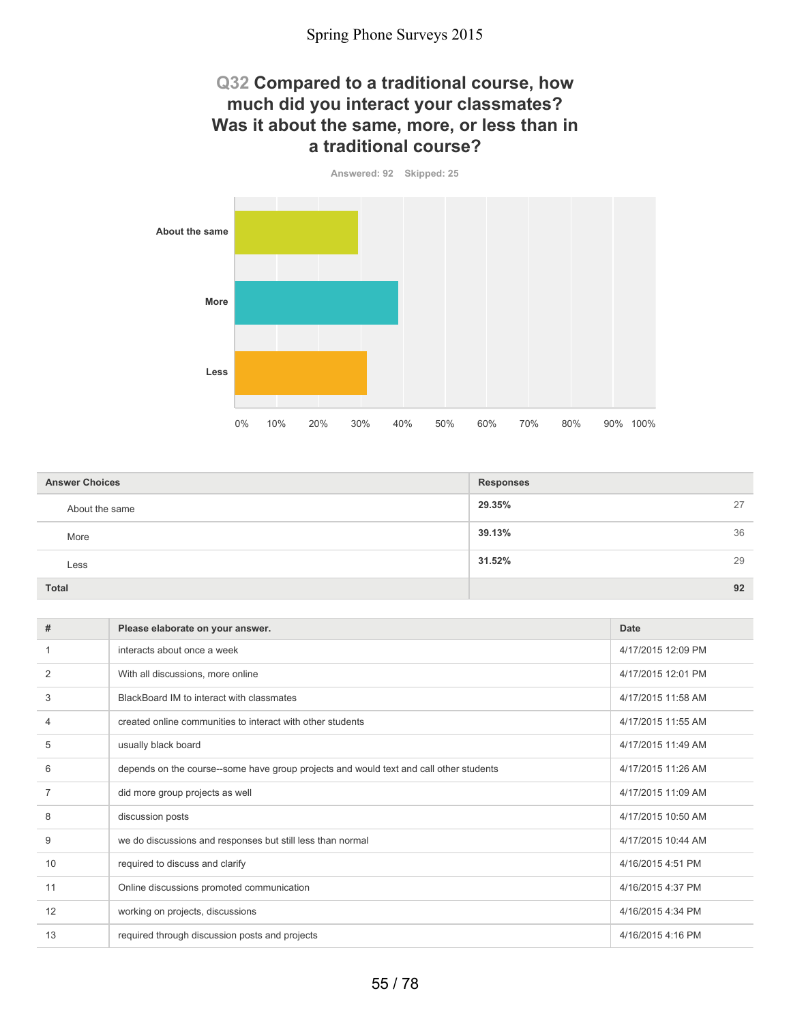### **Q32 Compared to a traditional course, how much did you interact your classmates? Was it about the same, more, or less than in a traditional course?**

**Answered: 92 Skipped: 25**



| <b>Answer Choices</b> | <b>Responses</b> |    |
|-----------------------|------------------|----|
| About the same        | 29.35%           | 27 |
| More                  | 39.13%           | 36 |
| Less                  | 31.52%           | 29 |
| <b>Total</b>          |                  | 92 |

| #              | Please elaborate on your answer.                                                       | Date               |
|----------------|----------------------------------------------------------------------------------------|--------------------|
|                | interacts about once a week                                                            | 4/17/2015 12:09 PM |
| 2              | With all discussions, more online                                                      | 4/17/2015 12:01 PM |
| 3              | BlackBoard IM to interact with classmates                                              | 4/17/2015 11:58 AM |
| 4              | created online communities to interact with other students                             | 4/17/2015 11:55 AM |
| 5              | usually black board                                                                    | 4/17/2015 11:49 AM |
| 6              | depends on the course--some have group projects and would text and call other students | 4/17/2015 11:26 AM |
| $\overline{7}$ | did more group projects as well                                                        | 4/17/2015 11:09 AM |
| 8              | discussion posts                                                                       | 4/17/2015 10:50 AM |
| 9              | we do discussions and responses but still less than normal                             | 4/17/2015 10:44 AM |
| 10             | required to discuss and clarify                                                        | 4/16/2015 4:51 PM  |
| 11             | Online discussions promoted communication                                              | 4/16/2015 4:37 PM  |
| 12             | working on projects, discussions                                                       | 4/16/2015 4:34 PM  |
| 13             | required through discussion posts and projects                                         | 4/16/2015 4:16 PM  |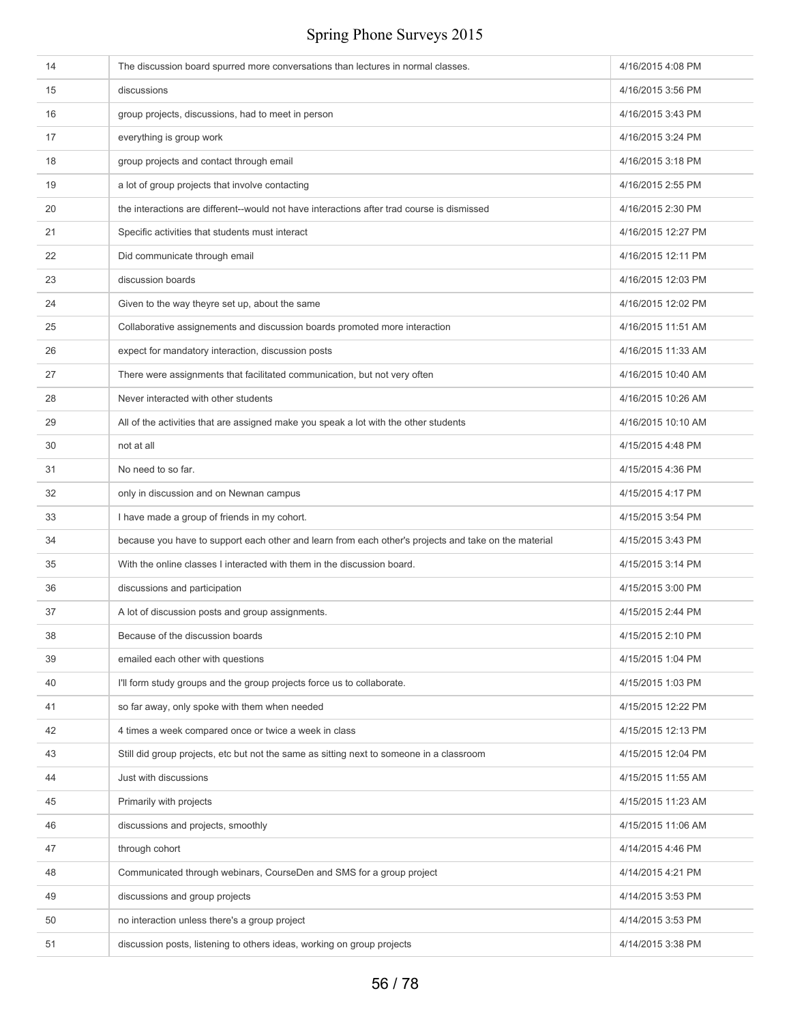| 14 | The discussion board spurred more conversations than lectures in normal classes.                     | 4/16/2015 4:08 PM  |
|----|------------------------------------------------------------------------------------------------------|--------------------|
| 15 | discussions                                                                                          | 4/16/2015 3:56 PM  |
| 16 | group projects, discussions, had to meet in person                                                   | 4/16/2015 3:43 PM  |
| 17 | everything is group work                                                                             | 4/16/2015 3:24 PM  |
| 18 | group projects and contact through email                                                             | 4/16/2015 3:18 PM  |
| 19 | a lot of group projects that involve contacting                                                      | 4/16/2015 2:55 PM  |
| 20 | the interactions are different--would not have interactions after trad course is dismissed           | 4/16/2015 2:30 PM  |
| 21 | Specific activities that students must interact                                                      | 4/16/2015 12:27 PM |
| 22 | Did communicate through email                                                                        | 4/16/2015 12:11 PM |
| 23 | discussion boards                                                                                    | 4/16/2015 12:03 PM |
| 24 | Given to the way theyre set up, about the same                                                       | 4/16/2015 12:02 PM |
| 25 | Collaborative assignements and discussion boards promoted more interaction                           | 4/16/2015 11:51 AM |
| 26 | expect for mandatory interaction, discussion posts                                                   | 4/16/2015 11:33 AM |
| 27 | There were assignments that facilitated communication, but not very often                            | 4/16/2015 10:40 AM |
| 28 | Never interacted with other students                                                                 | 4/16/2015 10:26 AM |
| 29 | All of the activities that are assigned make you speak a lot with the other students                 | 4/16/2015 10:10 AM |
| 30 | not at all                                                                                           | 4/15/2015 4:48 PM  |
| 31 | No need to so far.                                                                                   | 4/15/2015 4:36 PM  |
| 32 | only in discussion and on Newnan campus                                                              | 4/15/2015 4:17 PM  |
| 33 | I have made a group of friends in my cohort.                                                         | 4/15/2015 3:54 PM  |
| 34 | because you have to support each other and learn from each other's projects and take on the material | 4/15/2015 3:43 PM  |
| 35 | With the online classes I interacted with them in the discussion board.                              | 4/15/2015 3:14 PM  |
| 36 | discussions and participation                                                                        | 4/15/2015 3:00 PM  |
| 37 | A lot of discussion posts and group assignments.                                                     | 4/15/2015 2:44 PM  |
| 38 | Because of the discussion boards                                                                     | 4/15/2015 2:10 PM  |
| 39 | emailed each other with questions                                                                    | 4/15/2015 1:04 PM  |
| 40 | I'll form study groups and the group projects force us to collaborate.                               | 4/15/2015 1:03 PM  |
| 41 | so far away, only spoke with them when needed                                                        | 4/15/2015 12:22 PM |
| 42 | 4 times a week compared once or twice a week in class                                                | 4/15/2015 12:13 PM |
| 43 | Still did group projects, etc but not the same as sitting next to someone in a classroom             | 4/15/2015 12:04 PM |
| 44 | Just with discussions                                                                                | 4/15/2015 11:55 AM |
| 45 | Primarily with projects                                                                              | 4/15/2015 11:23 AM |
| 46 | discussions and projects, smoothly                                                                   | 4/15/2015 11:06 AM |
| 47 | through cohort                                                                                       | 4/14/2015 4:46 PM  |
| 48 | Communicated through webinars, CourseDen and SMS for a group project                                 | 4/14/2015 4:21 PM  |
| 49 | discussions and group projects                                                                       | 4/14/2015 3:53 PM  |
| 50 | no interaction unless there's a group project                                                        | 4/14/2015 3:53 PM  |
| 51 | discussion posts, listening to others ideas, working on group projects                               | 4/14/2015 3:38 PM  |
|    |                                                                                                      |                    |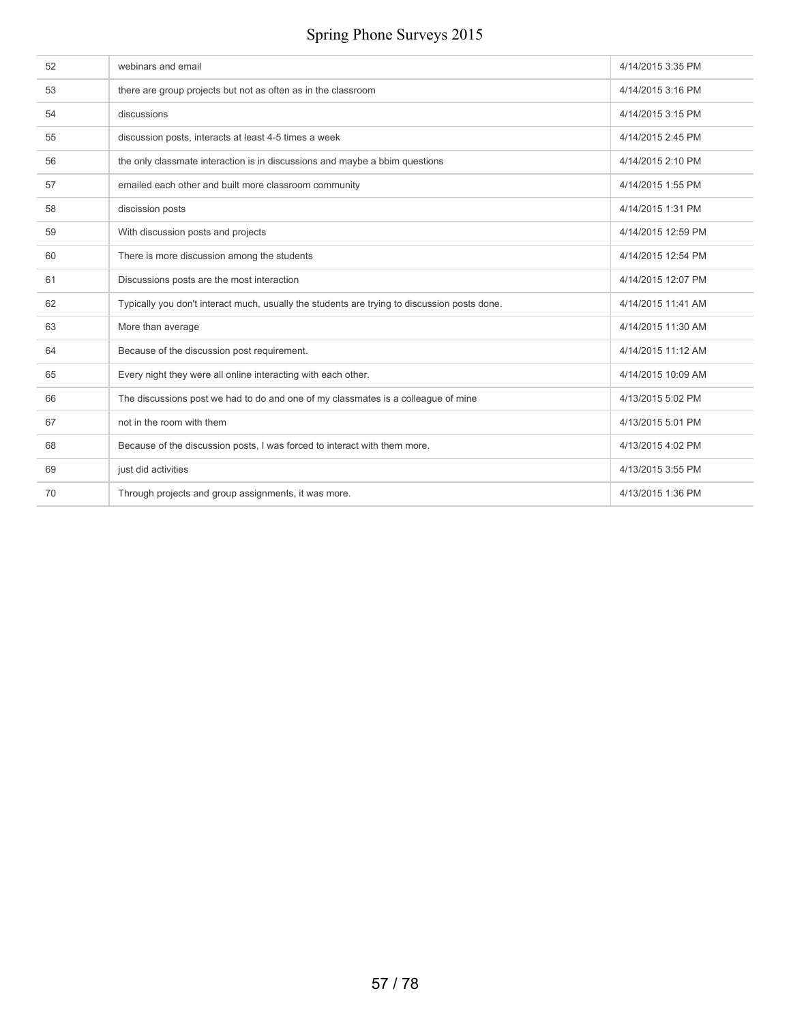| 52 | webinars and email                                                                           | 4/14/2015 3:35 PM  |
|----|----------------------------------------------------------------------------------------------|--------------------|
| 53 | there are group projects but not as often as in the classroom                                | 4/14/2015 3:16 PM  |
| 54 | discussions                                                                                  | 4/14/2015 3:15 PM  |
| 55 | discussion posts, interacts at least 4-5 times a week                                        | 4/14/2015 2:45 PM  |
| 56 | the only classmate interaction is in discussions and maybe a bbim questions                  | 4/14/2015 2:10 PM  |
| 57 | emailed each other and built more classroom community                                        | 4/14/2015 1:55 PM  |
| 58 | discission posts                                                                             | 4/14/2015 1:31 PM  |
| 59 | With discussion posts and projects                                                           | 4/14/2015 12:59 PM |
| 60 | There is more discussion among the students                                                  | 4/14/2015 12:54 PM |
| 61 | Discussions posts are the most interaction                                                   | 4/14/2015 12:07 PM |
| 62 | Typically you don't interact much, usually the students are trying to discussion posts done. | 4/14/2015 11:41 AM |
| 63 | More than average                                                                            | 4/14/2015 11:30 AM |
| 64 | Because of the discussion post requirement.                                                  | 4/14/2015 11:12 AM |
| 65 | Every night they were all online interacting with each other.                                | 4/14/2015 10:09 AM |
| 66 | The discussions post we had to do and one of my classmates is a colleague of mine            | 4/13/2015 5:02 PM  |
| 67 | not in the room with them                                                                    | 4/13/2015 5:01 PM  |
| 68 | Because of the discussion posts, I was forced to interact with them more.                    | 4/13/2015 4:02 PM  |
| 69 | just did activities                                                                          | 4/13/2015 3:55 PM  |
| 70 | Through projects and group assignments, it was more.                                         | 4/13/2015 1:36 PM  |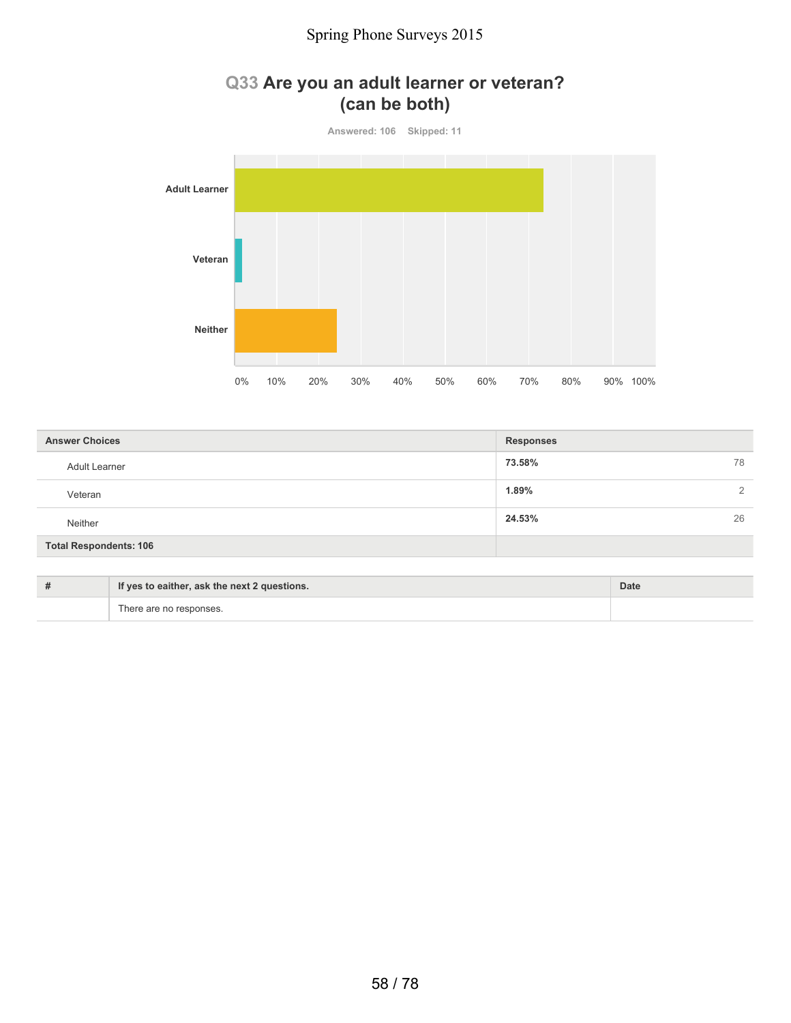### **Q33 Are you an adult learner or veteran? (can be both)**



| <b>Answer Choices</b>         | <b>Responses</b>  |
|-------------------------------|-------------------|
| Adult Learner                 | 73.58%<br>78      |
| Veteran                       | 1.89%<br>$\Omega$ |
| Neither                       | 24.53%<br>26      |
| <b>Total Respondents: 106</b> |                   |

| If yes to eaither, ask the next 2 questions. | Date |
|----------------------------------------------|------|
| There are no responses.                      |      |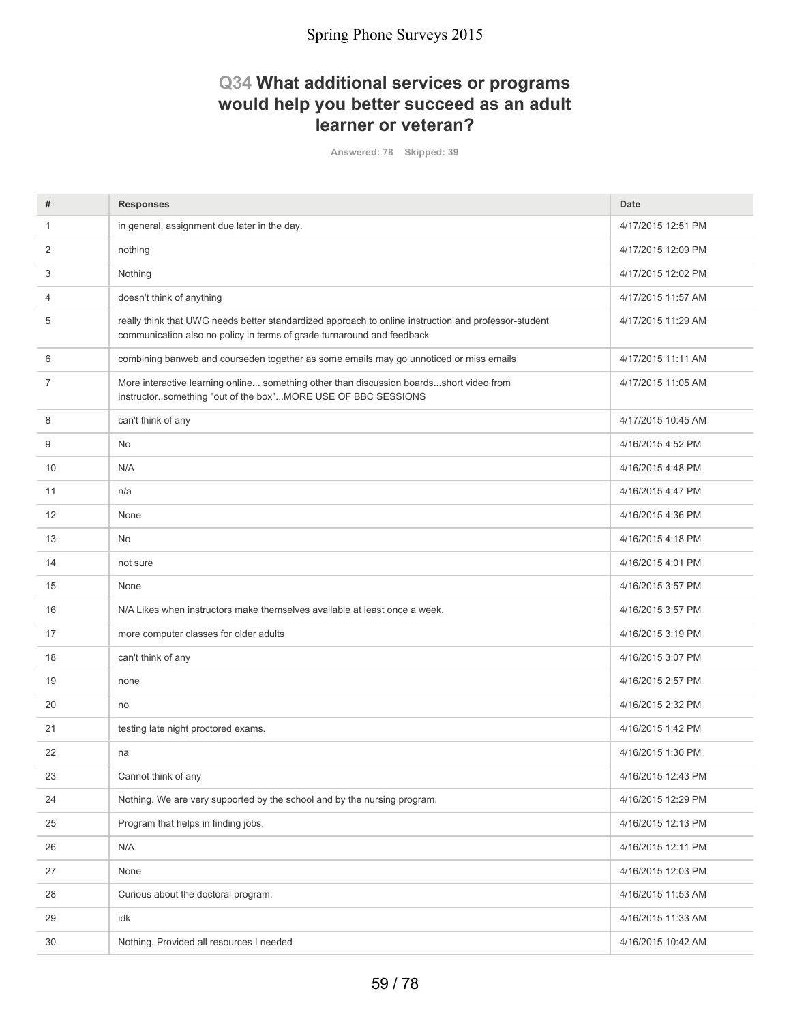### **Q34 What additional services or programs would help you better succeed as an adult learner or veteran?**

**Answered: 78 Skipped: 39**

| #              | <b>Responses</b>                                                                                                                                                               | <b>Date</b>        |
|----------------|--------------------------------------------------------------------------------------------------------------------------------------------------------------------------------|--------------------|
| 1              | in general, assignment due later in the day.                                                                                                                                   | 4/17/2015 12:51 PM |
| 2              | nothing                                                                                                                                                                        | 4/17/2015 12:09 PM |
| 3              | Nothing                                                                                                                                                                        | 4/17/2015 12:02 PM |
| 4              | doesn't think of anything                                                                                                                                                      | 4/17/2015 11:57 AM |
| 5              | really think that UWG needs better standardized approach to online instruction and professor-student<br>communication also no policy in terms of grade turnaround and feedback | 4/17/2015 11:29 AM |
| 6              | combining banweb and courseden together as some emails may go unnoticed or miss emails                                                                                         | 4/17/2015 11:11 AM |
| $\overline{7}$ | More interactive learning online something other than discussion boardsshort video from<br>instructorsomething "out of the box"MORE USE OF BBC SESSIONS                        | 4/17/2015 11:05 AM |
| 8              | can't think of any                                                                                                                                                             | 4/17/2015 10:45 AM |
| 9              | No                                                                                                                                                                             | 4/16/2015 4:52 PM  |
| 10             | N/A                                                                                                                                                                            | 4/16/2015 4:48 PM  |
| 11             | n/a                                                                                                                                                                            | 4/16/2015 4:47 PM  |
| 12             | None                                                                                                                                                                           | 4/16/2015 4:36 PM  |
| 13             | No                                                                                                                                                                             | 4/16/2015 4:18 PM  |
| 14             | not sure                                                                                                                                                                       | 4/16/2015 4:01 PM  |
| 15             | None                                                                                                                                                                           | 4/16/2015 3:57 PM  |
| 16             | N/A Likes when instructors make themselves available at least once a week.                                                                                                     | 4/16/2015 3:57 PM  |
| 17             | more computer classes for older adults                                                                                                                                         | 4/16/2015 3:19 PM  |
| 18             | can't think of any                                                                                                                                                             | 4/16/2015 3:07 PM  |
| 19             | none                                                                                                                                                                           | 4/16/2015 2:57 PM  |
| 20             | no                                                                                                                                                                             | 4/16/2015 2:32 PM  |
| 21             | testing late night proctored exams.                                                                                                                                            | 4/16/2015 1:42 PM  |
| 22             | na                                                                                                                                                                             | 4/16/2015 1:30 PM  |
| 23             | Cannot think of any                                                                                                                                                            | 4/16/2015 12:43 PM |
| 24             | Nothing. We are very supported by the school and by the nursing program.                                                                                                       | 4/16/2015 12:29 PM |
| 25             | Program that helps in finding jobs.                                                                                                                                            | 4/16/2015 12:13 PM |
| 26             | N/A                                                                                                                                                                            | 4/16/2015 12:11 PM |
| 27             | None                                                                                                                                                                           | 4/16/2015 12:03 PM |
| 28             | Curious about the doctoral program.                                                                                                                                            | 4/16/2015 11:53 AM |
| 29             | idk                                                                                                                                                                            | 4/16/2015 11:33 AM |
| 30             | Nothing. Provided all resources I needed                                                                                                                                       | 4/16/2015 10:42 AM |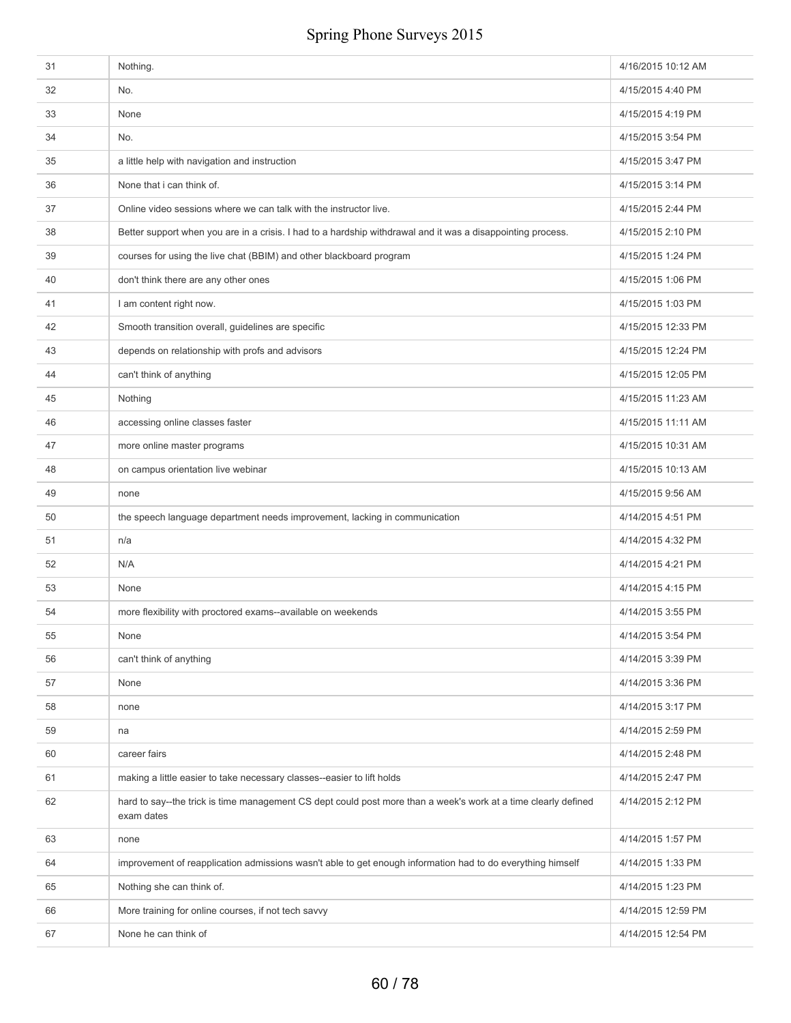| 31 | Nothing.                                                                                                                     | 4/16/2015 10:12 AM |
|----|------------------------------------------------------------------------------------------------------------------------------|--------------------|
| 32 | No.                                                                                                                          | 4/15/2015 4:40 PM  |
| 33 | None                                                                                                                         | 4/15/2015 4:19 PM  |
| 34 | No.                                                                                                                          | 4/15/2015 3:54 PM  |
| 35 | a little help with navigation and instruction                                                                                | 4/15/2015 3:47 PM  |
| 36 | None that i can think of.                                                                                                    | 4/15/2015 3:14 PM  |
| 37 | Online video sessions where we can talk with the instructor live.                                                            | 4/15/2015 2:44 PM  |
| 38 | Better support when you are in a crisis. I had to a hardship withdrawal and it was a disappointing process.                  | 4/15/2015 2:10 PM  |
| 39 | courses for using the live chat (BBIM) and other blackboard program                                                          | 4/15/2015 1:24 PM  |
| 40 | don't think there are any other ones                                                                                         | 4/15/2015 1:06 PM  |
| 41 | I am content right now.                                                                                                      | 4/15/2015 1:03 PM  |
| 42 | Smooth transition overall, guidelines are specific                                                                           | 4/15/2015 12:33 PM |
| 43 | depends on relationship with profs and advisors                                                                              | 4/15/2015 12:24 PM |
| 44 | can't think of anything                                                                                                      | 4/15/2015 12:05 PM |
| 45 | Nothing                                                                                                                      | 4/15/2015 11:23 AM |
| 46 | accessing online classes faster                                                                                              | 4/15/2015 11:11 AM |
| 47 | more online master programs                                                                                                  | 4/15/2015 10:31 AM |
| 48 | on campus orientation live webinar                                                                                           | 4/15/2015 10:13 AM |
| 49 | none                                                                                                                         | 4/15/2015 9:56 AM  |
| 50 | the speech language department needs improvement, lacking in communication                                                   | 4/14/2015 4:51 PM  |
| 51 | n/a                                                                                                                          | 4/14/2015 4:32 PM  |
| 52 | N/A                                                                                                                          | 4/14/2015 4:21 PM  |
| 53 | None                                                                                                                         | 4/14/2015 4:15 PM  |
| 54 | more flexibility with proctored exams--available on weekends                                                                 | 4/14/2015 3:55 PM  |
| 55 | None                                                                                                                         | 4/14/2015 3:54 PM  |
| 56 | can't think of anything                                                                                                      | 4/14/2015 3:39 PM  |
| 57 | None                                                                                                                         | 4/14/2015 3:36 PM  |
| 58 | none                                                                                                                         | 4/14/2015 3:17 PM  |
| 59 | na                                                                                                                           | 4/14/2015 2:59 PM  |
| 60 | career fairs                                                                                                                 | 4/14/2015 2:48 PM  |
| 61 | making a little easier to take necessary classes--easier to lift holds                                                       | 4/14/2015 2:47 PM  |
| 62 | hard to say--the trick is time management CS dept could post more than a week's work at a time clearly defined<br>exam dates | 4/14/2015 2:12 PM  |
| 63 | none                                                                                                                         | 4/14/2015 1:57 PM  |
| 64 | improvement of reapplication admissions wasn't able to get enough information had to do everything himself                   | 4/14/2015 1:33 PM  |
| 65 | Nothing she can think of.                                                                                                    | 4/14/2015 1:23 PM  |
| 66 | More training for online courses, if not tech savvy                                                                          | 4/14/2015 12:59 PM |
| 67 | None he can think of                                                                                                         | 4/14/2015 12:54 PM |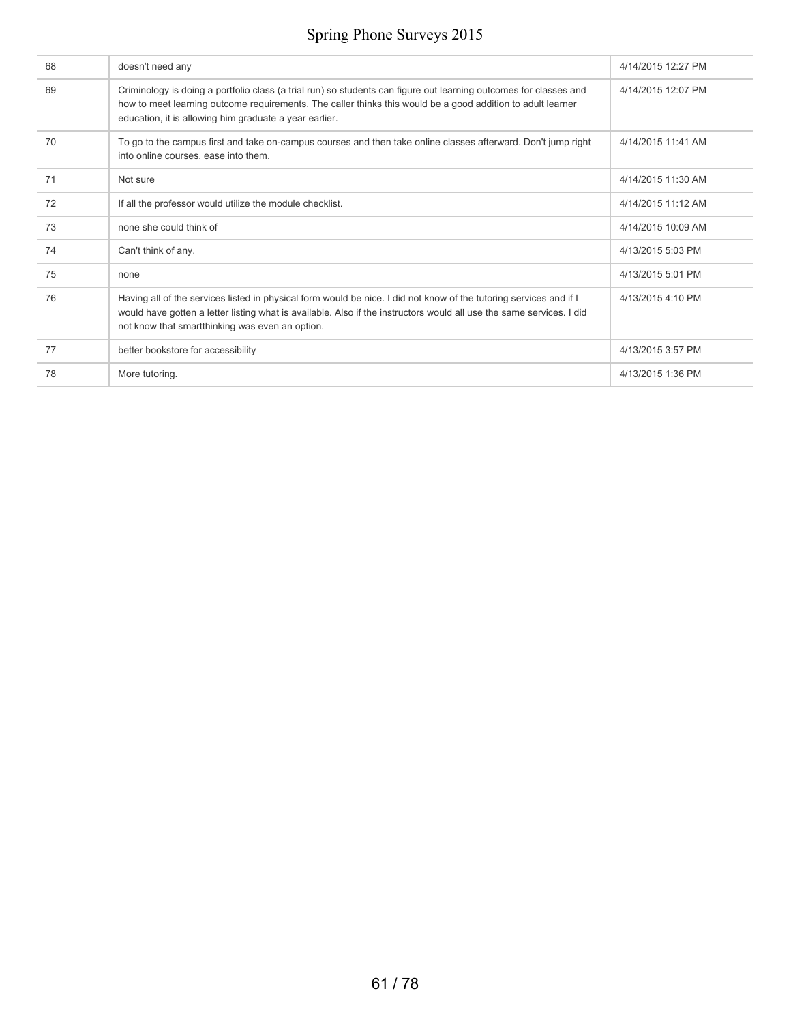| 68 | doesn't need any                                                                                                                                                                                                                                                                              | 4/14/2015 12:27 PM |
|----|-----------------------------------------------------------------------------------------------------------------------------------------------------------------------------------------------------------------------------------------------------------------------------------------------|--------------------|
| 69 | Criminology is doing a portfolio class (a trial run) so students can figure out learning outcomes for classes and<br>how to meet learning outcome requirements. The caller thinks this would be a good addition to adult learner<br>education, it is allowing him graduate a year earlier.    | 4/14/2015 12:07 PM |
| 70 | To go to the campus first and take on-campus courses and then take online classes afterward. Don't jump right<br>into online courses, ease into them.                                                                                                                                         | 4/14/2015 11:41 AM |
| 71 | Not sure                                                                                                                                                                                                                                                                                      | 4/14/2015 11:30 AM |
| 72 | If all the professor would utilize the module checklist.                                                                                                                                                                                                                                      | 4/14/2015 11:12 AM |
| 73 | none she could think of                                                                                                                                                                                                                                                                       | 4/14/2015 10:09 AM |
| 74 | Can't think of any.                                                                                                                                                                                                                                                                           | 4/13/2015 5:03 PM  |
| 75 | none                                                                                                                                                                                                                                                                                          | 4/13/2015 5:01 PM  |
| 76 | Having all of the services listed in physical form would be nice. I did not know of the tutoring services and if I<br>would have gotten a letter listing what is available. Also if the instructors would all use the same services. I did<br>not know that smartthinking was even an option. | 4/13/2015 4:10 PM  |
| 77 | better bookstore for accessibility                                                                                                                                                                                                                                                            | 4/13/2015 3:57 PM  |
| 78 | More tutoring.                                                                                                                                                                                                                                                                                | 4/13/2015 1:36 PM  |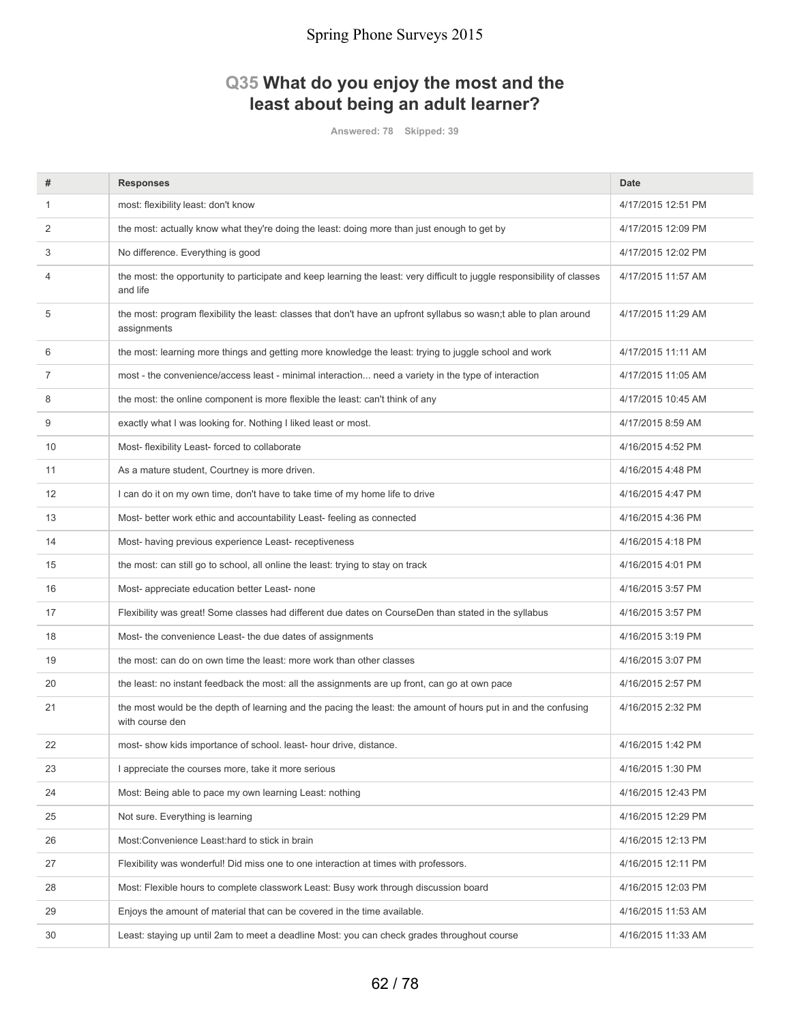### **Q35 What do you enjoy the most and the least about being an adult learner?**

**Answered: 78 Skipped: 39**

| #  | <b>Responses</b>                                                                                                                     | <b>Date</b>        |
|----|--------------------------------------------------------------------------------------------------------------------------------------|--------------------|
| 1  | most: flexibility least: don't know                                                                                                  | 4/17/2015 12:51 PM |
| 2  | the most: actually know what they're doing the least: doing more than just enough to get by                                          | 4/17/2015 12:09 PM |
| 3  | No difference. Everything is good                                                                                                    | 4/17/2015 12:02 PM |
| 4  | the most: the opportunity to participate and keep learning the least: very difficult to juggle responsibility of classes<br>and life | 4/17/2015 11:57 AM |
| 5  | the most: program flexibility the least: classes that don't have an upfront syllabus so wasn;t able to plan around<br>assignments    | 4/17/2015 11:29 AM |
| 6  | the most: learning more things and getting more knowledge the least: trying to juggle school and work                                | 4/17/2015 11:11 AM |
| 7  | most - the convenience/access least - minimal interaction need a variety in the type of interaction                                  | 4/17/2015 11:05 AM |
| 8  | the most: the online component is more flexible the least: can't think of any                                                        | 4/17/2015 10:45 AM |
| 9  | exactly what I was looking for. Nothing I liked least or most.                                                                       | 4/17/2015 8:59 AM  |
| 10 | Most- flexibility Least- forced to collaborate                                                                                       | 4/16/2015 4:52 PM  |
| 11 | As a mature student, Courtney is more driven.                                                                                        | 4/16/2015 4:48 PM  |
| 12 | I can do it on my own time, don't have to take time of my home life to drive                                                         | 4/16/2015 4:47 PM  |
| 13 | Most- better work ethic and accountability Least- feeling as connected                                                               | 4/16/2015 4:36 PM  |
| 14 | Most-having previous experience Least-receptiveness                                                                                  | 4/16/2015 4:18 PM  |
| 15 | the most: can still go to school, all online the least: trying to stay on track                                                      | 4/16/2015 4:01 PM  |
| 16 | Most- appreciate education better Least- none                                                                                        | 4/16/2015 3:57 PM  |
| 17 | Flexibility was great! Some classes had different due dates on CourseDen than stated in the syllabus                                 | 4/16/2015 3:57 PM  |
| 18 | Most- the convenience Least- the due dates of assignments                                                                            | 4/16/2015 3:19 PM  |
| 19 | the most: can do on own time the least: more work than other classes                                                                 | 4/16/2015 3:07 PM  |
| 20 | the least: no instant feedback the most: all the assignments are up front, can go at own pace                                        | 4/16/2015 2:57 PM  |
| 21 | the most would be the depth of learning and the pacing the least: the amount of hours put in and the confusing<br>with course den    | 4/16/2015 2:32 PM  |
| 22 | most- show kids importance of school. least- hour drive, distance                                                                    | 4/16/2015 1:42 PM  |
| 23 | I appreciate the courses more, take it more serious                                                                                  | 4/16/2015 1:30 PM  |
| 24 | Most: Being able to pace my own learning Least: nothing                                                                              | 4/16/2015 12:43 PM |
| 25 | Not sure. Everything is learning                                                                                                     | 4/16/2015 12:29 PM |
| 26 | Most:Convenience Least:hard to stick in brain                                                                                        | 4/16/2015 12:13 PM |
| 27 | Flexibility was wonderful! Did miss one to one interaction at times with professors.                                                 | 4/16/2015 12:11 PM |
| 28 | Most: Flexible hours to complete classwork Least: Busy work through discussion board                                                 | 4/16/2015 12:03 PM |
| 29 | Enjoys the amount of material that can be covered in the time available.                                                             | 4/16/2015 11:53 AM |
| 30 | Least: staying up until 2am to meet a deadline Most: you can check grades throughout course                                          | 4/16/2015 11:33 AM |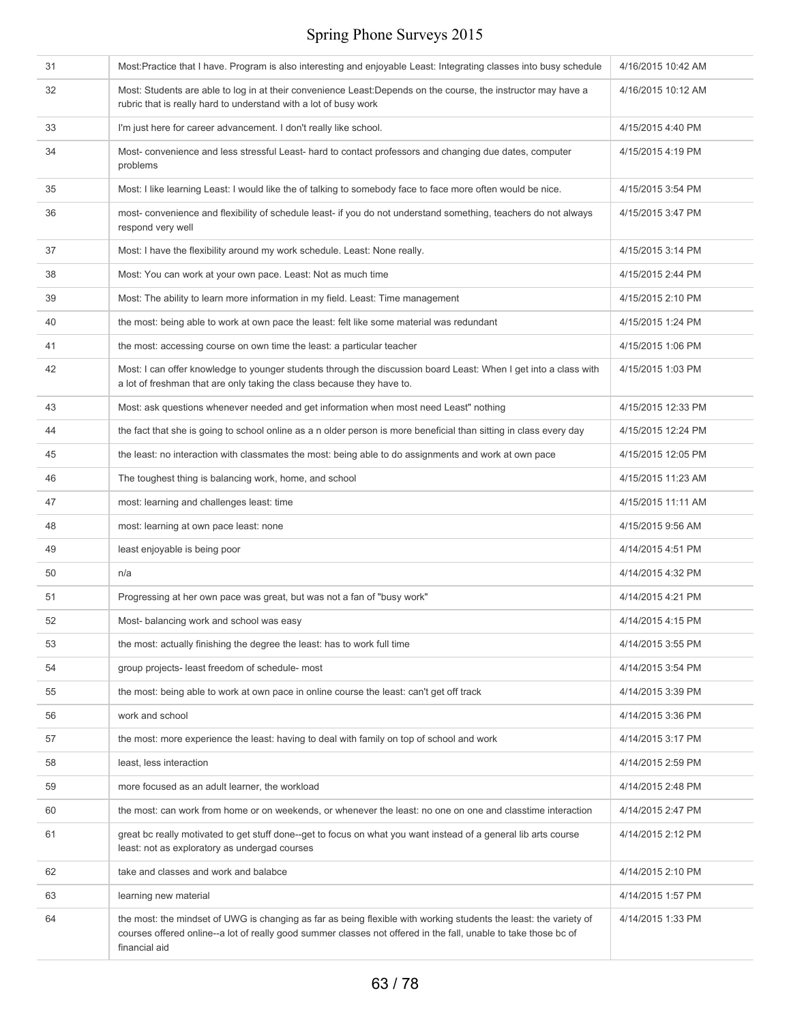| 31 | Most:Practice that I have. Program is also interesting and enjoyable Least: Integrating classes into busy schedule                                                                                                                                    | 4/16/2015 10:42 AM |
|----|-------------------------------------------------------------------------------------------------------------------------------------------------------------------------------------------------------------------------------------------------------|--------------------|
| 32 | Most: Students are able to log in at their convenience Least: Depends on the course, the instructor may have a<br>rubric that is really hard to understand with a lot of busy work                                                                    | 4/16/2015 10:12 AM |
| 33 | I'm just here for career advancement. I don't really like school.                                                                                                                                                                                     | 4/15/2015 4:40 PM  |
| 34 | Most-convenience and less stressful Least- hard to contact professors and changing due dates, computer<br>problems                                                                                                                                    | 4/15/2015 4:19 PM  |
| 35 | Most: I like learning Least: I would like the of talking to somebody face to face more often would be nice.                                                                                                                                           | 4/15/2015 3:54 PM  |
| 36 | most- convenience and flexibility of schedule least- if you do not understand something, teachers do not always<br>respond very well                                                                                                                  | 4/15/2015 3:47 PM  |
| 37 | Most: I have the flexibility around my work schedule. Least: None really.                                                                                                                                                                             | 4/15/2015 3:14 PM  |
| 38 | Most: You can work at your own pace. Least: Not as much time                                                                                                                                                                                          | 4/15/2015 2:44 PM  |
| 39 | Most: The ability to learn more information in my field. Least: Time management                                                                                                                                                                       | 4/15/2015 2:10 PM  |
| 40 | the most: being able to work at own pace the least: felt like some material was redundant                                                                                                                                                             | 4/15/2015 1:24 PM  |
| 41 | the most: accessing course on own time the least: a particular teacher                                                                                                                                                                                | 4/15/2015 1:06 PM  |
| 42 | Most: I can offer knowledge to younger students through the discussion board Least: When I get into a class with<br>a lot of freshman that are only taking the class because they have to.                                                            | 4/15/2015 1:03 PM  |
| 43 | Most: ask questions whenever needed and get information when most need Least" nothing                                                                                                                                                                 | 4/15/2015 12:33 PM |
| 44 | the fact that she is going to school online as a n older person is more beneficial than sitting in class every day                                                                                                                                    | 4/15/2015 12:24 PM |
| 45 | the least: no interaction with classmates the most: being able to do assignments and work at own pace                                                                                                                                                 | 4/15/2015 12:05 PM |
| 46 | The toughest thing is balancing work, home, and school                                                                                                                                                                                                | 4/15/2015 11:23 AM |
| 47 | most: learning and challenges least: time                                                                                                                                                                                                             | 4/15/2015 11:11 AM |
| 48 | most: learning at own pace least: none                                                                                                                                                                                                                | 4/15/2015 9:56 AM  |
| 49 | least enjoyable is being poor                                                                                                                                                                                                                         | 4/14/2015 4:51 PM  |
| 50 | n/a                                                                                                                                                                                                                                                   | 4/14/2015 4:32 PM  |
| 51 | Progressing at her own pace was great, but was not a fan of "busy work"                                                                                                                                                                               | 4/14/2015 4:21 PM  |
| 52 | Most- balancing work and school was easy                                                                                                                                                                                                              | 4/14/2015 4:15 PM  |
| 53 | the most: actually finishing the degree the least: has to work full time                                                                                                                                                                              | 4/14/2015 3:55 PM  |
| 54 | group projects- least freedom of schedule- most                                                                                                                                                                                                       | 4/14/2015 3:54 PM  |
| 55 | the most: being able to work at own pace in online course the least: can't get off track                                                                                                                                                              | 4/14/2015 3:39 PM  |
| 56 | work and school                                                                                                                                                                                                                                       | 4/14/2015 3:36 PM  |
| 57 | the most: more experience the least: having to deal with family on top of school and work                                                                                                                                                             | 4/14/2015 3:17 PM  |
| 58 | least, less interaction                                                                                                                                                                                                                               | 4/14/2015 2:59 PM  |
| 59 | more focused as an adult learner, the workload                                                                                                                                                                                                        | 4/14/2015 2:48 PM  |
| 60 | the most: can work from home or on weekends, or whenever the least: no one on one and classtime interaction                                                                                                                                           | 4/14/2015 2:47 PM  |
| 61 | great bc really motivated to get stuff done--get to focus on what you want instead of a general lib arts course<br>least: not as exploratory as undergad courses                                                                                      | 4/14/2015 2:12 PM  |
| 62 | take and classes and work and balabce                                                                                                                                                                                                                 | 4/14/2015 2:10 PM  |
| 63 | learning new material                                                                                                                                                                                                                                 | 4/14/2015 1:57 PM  |
| 64 | the most: the mindset of UWG is changing as far as being flexible with working students the least: the variety of<br>courses offered online--a lot of really good summer classes not offered in the fall, unable to take those bc of<br>financial aid | 4/14/2015 1:33 PM  |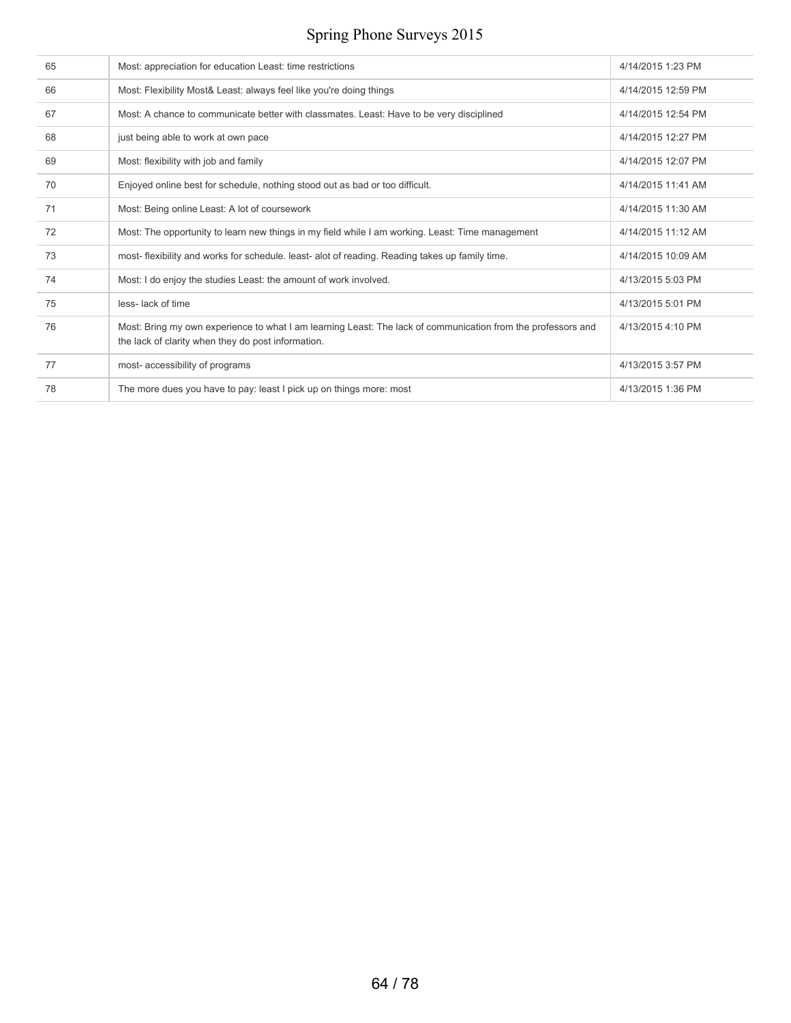| 65 | Most: appreciation for education Least: time restrictions                                                                                                          | 4/14/2015 1:23 PM  |
|----|--------------------------------------------------------------------------------------------------------------------------------------------------------------------|--------------------|
| 66 | Most: Flexibility Most& Least: always feel like you're doing things                                                                                                | 4/14/2015 12:59 PM |
| 67 | Most: A chance to communicate better with classmates. Least: Have to be very disciplined                                                                           | 4/14/2015 12:54 PM |
| 68 | just being able to work at own pace                                                                                                                                | 4/14/2015 12:27 PM |
| 69 | Most: flexibility with job and family                                                                                                                              | 4/14/2015 12:07 PM |
| 70 | Enjoyed online best for schedule, nothing stood out as bad or too difficult.                                                                                       | 4/14/2015 11:41 AM |
| 71 | Most: Being online Least: A lot of coursework                                                                                                                      | 4/14/2015 11:30 AM |
| 72 | Most: The opportunity to learn new things in my field while I am working. Least: Time management                                                                   | 4/14/2015 11:12 AM |
| 73 | most- flexibility and works for schedule. least- alot of reading. Reading takes up family time.                                                                    | 4/14/2015 10:09 AM |
| 74 | Most: I do enjoy the studies Least: the amount of work involved.                                                                                                   | 4/13/2015 5:03 PM  |
| 75 | less-lack of time                                                                                                                                                  | 4/13/2015 5:01 PM  |
| 76 | Most: Bring my own experience to what I am learning Least: The lack of communication from the professors and<br>the lack of clarity when they do post information. | 4/13/2015 4:10 PM  |
| 77 | most- accessibility of programs                                                                                                                                    | 4/13/2015 3:57 PM  |
| 78 | The more dues you have to pay: least I pick up on things more: most                                                                                                | 4/13/2015 1:36 PM  |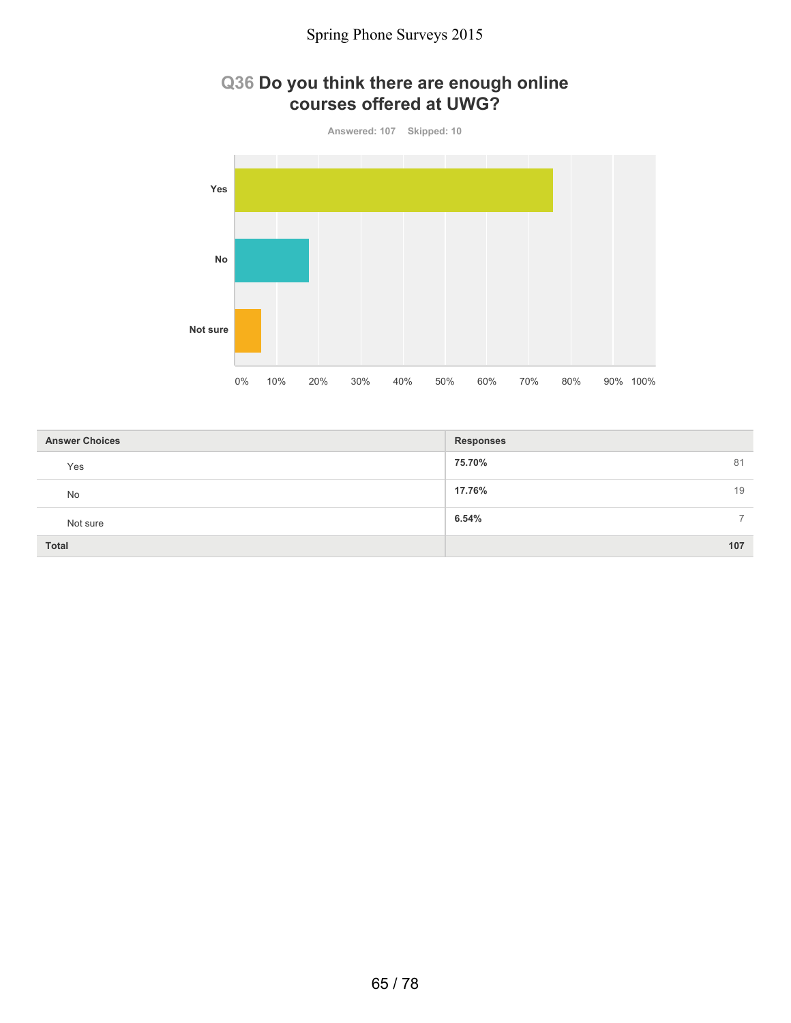### **Q36 Do you think there are enough online courses offered at UWG?**



| <b>Answer Choices</b> | <b>Responses</b>        |
|-----------------------|-------------------------|
| Yes                   | 75.70%<br>81            |
| No                    | 17.76%<br>19            |
| Not sure              | 6.54%<br>$\overline{ }$ |
| <b>Total</b>          | 107                     |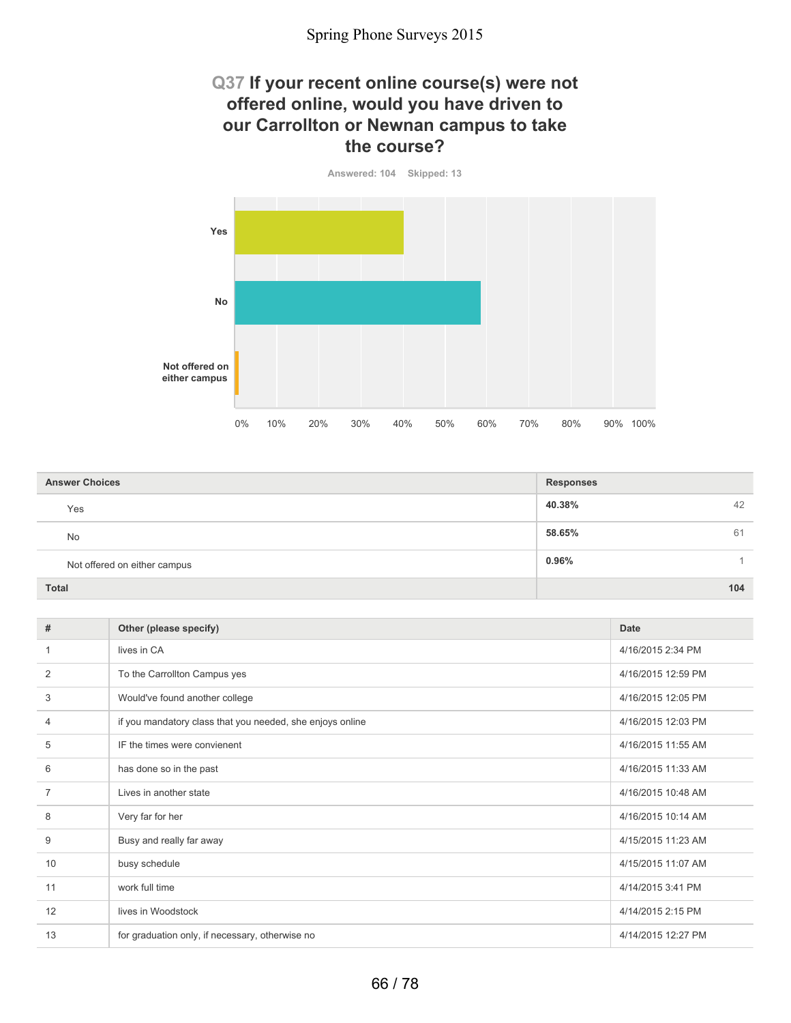### **Q37 If your recent online course(s) were not offered online, would you have driven to our Carrollton or Newnan campus to take the course?**



| <b>Answer Choices</b>        | <b>Responses</b> |
|------------------------------|------------------|
| Yes                          | 40.38%<br>42     |
| <b>No</b>                    | 58.65%<br>61     |
| Not offered on either campus | 0.96%            |
| <b>Total</b>                 | 104              |

| #  | Other (please specify)                                    | <b>Date</b>        |
|----|-----------------------------------------------------------|--------------------|
| 1  | lives in CA                                               | 4/16/2015 2:34 PM  |
| 2  | To the Carrollton Campus yes                              | 4/16/2015 12:59 PM |
| 3  | Would've found another college                            | 4/16/2015 12:05 PM |
| 4  | if you mandatory class that you needed, she enjoys online | 4/16/2015 12:03 PM |
| 5  | IF the times were convienent                              | 4/16/2015 11:55 AM |
| 6  | has done so in the past                                   | 4/16/2015 11:33 AM |
| 7  | Lives in another state                                    | 4/16/2015 10:48 AM |
| 8  | Very far for her                                          | 4/16/2015 10:14 AM |
| 9  | Busy and really far away                                  | 4/15/2015 11:23 AM |
| 10 | busy schedule                                             | 4/15/2015 11:07 AM |
| 11 | work full time                                            | 4/14/2015 3:41 PM  |
| 12 | lives in Woodstock                                        | 4/14/2015 2:15 PM  |
| 13 | for graduation only, if necessary, otherwise no           | 4/14/2015 12:27 PM |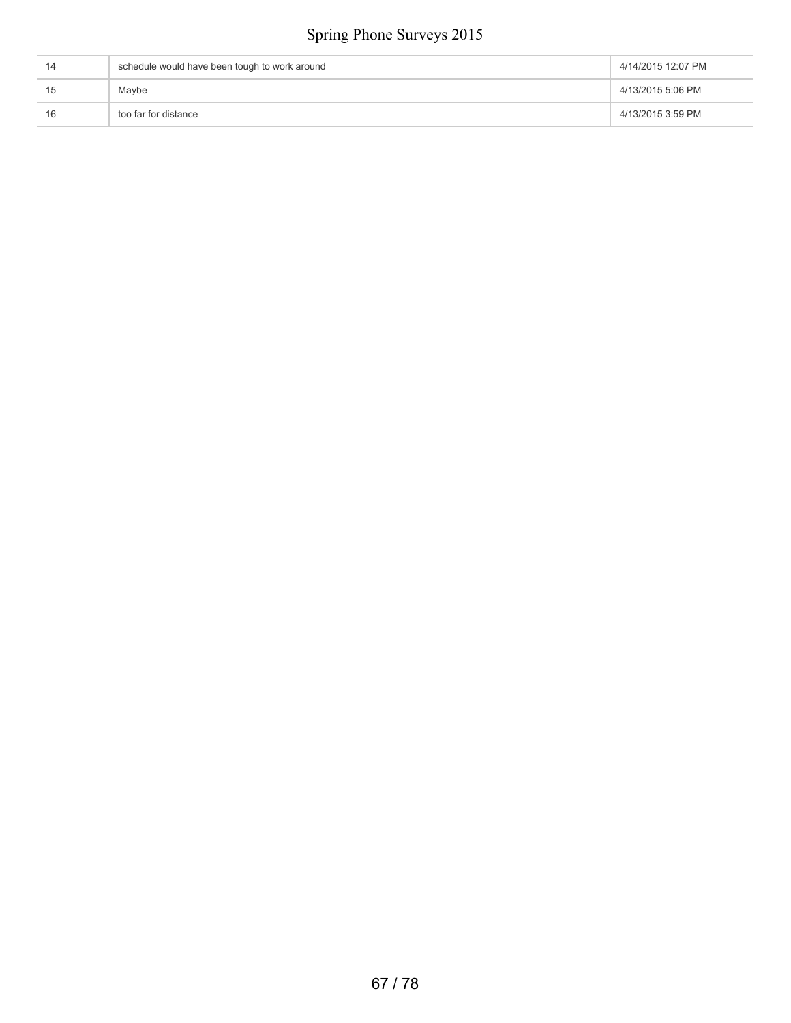|    | schedule would have been tough to work around | 4/14/2015 12:07 PM |
|----|-----------------------------------------------|--------------------|
| 15 | Maybe                                         | 4/13/2015 5:06 PM  |
| 16 | too far for distance                          | 4/13/2015 3:59 PM  |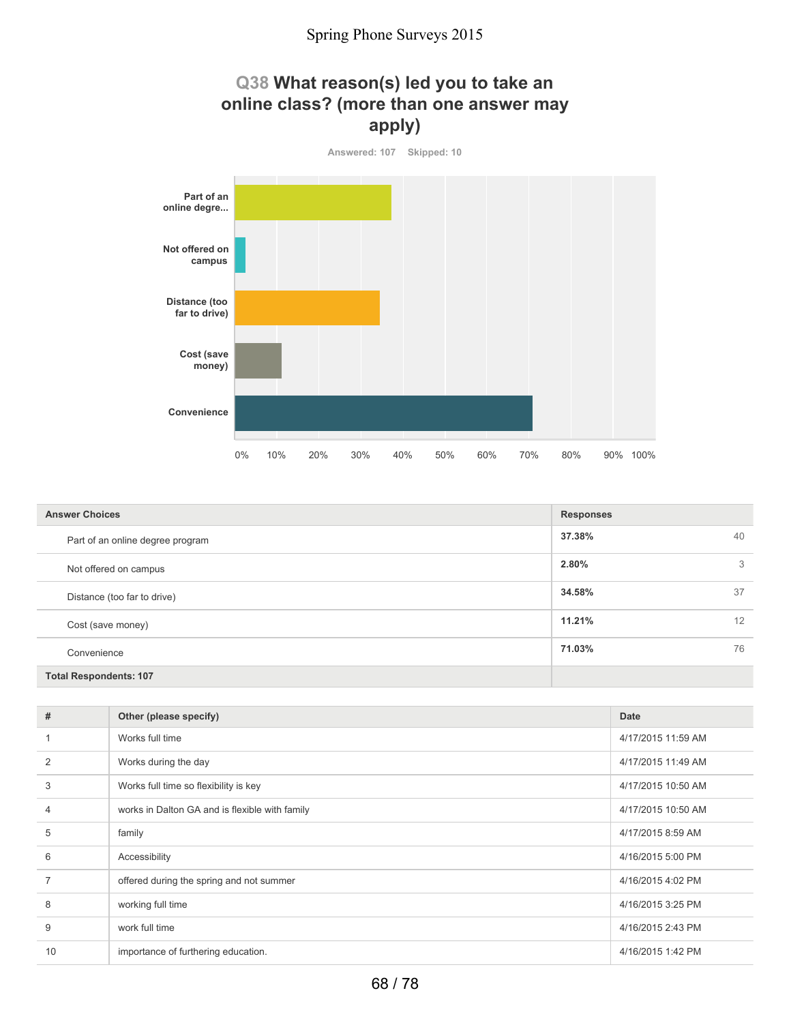



| <b>Answer Choices</b>            | <b>Responses</b> |
|----------------------------------|------------------|
| Part of an online degree program | 37.38%<br>40     |
| Not offered on campus            | 2.80%<br>3       |
| Distance (too far to drive)      | 34.58%<br>37     |
| Cost (save money)                | 11.21%<br>12     |
| Convenience                      | 71.03%<br>76     |
| <b>Total Respondents: 107</b>    |                  |

| #              | Other (please specify)                         | <b>Date</b>        |
|----------------|------------------------------------------------|--------------------|
|                | Works full time                                | 4/17/2015 11:59 AM |
| $\overline{2}$ | Works during the day                           | 4/17/2015 11:49 AM |
| 3              | Works full time so flexibility is key          | 4/17/2015 10:50 AM |
| $\overline{4}$ | works in Dalton GA and is flexible with family | 4/17/2015 10:50 AM |
| 5              | family                                         | 4/17/2015 8:59 AM  |
| 6              | Accessibility                                  | 4/16/2015 5:00 PM  |
| $\overline{7}$ | offered during the spring and not summer       | 4/16/2015 4:02 PM  |
| 8              | working full time                              | 4/16/2015 3:25 PM  |
| 9              | work full time                                 | 4/16/2015 2:43 PM  |
| 10             | importance of furthering education.            | 4/16/2015 1:42 PM  |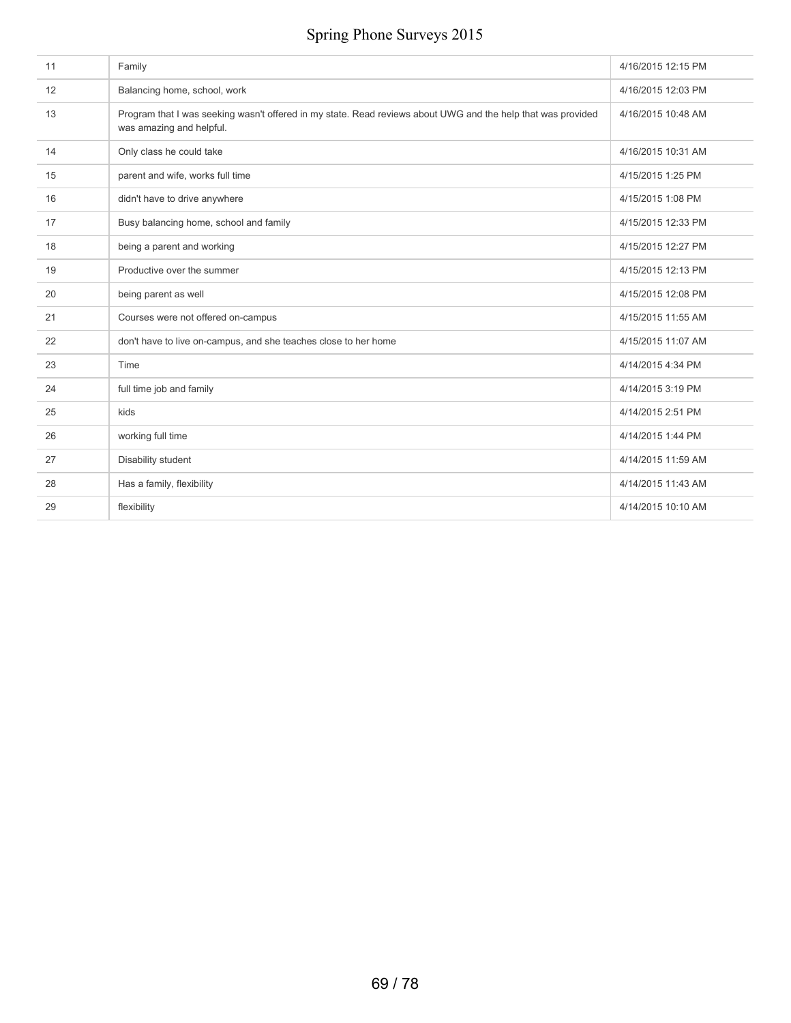| 11 | Family                                                                                                                                   | 4/16/2015 12:15 PM |
|----|------------------------------------------------------------------------------------------------------------------------------------------|--------------------|
| 12 | Balancing home, school, work                                                                                                             | 4/16/2015 12:03 PM |
| 13 | Program that I was seeking wasn't offered in my state. Read reviews about UWG and the help that was provided<br>was amazing and helpful. | 4/16/2015 10:48 AM |
| 14 | Only class he could take                                                                                                                 | 4/16/2015 10:31 AM |
| 15 | parent and wife, works full time                                                                                                         | 4/15/2015 1:25 PM  |
| 16 | didn't have to drive anywhere                                                                                                            | 4/15/2015 1:08 PM  |
| 17 | Busy balancing home, school and family                                                                                                   | 4/15/2015 12:33 PM |
| 18 | being a parent and working                                                                                                               | 4/15/2015 12:27 PM |
| 19 | Productive over the summer                                                                                                               | 4/15/2015 12:13 PM |
| 20 | being parent as well                                                                                                                     | 4/15/2015 12:08 PM |
| 21 | Courses were not offered on-campus                                                                                                       | 4/15/2015 11:55 AM |
| 22 | don't have to live on-campus, and she teaches close to her home                                                                          | 4/15/2015 11:07 AM |
| 23 | Time                                                                                                                                     | 4/14/2015 4:34 PM  |
| 24 | full time job and family                                                                                                                 | 4/14/2015 3:19 PM  |
| 25 | kids                                                                                                                                     | 4/14/2015 2:51 PM  |
| 26 | working full time                                                                                                                        | 4/14/2015 1:44 PM  |
| 27 | Disability student                                                                                                                       | 4/14/2015 11:59 AM |
| 28 | Has a family, flexibility                                                                                                                | 4/14/2015 11:43 AM |
| 29 | flexibility                                                                                                                              | 4/14/2015 10:10 AM |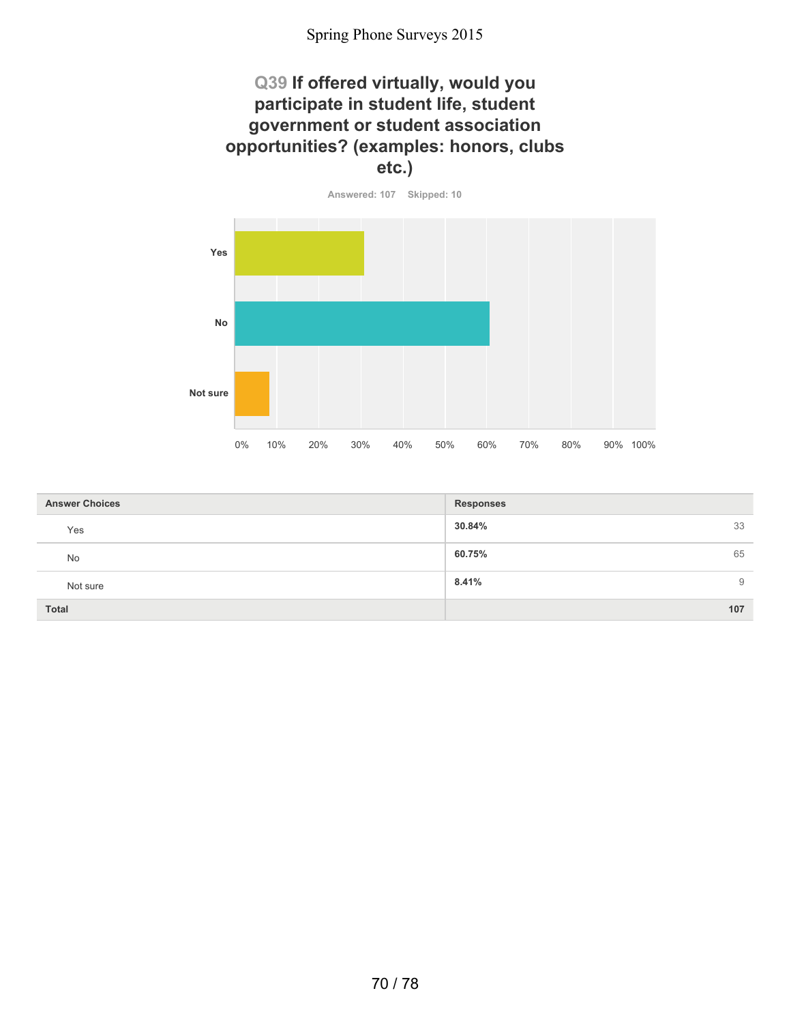### **Q39 If offered virtually, would you participate in student life, student government or student association opportunities? (examples: honors, clubs etc.)**



| <b>Answer Choices</b> | <b>Responses</b> |
|-----------------------|------------------|
| Yes                   | 30.84%<br>33     |
| No                    | 65<br>60.75%     |
| Not sure              | 8.41%<br>9       |
| <b>Total</b>          | 107              |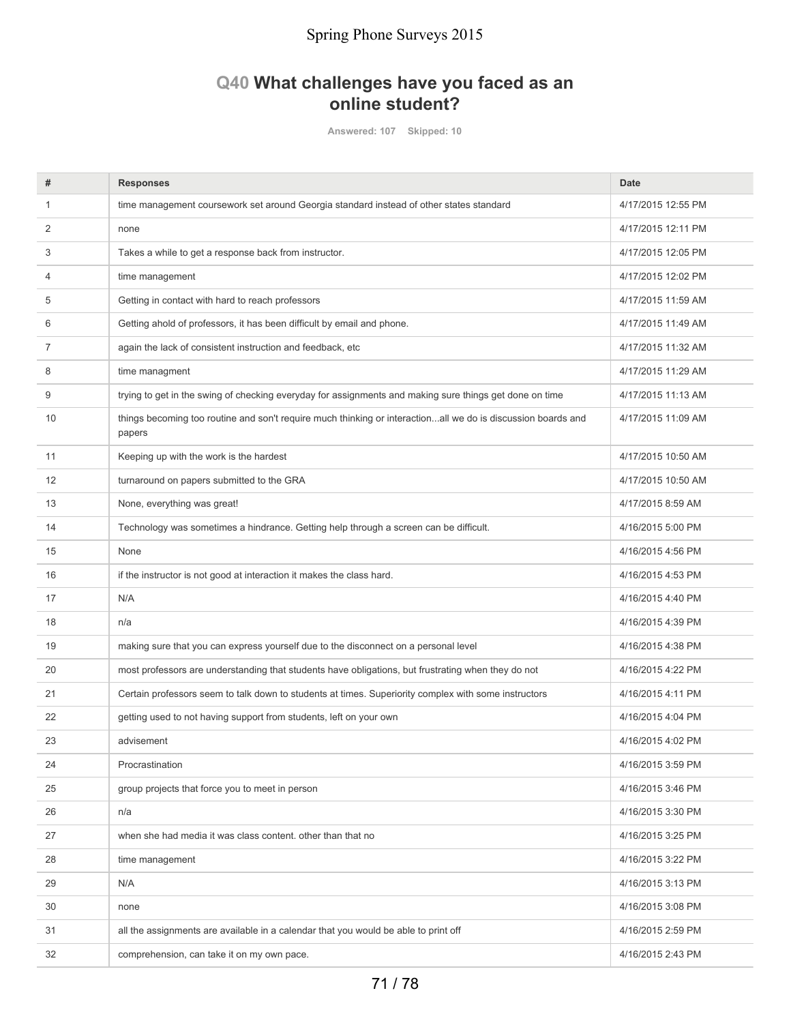### **Q40 What challenges have you faced as an online student?**

**Answered: 107 Skipped: 10**

| #              | <b>Responses</b>                                                                                                       | <b>Date</b>        |
|----------------|------------------------------------------------------------------------------------------------------------------------|--------------------|
| $\mathbf{1}$   | time management coursework set around Georgia standard instead of other states standard                                | 4/17/2015 12:55 PM |
| $\overline{2}$ | none                                                                                                                   | 4/17/2015 12:11 PM |
| 3              | Takes a while to get a response back from instructor.                                                                  | 4/17/2015 12:05 PM |
| $\overline{4}$ | time management                                                                                                        | 4/17/2015 12:02 PM |
| 5              | Getting in contact with hard to reach professors                                                                       | 4/17/2015 11:59 AM |
| 6              | Getting ahold of professors, it has been difficult by email and phone.                                                 | 4/17/2015 11:49 AM |
| 7              | again the lack of consistent instruction and feedback, etc                                                             | 4/17/2015 11:32 AM |
| 8              | time managment                                                                                                         | 4/17/2015 11:29 AM |
| 9              | trying to get in the swing of checking everyday for assignments and making sure things get done on time                | 4/17/2015 11:13 AM |
| 10             | things becoming too routine and son't require much thinking or interactionall we do is discussion boards and<br>papers | 4/17/2015 11:09 AM |
| 11             | Keeping up with the work is the hardest                                                                                | 4/17/2015 10:50 AM |
| 12             | turnaround on papers submitted to the GRA                                                                              | 4/17/2015 10:50 AM |
| 13             | None, everything was great!                                                                                            | 4/17/2015 8:59 AM  |
| 14             | Technology was sometimes a hindrance. Getting help through a screen can be difficult.                                  | 4/16/2015 5:00 PM  |
| 15             | None                                                                                                                   | 4/16/2015 4:56 PM  |
| 16             | if the instructor is not good at interaction it makes the class hard.                                                  | 4/16/2015 4:53 PM  |
| 17             | N/A                                                                                                                    | 4/16/2015 4:40 PM  |
| 18             | n/a                                                                                                                    | 4/16/2015 4:39 PM  |
| 19             | making sure that you can express yourself due to the disconnect on a personal level                                    | 4/16/2015 4:38 PM  |
| 20             | most professors are understanding that students have obligations, but frustrating when they do not                     | 4/16/2015 4:22 PM  |
| 21             | Certain professors seem to talk down to students at times. Superiority complex with some instructors                   | 4/16/2015 4:11 PM  |
| 22             | getting used to not having support from students, left on your own                                                     | 4/16/2015 4:04 PM  |
| 23             | advisement                                                                                                             | 4/16/2015 4:02 PM  |
| 24             | Procrastination                                                                                                        | 4/16/2015 3:59 PM  |
| 25             | group projects that force you to meet in person                                                                        | 4/16/2015 3:46 PM  |
| 26             | n/a                                                                                                                    | 4/16/2015 3:30 PM  |
| 27             | when she had media it was class content, other than that no                                                            | 4/16/2015 3:25 PM  |
| 28             | time management                                                                                                        | 4/16/2015 3:22 PM  |
| 29             | N/A                                                                                                                    | 4/16/2015 3:13 PM  |
| 30             | none                                                                                                                   | 4/16/2015 3:08 PM  |
| 31             | all the assignments are available in a calendar that you would be able to print off                                    | 4/16/2015 2:59 PM  |
| 32             | comprehension, can take it on my own pace.                                                                             | 4/16/2015 2:43 PM  |
|                |                                                                                                                        |                    |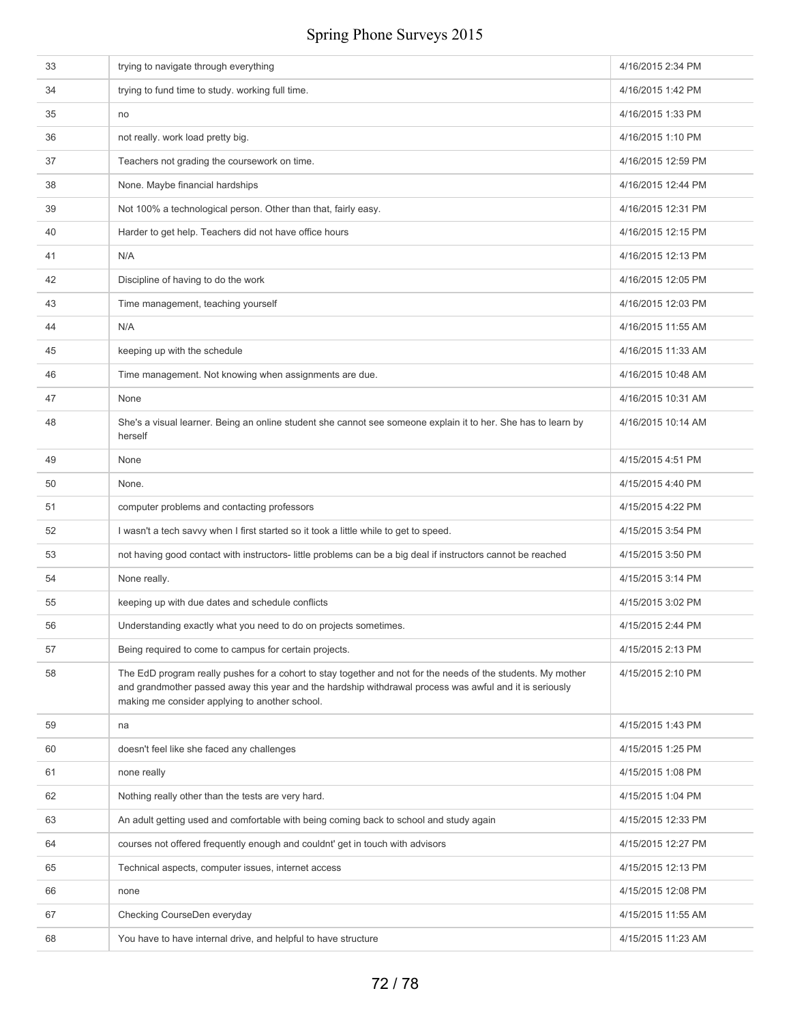| 33 | trying to navigate through everything                                                                                                                                                                                                                                     | 4/16/2015 2:34 PM  |
|----|---------------------------------------------------------------------------------------------------------------------------------------------------------------------------------------------------------------------------------------------------------------------------|--------------------|
| 34 | trying to fund time to study. working full time.                                                                                                                                                                                                                          | 4/16/2015 1:42 PM  |
| 35 | no                                                                                                                                                                                                                                                                        | 4/16/2015 1:33 PM  |
| 36 | not really. work load pretty big.                                                                                                                                                                                                                                         | 4/16/2015 1:10 PM  |
| 37 | Teachers not grading the coursework on time.                                                                                                                                                                                                                              | 4/16/2015 12:59 PM |
| 38 | None. Maybe financial hardships                                                                                                                                                                                                                                           | 4/16/2015 12:44 PM |
| 39 | Not 100% a technological person. Other than that, fairly easy.                                                                                                                                                                                                            | 4/16/2015 12:31 PM |
| 40 | Harder to get help. Teachers did not have office hours                                                                                                                                                                                                                    | 4/16/2015 12:15 PM |
| 41 | N/A                                                                                                                                                                                                                                                                       | 4/16/2015 12:13 PM |
| 42 | Discipline of having to do the work                                                                                                                                                                                                                                       | 4/16/2015 12:05 PM |
| 43 | Time management, teaching yourself                                                                                                                                                                                                                                        | 4/16/2015 12:03 PM |
| 44 | N/A                                                                                                                                                                                                                                                                       | 4/16/2015 11:55 AM |
| 45 | keeping up with the schedule                                                                                                                                                                                                                                              | 4/16/2015 11:33 AM |
| 46 | Time management. Not knowing when assignments are due.                                                                                                                                                                                                                    | 4/16/2015 10:48 AM |
| 47 | None                                                                                                                                                                                                                                                                      | 4/16/2015 10:31 AM |
| 48 | She's a visual learner. Being an online student she cannot see someone explain it to her. She has to learn by<br>herself                                                                                                                                                  | 4/16/2015 10:14 AM |
| 49 | None                                                                                                                                                                                                                                                                      | 4/15/2015 4:51 PM  |
| 50 | None.                                                                                                                                                                                                                                                                     | 4/15/2015 4:40 PM  |
| 51 | computer problems and contacting professors                                                                                                                                                                                                                               | 4/15/2015 4:22 PM  |
| 52 | I wasn't a tech savvy when I first started so it took a little while to get to speed.                                                                                                                                                                                     | 4/15/2015 3:54 PM  |
| 53 | not having good contact with instructors- little problems can be a big deal if instructors cannot be reached                                                                                                                                                              | 4/15/2015 3:50 PM  |
| 54 | None really.                                                                                                                                                                                                                                                              | 4/15/2015 3:14 PM  |
| 55 | keeping up with due dates and schedule conflicts                                                                                                                                                                                                                          | 4/15/2015 3:02 PM  |
| 56 | Understanding exactly what you need to do on projects sometimes.                                                                                                                                                                                                          | 4/15/2015 2:44 PM  |
| 57 | Being required to come to campus for certain projects.                                                                                                                                                                                                                    | 4/15/2015 2:13 PM  |
| 58 | The EdD program really pushes for a cohort to stay together and not for the needs of the students. My mother<br>and grandmother passed away this year and the hardship withdrawal process was awful and it is seriously<br>making me consider applying to another school. | 4/15/2015 2:10 PM  |
| 59 | na                                                                                                                                                                                                                                                                        | 4/15/2015 1:43 PM  |
| 60 | doesn't feel like she faced any challenges                                                                                                                                                                                                                                | 4/15/2015 1:25 PM  |
| 61 | none really                                                                                                                                                                                                                                                               | 4/15/2015 1:08 PM  |
| 62 | Nothing really other than the tests are very hard.                                                                                                                                                                                                                        | 4/15/2015 1:04 PM  |
| 63 | An adult getting used and comfortable with being coming back to school and study again                                                                                                                                                                                    | 4/15/2015 12:33 PM |
| 64 | courses not offered frequently enough and couldnt' get in touch with advisors                                                                                                                                                                                             | 4/15/2015 12:27 PM |
| 65 | Technical aspects, computer issues, internet access                                                                                                                                                                                                                       | 4/15/2015 12:13 PM |
| 66 | none                                                                                                                                                                                                                                                                      | 4/15/2015 12:08 PM |
| 67 | Checking CourseDen everyday                                                                                                                                                                                                                                               | 4/15/2015 11:55 AM |
| 68 | You have to have internal drive, and helpful to have structure                                                                                                                                                                                                            | 4/15/2015 11:23 AM |
|    |                                                                                                                                                                                                                                                                           |                    |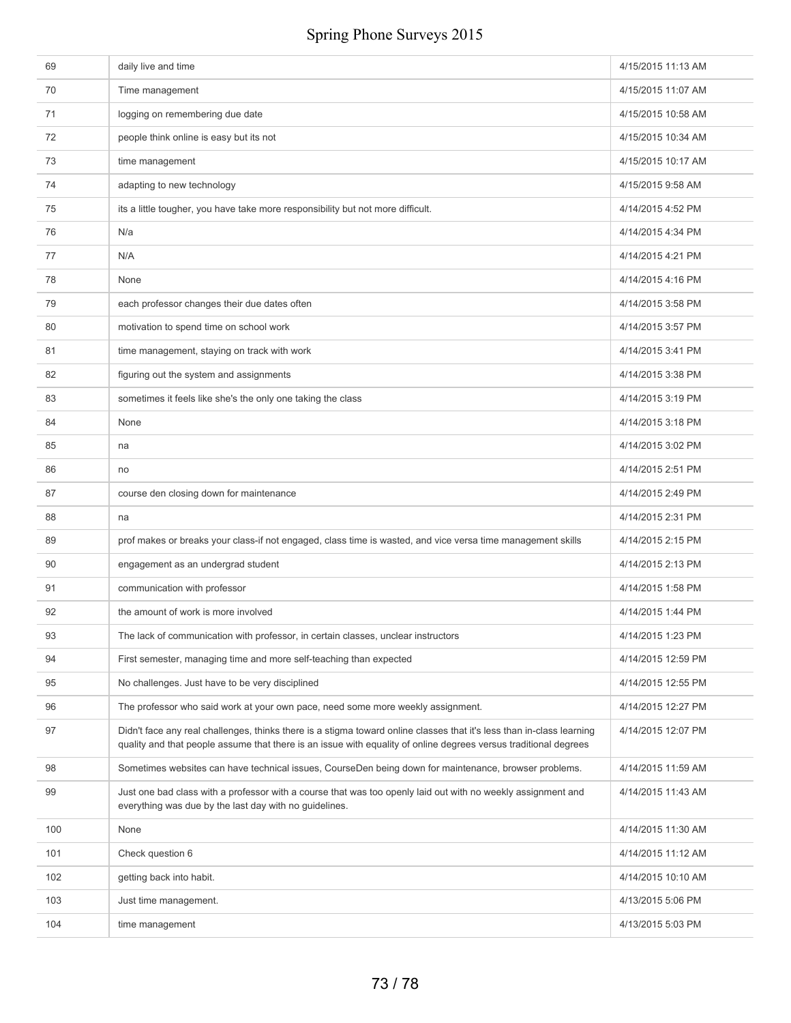| 69  | daily live and time                                                                                                                                                                                                                       | 4/15/2015 11:13 AM |
|-----|-------------------------------------------------------------------------------------------------------------------------------------------------------------------------------------------------------------------------------------------|--------------------|
| 70  | Time management                                                                                                                                                                                                                           | 4/15/2015 11:07 AM |
| 71  | logging on remembering due date                                                                                                                                                                                                           | 4/15/2015 10:58 AM |
| 72  | people think online is easy but its not                                                                                                                                                                                                   | 4/15/2015 10:34 AM |
| 73  | time management                                                                                                                                                                                                                           | 4/15/2015 10:17 AM |
| 74  | adapting to new technology                                                                                                                                                                                                                | 4/15/2015 9:58 AM  |
| 75  | its a little tougher, you have take more responsibility but not more difficult.                                                                                                                                                           | 4/14/2015 4:52 PM  |
| 76  | N/a                                                                                                                                                                                                                                       | 4/14/2015 4:34 PM  |
| 77  | N/A                                                                                                                                                                                                                                       | 4/14/2015 4:21 PM  |
| 78  | None                                                                                                                                                                                                                                      | 4/14/2015 4:16 PM  |
| 79  | each professor changes their due dates often                                                                                                                                                                                              | 4/14/2015 3:58 PM  |
| 80  | motivation to spend time on school work                                                                                                                                                                                                   | 4/14/2015 3:57 PM  |
| 81  | time management, staying on track with work                                                                                                                                                                                               | 4/14/2015 3:41 PM  |
| 82  | figuring out the system and assignments                                                                                                                                                                                                   | 4/14/2015 3:38 PM  |
| 83  | sometimes it feels like she's the only one taking the class                                                                                                                                                                               | 4/14/2015 3:19 PM  |
| 84  | None                                                                                                                                                                                                                                      | 4/14/2015 3:18 PM  |
| 85  | na                                                                                                                                                                                                                                        | 4/14/2015 3:02 PM  |
| 86  | no                                                                                                                                                                                                                                        | 4/14/2015 2:51 PM  |
| 87  | course den closing down for maintenance                                                                                                                                                                                                   | 4/14/2015 2:49 PM  |
| 88  | na                                                                                                                                                                                                                                        | 4/14/2015 2:31 PM  |
| 89  | prof makes or breaks your class-if not engaged, class time is wasted, and vice versa time management skills                                                                                                                               | 4/14/2015 2:15 PM  |
| 90  | engagement as an undergrad student                                                                                                                                                                                                        | 4/14/2015 2:13 PM  |
| 91  | communication with professor                                                                                                                                                                                                              | 4/14/2015 1:58 PM  |
| 92  | the amount of work is more involved                                                                                                                                                                                                       | 4/14/2015 1:44 PM  |
| 93  | The lack of communication with professor, in certain classes, unclear instructors                                                                                                                                                         | 4/14/2015 1:23 PM  |
| 94  | First semester, managing time and more self-teaching than expected                                                                                                                                                                        | 4/14/2015 12:59 PM |
| 95  | No challenges. Just have to be very disciplined                                                                                                                                                                                           | 4/14/2015 12:55 PM |
| 96  | The professor who said work at your own pace, need some more weekly assignment.                                                                                                                                                           | 4/14/2015 12:27 PM |
| 97  | Didn't face any real challenges, thinks there is a stigma toward online classes that it's less than in-class learning<br>quality and that people assume that there is an issue with equality of online degrees versus traditional degrees | 4/14/2015 12:07 PM |
| 98  | Sometimes websites can have technical issues, CourseDen being down for maintenance, browser problems.                                                                                                                                     | 4/14/2015 11:59 AM |
| 99  | Just one bad class with a professor with a course that was too openly laid out with no weekly assignment and<br>everything was due by the last day with no guidelines.                                                                    | 4/14/2015 11:43 AM |
| 100 | None                                                                                                                                                                                                                                      | 4/14/2015 11:30 AM |
| 101 | Check question 6                                                                                                                                                                                                                          | 4/14/2015 11:12 AM |
| 102 | getting back into habit.                                                                                                                                                                                                                  | 4/14/2015 10:10 AM |
| 103 | Just time management.                                                                                                                                                                                                                     | 4/13/2015 5:06 PM  |
| 104 | time management                                                                                                                                                                                                                           | 4/13/2015 5:03 PM  |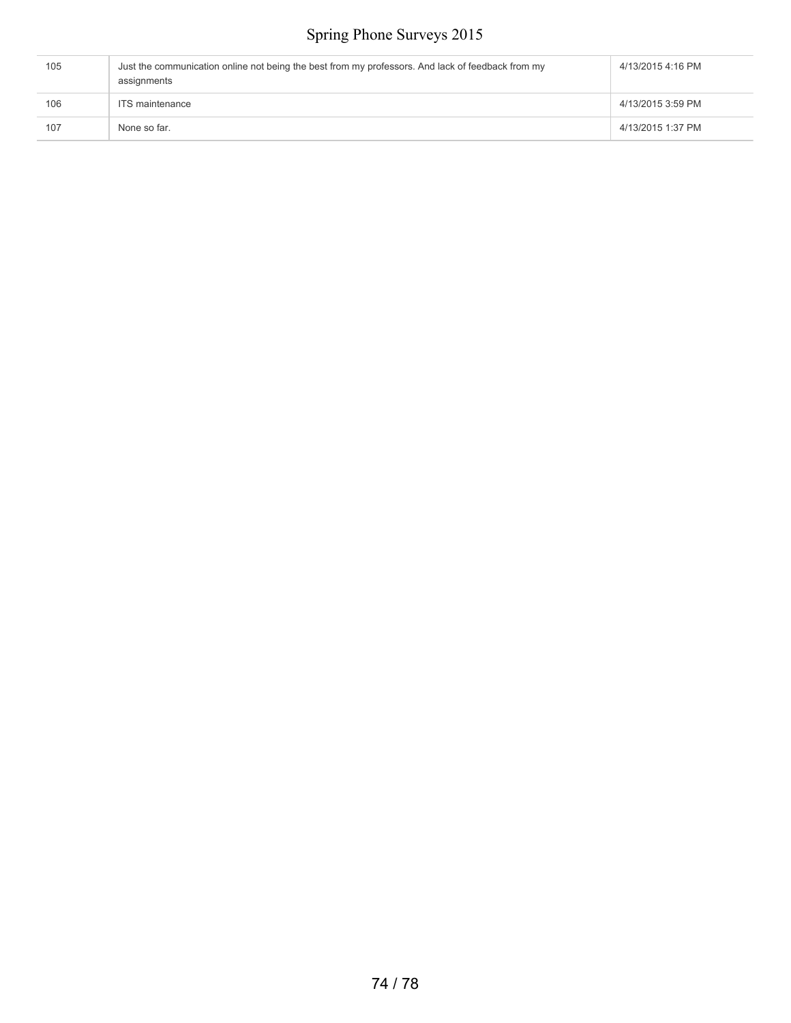| 105 | Just the communication online not being the best from my professors. And lack of feedback from my<br>assignments |                   |
|-----|------------------------------------------------------------------------------------------------------------------|-------------------|
| 106 | ITS maintenance                                                                                                  | 4/13/2015 3:59 PM |
| 107 | None so far.                                                                                                     | 4/13/2015 1:37 PM |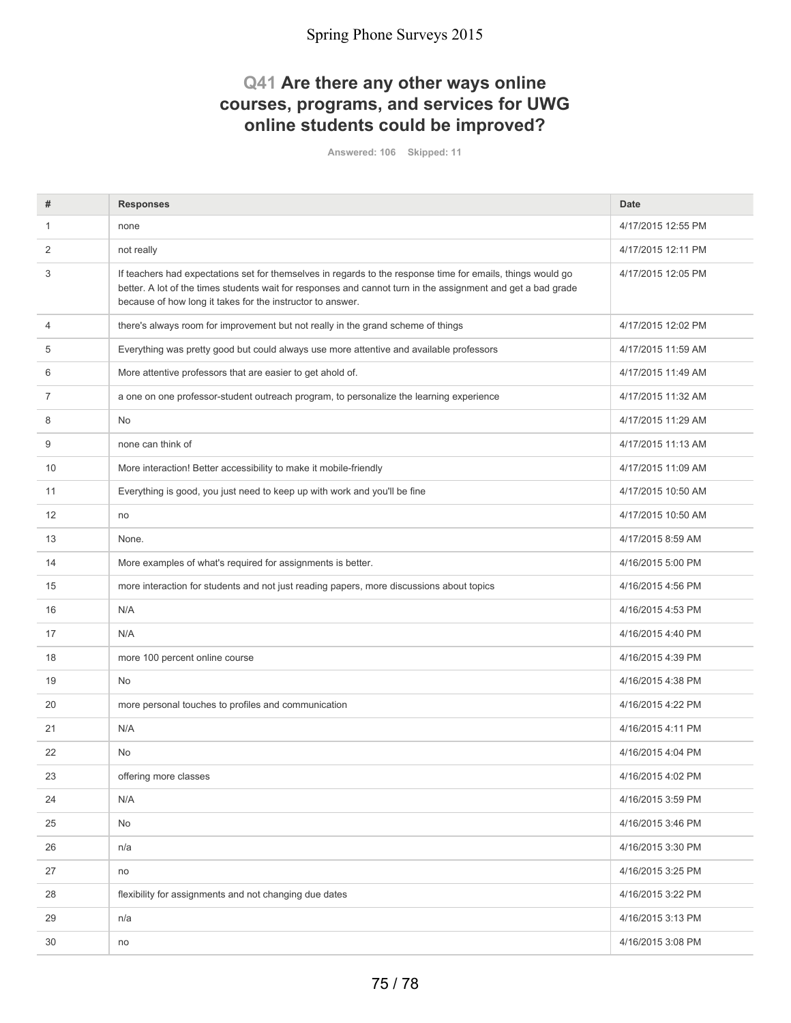### **Q41 Are there any other ways online courses, programs, and services for UWG online students could be improved?**

**Answered: 106 Skipped: 11**

| #              | <b>Responses</b>                                                                                                                                                                                                                                                                          | <b>Date</b>        |
|----------------|-------------------------------------------------------------------------------------------------------------------------------------------------------------------------------------------------------------------------------------------------------------------------------------------|--------------------|
| 1              | none                                                                                                                                                                                                                                                                                      | 4/17/2015 12:55 PM |
| 2              | not really                                                                                                                                                                                                                                                                                | 4/17/2015 12:11 PM |
| 3              | If teachers had expectations set for themselves in regards to the response time for emails, things would go<br>better. A lot of the times students wait for responses and cannot turn in the assignment and get a bad grade<br>because of how long it takes for the instructor to answer. | 4/17/2015 12:05 PM |
| 4              | there's always room for improvement but not really in the grand scheme of things                                                                                                                                                                                                          | 4/17/2015 12:02 PM |
| 5              | Everything was pretty good but could always use more attentive and available professors                                                                                                                                                                                                   | 4/17/2015 11:59 AM |
| 6              | More attentive professors that are easier to get ahold of.                                                                                                                                                                                                                                | 4/17/2015 11:49 AM |
| $\overline{7}$ | a one on one professor-student outreach program, to personalize the learning experience                                                                                                                                                                                                   | 4/17/2015 11:32 AM |
| 8              | <b>No</b>                                                                                                                                                                                                                                                                                 | 4/17/2015 11:29 AM |
| 9              | none can think of                                                                                                                                                                                                                                                                         | 4/17/2015 11:13 AM |
| 10             | More interaction! Better accessibility to make it mobile-friendly                                                                                                                                                                                                                         | 4/17/2015 11:09 AM |
| 11             | Everything is good, you just need to keep up with work and you'll be fine                                                                                                                                                                                                                 | 4/17/2015 10:50 AM |
| 12             | no                                                                                                                                                                                                                                                                                        | 4/17/2015 10:50 AM |
| 13             | None.                                                                                                                                                                                                                                                                                     | 4/17/2015 8:59 AM  |
| 14             | More examples of what's required for assignments is better.                                                                                                                                                                                                                               | 4/16/2015 5:00 PM  |
| 15             | more interaction for students and not just reading papers, more discussions about topics                                                                                                                                                                                                  | 4/16/2015 4:56 PM  |
| 16             | N/A                                                                                                                                                                                                                                                                                       | 4/16/2015 4:53 PM  |
| 17             | N/A                                                                                                                                                                                                                                                                                       | 4/16/2015 4:40 PM  |
| 18             | more 100 percent online course                                                                                                                                                                                                                                                            | 4/16/2015 4:39 PM  |
| 19             | No                                                                                                                                                                                                                                                                                        | 4/16/2015 4:38 PM  |
| 20             | more personal touches to profiles and communication                                                                                                                                                                                                                                       | 4/16/2015 4:22 PM  |
| 21             | N/A                                                                                                                                                                                                                                                                                       | 4/16/2015 4:11 PM  |
| 22             | No                                                                                                                                                                                                                                                                                        | 4/16/2015 4:04 PM  |
| 23             | offering more classes                                                                                                                                                                                                                                                                     | 4/16/2015 4:02 PM  |
| 24             | N/A                                                                                                                                                                                                                                                                                       | 4/16/2015 3:59 PM  |
| 25             | No                                                                                                                                                                                                                                                                                        | 4/16/2015 3:46 PM  |
| 26             | n/a                                                                                                                                                                                                                                                                                       | 4/16/2015 3:30 PM  |
| 27             | no                                                                                                                                                                                                                                                                                        | 4/16/2015 3:25 PM  |
| 28             | flexibility for assignments and not changing due dates                                                                                                                                                                                                                                    | 4/16/2015 3:22 PM  |
| 29             | n/a                                                                                                                                                                                                                                                                                       | 4/16/2015 3:13 PM  |
| 30             | no                                                                                                                                                                                                                                                                                        | 4/16/2015 3:08 PM  |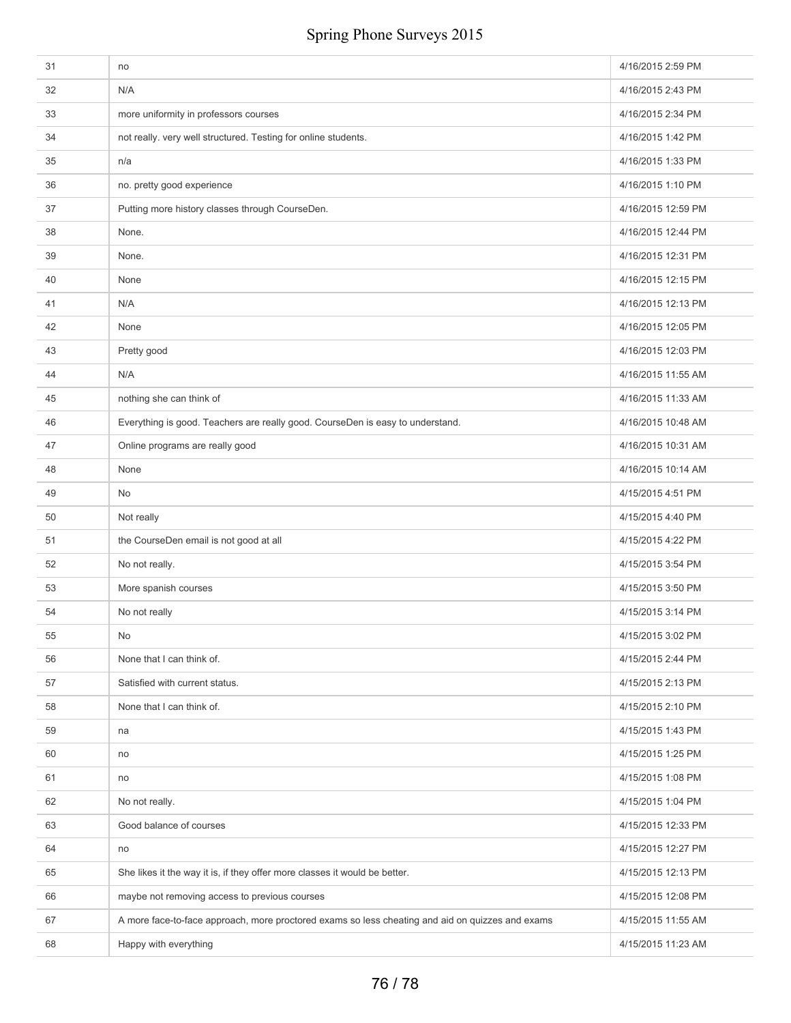| 31 | no                                                                                               | 4/16/2015 2:59 PM  |
|----|--------------------------------------------------------------------------------------------------|--------------------|
| 32 | N/A                                                                                              | 4/16/2015 2:43 PM  |
| 33 | more uniformity in professors courses                                                            | 4/16/2015 2:34 PM  |
| 34 | not really. very well structured. Testing for online students.                                   | 4/16/2015 1:42 PM  |
| 35 | n/a                                                                                              | 4/16/2015 1:33 PM  |
| 36 | no. pretty good experience                                                                       | 4/16/2015 1:10 PM  |
| 37 | Putting more history classes through CourseDen.                                                  | 4/16/2015 12:59 PM |
| 38 | None.                                                                                            | 4/16/2015 12:44 PM |
| 39 | None.                                                                                            | 4/16/2015 12:31 PM |
| 40 | None                                                                                             | 4/16/2015 12:15 PM |
| 41 | N/A                                                                                              | 4/16/2015 12:13 PM |
| 42 | None                                                                                             | 4/16/2015 12:05 PM |
| 43 | Pretty good                                                                                      | 4/16/2015 12:03 PM |
| 44 | N/A                                                                                              | 4/16/2015 11:55 AM |
| 45 | nothing she can think of                                                                         | 4/16/2015 11:33 AM |
| 46 | Everything is good. Teachers are really good. CourseDen is easy to understand.                   | 4/16/2015 10:48 AM |
| 47 | Online programs are really good                                                                  | 4/16/2015 10:31 AM |
| 48 | None                                                                                             | 4/16/2015 10:14 AM |
| 49 | No                                                                                               | 4/15/2015 4:51 PM  |
| 50 | Not really                                                                                       | 4/15/2015 4:40 PM  |
| 51 | the CourseDen email is not good at all                                                           | 4/15/2015 4:22 PM  |
| 52 | No not really.                                                                                   | 4/15/2015 3:54 PM  |
| 53 | More spanish courses                                                                             | 4/15/2015 3:50 PM  |
| 54 | No not really                                                                                    | 4/15/2015 3:14 PM  |
| 55 | No                                                                                               | 4/15/2015 3:02 PM  |
| 56 | None that I can think of.                                                                        | 4/15/2015 2:44 PM  |
| 57 | Satisfied with current status.                                                                   | 4/15/2015 2:13 PM  |
| 58 | None that I can think of.                                                                        | 4/15/2015 2:10 PM  |
| 59 | na                                                                                               | 4/15/2015 1:43 PM  |
| 60 | no                                                                                               | 4/15/2015 1:25 PM  |
| 61 | no                                                                                               | 4/15/2015 1:08 PM  |
| 62 | No not really.                                                                                   | 4/15/2015 1:04 PM  |
| 63 | Good balance of courses                                                                          | 4/15/2015 12:33 PM |
| 64 | no                                                                                               | 4/15/2015 12:27 PM |
| 65 | She likes it the way it is, if they offer more classes it would be better.                       | 4/15/2015 12:13 PM |
| 66 | maybe not removing access to previous courses                                                    | 4/15/2015 12:08 PM |
| 67 | A more face-to-face approach, more proctored exams so less cheating and aid on quizzes and exams | 4/15/2015 11:55 AM |
| 68 | Happy with everything                                                                            | 4/15/2015 11:23 AM |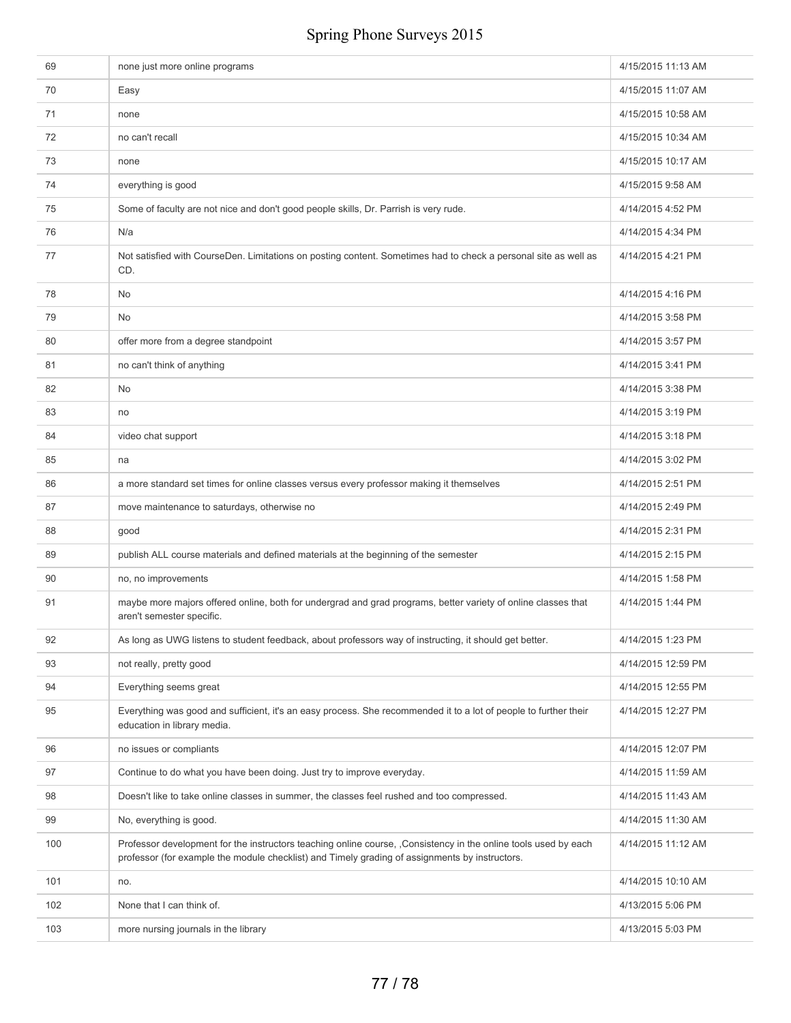| 69  | none just more online programs                                                                                                                                                                                    | 4/15/2015 11:13 AM |
|-----|-------------------------------------------------------------------------------------------------------------------------------------------------------------------------------------------------------------------|--------------------|
| 70  | Easy                                                                                                                                                                                                              | 4/15/2015 11:07 AM |
| 71  | none                                                                                                                                                                                                              | 4/15/2015 10:58 AM |
| 72  | no can't recall                                                                                                                                                                                                   | 4/15/2015 10:34 AM |
| 73  | none                                                                                                                                                                                                              | 4/15/2015 10:17 AM |
| 74  | everything is good                                                                                                                                                                                                | 4/15/2015 9:58 AM  |
| 75  | Some of faculty are not nice and don't good people skills, Dr. Parrish is very rude.                                                                                                                              | 4/14/2015 4:52 PM  |
| 76  | N/a                                                                                                                                                                                                               | 4/14/2015 4:34 PM  |
| 77  | Not satisfied with CourseDen. Limitations on posting content. Sometimes had to check a personal site as well as<br>CD.                                                                                            | 4/14/2015 4:21 PM  |
| 78  | No                                                                                                                                                                                                                | 4/14/2015 4:16 PM  |
| 79  | No                                                                                                                                                                                                                | 4/14/2015 3:58 PM  |
| 80  | offer more from a degree standpoint                                                                                                                                                                               | 4/14/2015 3:57 PM  |
| 81  | no can't think of anything                                                                                                                                                                                        | 4/14/2015 3:41 PM  |
| 82  | No                                                                                                                                                                                                                | 4/14/2015 3:38 PM  |
| 83  | no                                                                                                                                                                                                                | 4/14/2015 3:19 PM  |
| 84  | video chat support                                                                                                                                                                                                | 4/14/2015 3:18 PM  |
| 85  | na                                                                                                                                                                                                                | 4/14/2015 3:02 PM  |
| 86  | a more standard set times for online classes versus every professor making it themselves                                                                                                                          | 4/14/2015 2:51 PM  |
| 87  | move maintenance to saturdays, otherwise no                                                                                                                                                                       | 4/14/2015 2:49 PM  |
| 88  | good                                                                                                                                                                                                              | 4/14/2015 2:31 PM  |
| 89  | publish ALL course materials and defined materials at the beginning of the semester                                                                                                                               | 4/14/2015 2:15 PM  |
| 90  | no, no improvements                                                                                                                                                                                               | 4/14/2015 1:58 PM  |
| 91  | maybe more majors offered online, both for undergrad and grad programs, better variety of online classes that<br>aren't semester specific.                                                                        | 4/14/2015 1:44 PM  |
| 92  | As long as UWG listens to student feedback, about professors way of instructing, it should get better.                                                                                                            | 4/14/2015 1:23 PM  |
| 93  | not really, pretty good                                                                                                                                                                                           | 4/14/2015 12:59 PM |
| 94  | Everything seems great                                                                                                                                                                                            | 4/14/2015 12:55 PM |
| 95  | Everything was good and sufficient, it's an easy process. She recommended it to a lot of people to further their<br>education in library media.                                                                   | 4/14/2015 12:27 PM |
| 96  | no issues or compliants                                                                                                                                                                                           | 4/14/2015 12:07 PM |
| 97  | Continue to do what you have been doing. Just try to improve everyday.                                                                                                                                            | 4/14/2015 11:59 AM |
| 98  | Doesn't like to take online classes in summer, the classes feel rushed and too compressed.                                                                                                                        | 4/14/2015 11:43 AM |
| 99  | No, everything is good.                                                                                                                                                                                           | 4/14/2015 11:30 AM |
| 100 | Professor development for the instructors teaching online course, ,Consistency in the online tools used by each<br>professor (for example the module checklist) and Timely grading of assignments by instructors. | 4/14/2015 11:12 AM |
| 101 | no.                                                                                                                                                                                                               | 4/14/2015 10:10 AM |
| 102 | None that I can think of.                                                                                                                                                                                         | 4/13/2015 5:06 PM  |
| 103 | more nursing journals in the library                                                                                                                                                                              | 4/13/2015 5:03 PM  |